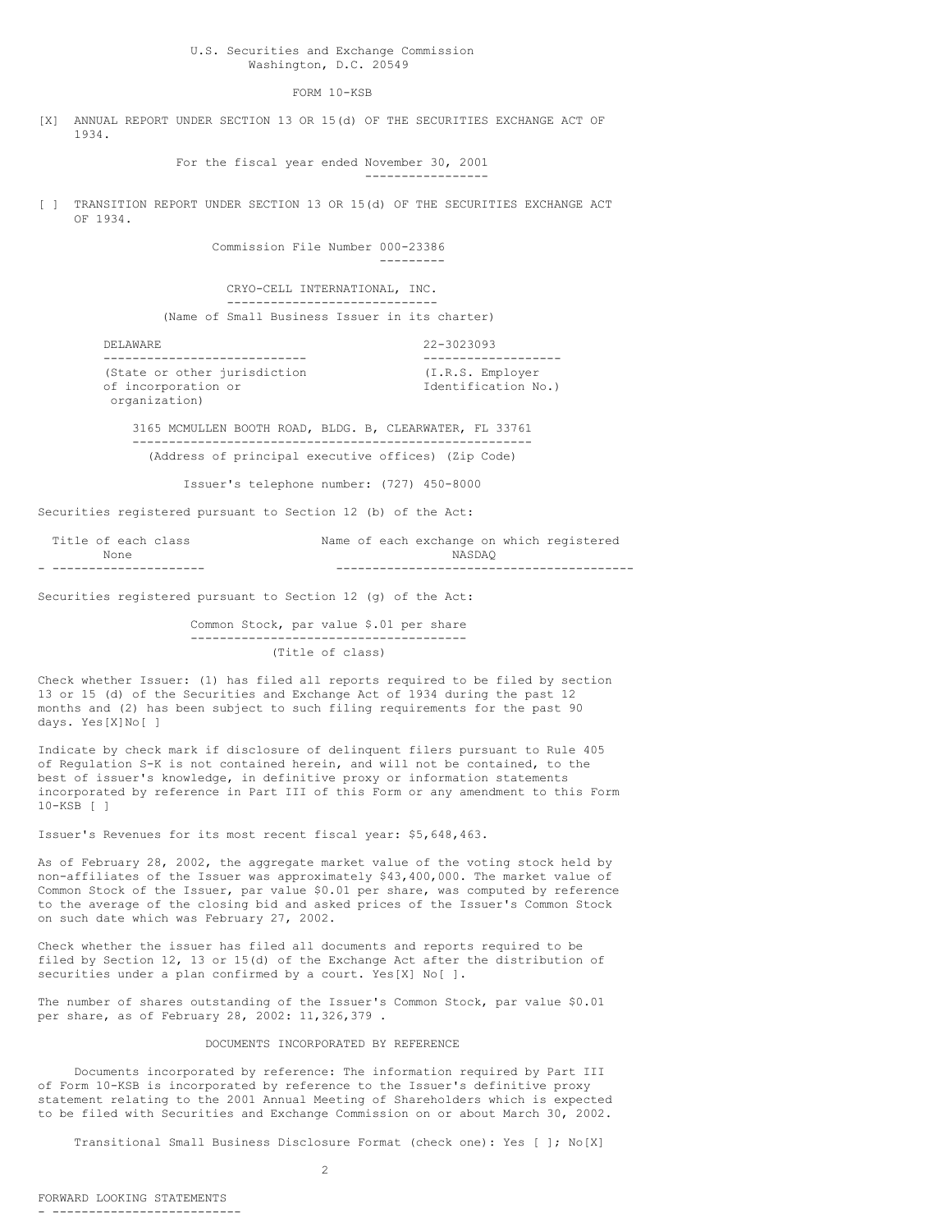FORM 10-KSB

[X] ANNUAL REPORT UNDER SECTION 13 OR 15(d) OF THE SECURITIES EXCHANGE ACT OF 1934.

For the fiscal year ended November 30, 2001

-----------------

[ ] TRANSITION REPORT UNDER SECTION 13 OR 15(d) OF THE SECURITIES EXCHANGE ACT OF 1934.

> Commission File Number 000-23386 ---------

CRYO-CELL INTERNATIONAL, INC. ----------------------------- (Name of Small Business Issuer in its charter)

| DELAWARE                     | 22-3023093          |
|------------------------------|---------------------|
|                              |                     |
| (State or other jurisdiction | (I.R.S. Employer)   |
| of incorporation or          | Identification No.) |
| organization)                |                     |

3165 MCMULLEN BOOTH ROAD, BLDG. B, CLEARWATER, FL 33761 ------------------------------------------------------- (Address of principal executive offices) (Zip Code)

Issuer's telephone number: (727) 450-8000

Securities registered pursuant to Section 12 (b) of the Act:

| Title of each class | Name of each exchange on which registered |
|---------------------|-------------------------------------------|
| None                | NASDAO                                    |
|                     |                                           |

Securities registered pursuant to Section 12 (g) of the Act:

Common Stock, par value \$.01 per share -------------------------------------- (Title of class)

Check whether Issuer: (1) has filed all reports required to be filed by section 13 or 15 (d) of the Securities and Exchange Act of 1934 during the past 12 months and (2) has been subject to such filing requirements for the past 90 days. Yes[X]No[ ]

Indicate by check mark if disclosure of delinquent filers pursuant to Rule 405 of Regulation S-K is not contained herein, and will not be contained, to the best of issuer's knowledge, in definitive proxy or information statements incorporated by reference in Part III of this Form or any amendment to this Form 10-KSB [ ]

Issuer's Revenues for its most recent fiscal year: \$5,648,463.

As of February 28, 2002, the aggregate market value of the voting stock held by non-affiliates of the Issuer was approximately \$43,400,000. The market value of Common Stock of the Issuer, par value \$0.01 per share, was computed by reference to the average of the closing bid and asked prices of the Issuer's Common Stock on such date which was February 27, 2002.

Check whether the issuer has filed all documents and reports required to be filed by Section 12, 13 or 15(d) of the Exchange Act after the distribution of securities under a plan confirmed by a court. Yes[X] No[ ].

The number of shares outstanding of the Issuer's Common Stock, par value \$0.01 per share, as of February 28, 2002: 11,326,379 .

## DOCUMENTS INCORPORATED BY REFERENCE

Documents incorporated by reference: The information required by Part III of Form 10-KSB is incorporated by reference to the Issuer's definitive proxy statement relating to the 2001 Annual Meeting of Shareholders which is expected to be filed with Securities and Exchange Commission on or about March 30, 2002.

Transitional Small Business Disclosure Format (check one): Yes [ ]; No[X]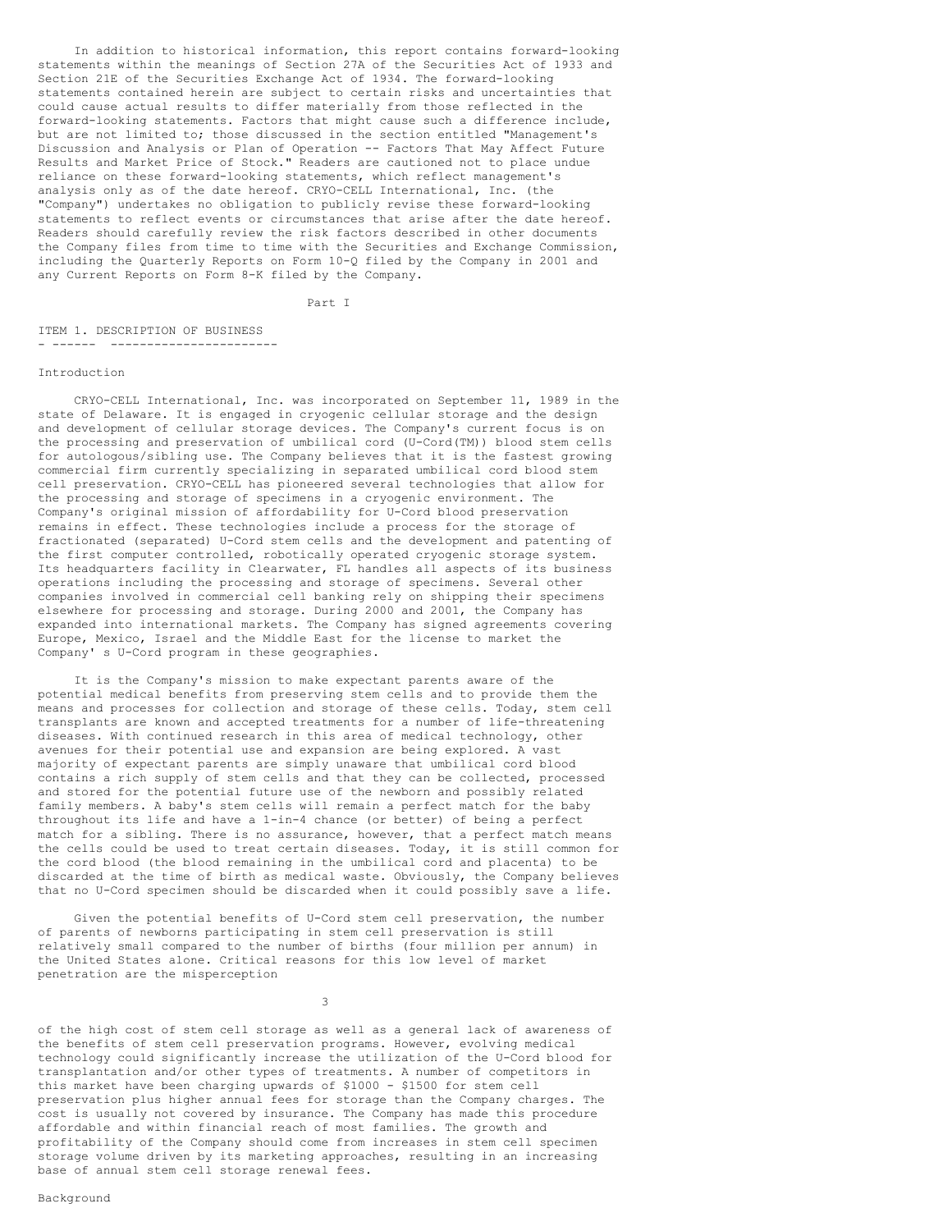In addition to historical information, this report contains forward-looking statements within the meanings of Section 27A of the Securities Act of 1933 and Section 21E of the Securities Exchange Act of 1934. The forward-looking statements contained herein are subject to certain risks and uncertainties that could cause actual results to differ materially from those reflected in the forward-looking statements. Factors that might cause such a difference include, but are not limited to; those discussed in the section entitled "Management's Discussion and Analysis or Plan of Operation -- Factors That May Affect Future Results and Market Price of Stock." Readers are cautioned not to place undue reliance on these forward-looking statements, which reflect management's analysis only as of the date hereof. CRYO-CELL International, Inc. (the "Company") undertakes no obligation to publicly revise these forward-looking statements to reflect events or circumstances that arise after the date hereof. Readers should carefully review the risk factors described in other documents the Company files from time to time with the Securities and Exchange Commission, including the Quarterly Reports on Form 10-Q filed by the Company in 2001 and any Current Reports on Form 8-K filed by the Company.

Part I

ITEM 1. DESCRIPTION OF BUSINESS - ------ -----------------------

#### Introduction

CRYO-CELL International, Inc. was incorporated on September 11, 1989 in the state of Delaware. It is engaged in cryogenic cellular storage and the design and development of cellular storage devices. The Company's current focus is on the processing and preservation of umbilical cord (U-Cord(TM)) blood stem cells for autologous/sibling use. The Company believes that it is the fastest growing commercial firm currently specializing in separated umbilical cord blood stem cell preservation. CRYO-CELL has pioneered several technologies that allow for the processing and storage of specimens in a cryogenic environment. The Company's original mission of affordability for U-Cord blood preservation remains in effect. These technologies include a process for the storage of fractionated (separated) U-Cord stem cells and the development and patenting of the first computer controlled, robotically operated cryogenic storage system. Its headquarters facility in Clearwater, FL handles all aspects of its business operations including the processing and storage of specimens. Several other companies involved in commercial cell banking rely on shipping their specimens elsewhere for processing and storage. During 2000 and 2001, the Company has expanded into international markets. The Company has signed agreements covering Europe, Mexico, Israel and the Middle East for the license to market the Company' s U-Cord program in these geographies.

It is the Company's mission to make expectant parents aware of the potential medical benefits from preserving stem cells and to provide them the means and processes for collection and storage of these cells. Today, stem cell transplants are known and accepted treatments for a number of life-threatening diseases. With continued research in this area of medical technology, other avenues for their potential use and expansion are being explored. A vast majority of expectant parents are simply unaware that umbilical cord blood contains a rich supply of stem cells and that they can be collected, processed and stored for the potential future use of the newborn and possibly related family members. A baby's stem cells will remain a perfect match for the baby throughout its life and have a 1-in-4 chance (or better) of being a perfect match for a sibling. There is no assurance, however, that a perfect match means the cells could be used to treat certain diseases. Today, it is still common for the cord blood (the blood remaining in the umbilical cord and placenta) to be discarded at the time of birth as medical waste. Obviously, the Company believes that no U-Cord specimen should be discarded when it could possibly save a life.

Given the potential benefits of U-Cord stem cell preservation, the number of parents of newborns participating in stem cell preservation is still relatively small compared to the number of births (four million per annum) in the United States alone. Critical reasons for this low level of market penetration are the misperception

3

of the high cost of stem cell storage as well as a general lack of awareness of the benefits of stem cell preservation programs. However, evolving medical technology could significantly increase the utilization of the U-Cord blood for transplantation and/or other types of treatments. A number of competitors in this market have been charging upwards of \$1000 - \$1500 for stem cell preservation plus higher annual fees for storage than the Company charges. The cost is usually not covered by insurance. The Company has made this procedure affordable and within financial reach of most families. The growth and profitability of the Company should come from increases in stem cell specimen storage volume driven by its marketing approaches, resulting in an increasing base of annual stem cell storage renewal fees.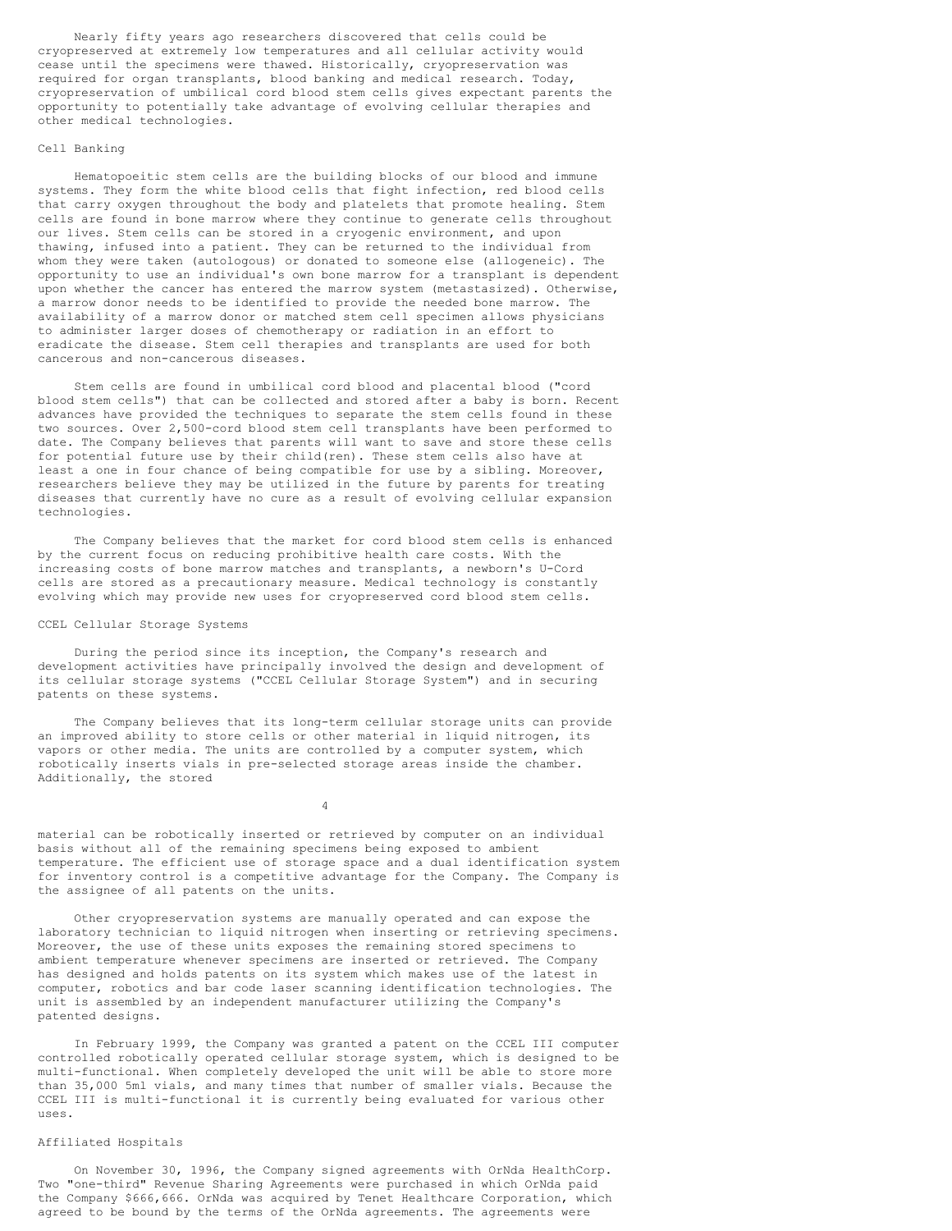Nearly fifty years ago researchers discovered that cells could be cryopreserved at extremely low temperatures and all cellular activity would cease until the specimens were thawed. Historically, cryopreservation was required for organ transplants, blood banking and medical research. Today, cryopreservation of umbilical cord blood stem cells gives expectant parents the opportunity to potentially take advantage of evolving cellular therapies and other medical technologies.

## Cell Banking

Hematopoeitic stem cells are the building blocks of our blood and immune systems. They form the white blood cells that fight infection, red blood cells that carry oxygen throughout the body and platelets that promote healing. Stem cells are found in bone marrow where they continue to generate cells throughout our lives. Stem cells can be stored in a cryogenic environment, and upon thawing, infused into a patient. They can be returned to the individual from whom they were taken (autologous) or donated to someone else (allogeneic). The opportunity to use an individual's own bone marrow for a transplant is dependent upon whether the cancer has entered the marrow system (metastasized). Otherwise, a marrow donor needs to be identified to provide the needed bone marrow. The availability of a marrow donor or matched stem cell specimen allows physicians to administer larger doses of chemotherapy or radiation in an effort to eradicate the disease. Stem cell therapies and transplants are used for both cancerous and non-cancerous diseases.

Stem cells are found in umbilical cord blood and placental blood ("cord blood stem cells") that can be collected and stored after a baby is born. Recent advances have provided the techniques to separate the stem cells found in these two sources. Over 2,500-cord blood stem cell transplants have been performed to date. The Company believes that parents will want to save and store these cells for potential future use by their child(ren). These stem cells also have at least a one in four chance of being compatible for use by a sibling. Moreover, researchers believe they may be utilized in the future by parents for treating diseases that currently have no cure as a result of evolving cellular expansion technologies.

The Company believes that the market for cord blood stem cells is enhanced by the current focus on reducing prohibitive health care costs. With the increasing costs of bone marrow matches and transplants, a newborn's U-Cord cells are stored as a precautionary measure. Medical technology is constantly evolving which may provide new uses for cryopreserved cord blood stem cells.

#### CCEL Cellular Storage Systems

During the period since its inception, the Company's research and development activities have principally involved the design and development of its cellular storage systems ("CCEL Cellular Storage System") and in securing patents on these systems.

The Company believes that its long-term cellular storage units can provide an improved ability to store cells or other material in liquid nitrogen, its vapors or other media. The units are controlled by a computer system, which robotically inserts vials in pre-selected storage areas inside the chamber. Additionally, the stored

4

material can be robotically inserted or retrieved by computer on an individual basis without all of the remaining specimens being exposed to ambient temperature. The efficient use of storage space and a dual identification system for inventory control is a competitive advantage for the Company. The Company is the assignee of all patents on the units.

Other cryopreservation systems are manually operated and can expose the laboratory technician to liquid nitrogen when inserting or retrieving specimens. Moreover, the use of these units exposes the remaining stored specimens to ambient temperature whenever specimens are inserted or retrieved. The Company has designed and holds patents on its system which makes use of the latest in computer, robotics and bar code laser scanning identification technologies. The unit is assembled by an independent manufacturer utilizing the Company's patented designs.

In February 1999, the Company was granted a patent on the CCEL III computer controlled robotically operated cellular storage system, which is designed to be multi-functional. When completely developed the unit will be able to store more than 35,000 5ml vials, and many times that number of smaller vials. Because the CCEL III is multi-functional it is currently being evaluated for various other uses.

# Affiliated Hospitals

On November 30, 1996, the Company signed agreements with OrNda HealthCorp. Two "one-third" Revenue Sharing Agreements were purchased in which OrNda paid the Company \$666,666. OrNda was acquired by Tenet Healthcare Corporation, which agreed to be bound by the terms of the OrNda agreements. The agreements were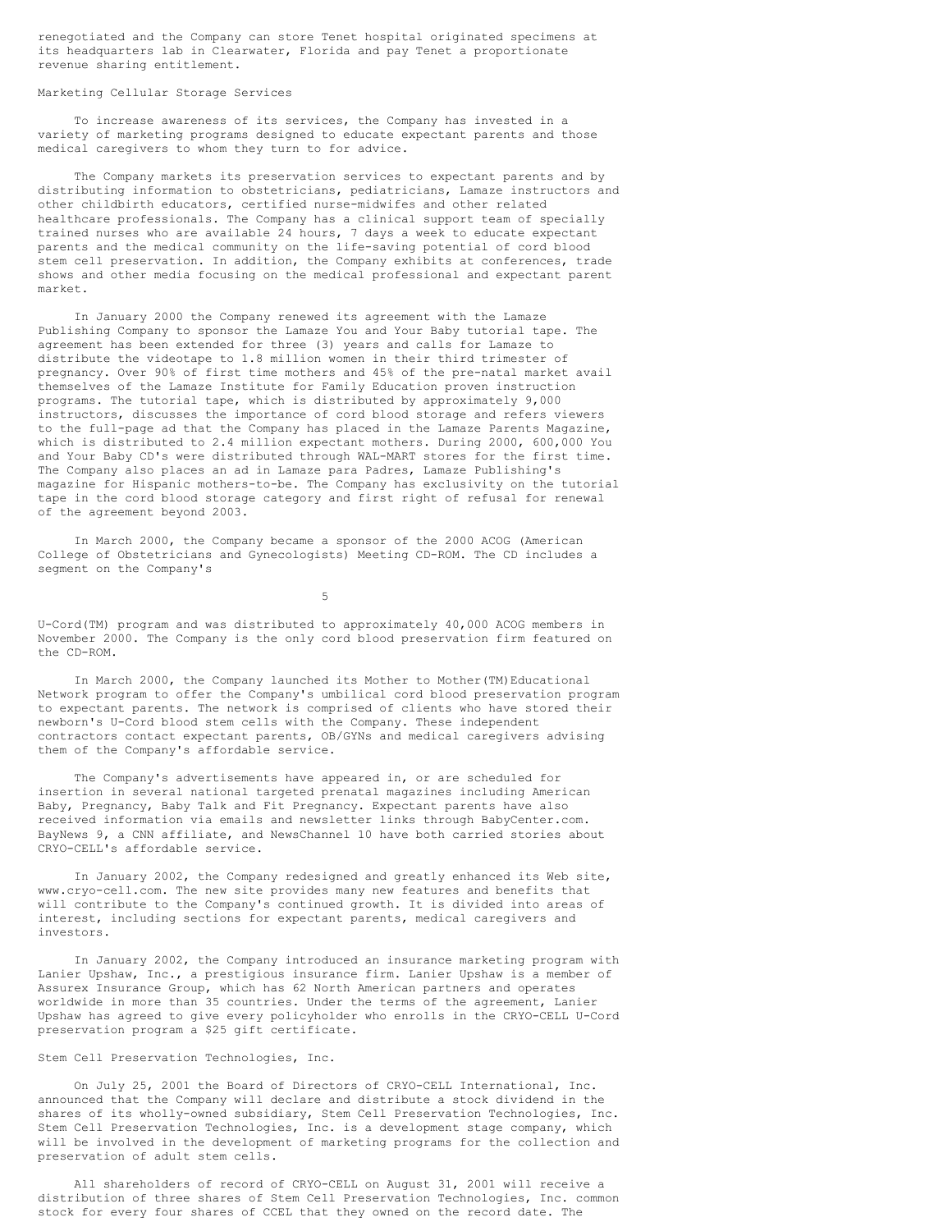renegotiated and the Company can store Tenet hospital originated specimens at its headquarters lab in Clearwater, Florida and pay Tenet a proportionate revenue sharing entitlement.

## Marketing Cellular Storage Services

To increase awareness of its services, the Company has invested in a variety of marketing programs designed to educate expectant parents and those medical caregivers to whom they turn to for advice.

The Company markets its preservation services to expectant parents and by distributing information to obstetricians, pediatricians, Lamaze instructors and other childbirth educators, certified nurse-midwifes and other related healthcare professionals. The Company has a clinical support team of specially trained nurses who are available 24 hours, 7 days a week to educate expectant parents and the medical community on the life-saving potential of cord blood stem cell preservation. In addition, the Company exhibits at conferences, trade shows and other media focusing on the medical professional and expectant parent market.

In January 2000 the Company renewed its agreement with the Lamaze Publishing Company to sponsor the Lamaze You and Your Baby tutorial tape. The agreement has been extended for three (3) years and calls for Lamaze to distribute the videotape to 1.8 million women in their third trimester of pregnancy. Over 90% of first time mothers and 45% of the pre-natal market avail themselves of the Lamaze Institute for Family Education proven instruction programs. The tutorial tape, which is distributed by approximately 9,000 instructors, discusses the importance of cord blood storage and refers viewers to the full-page ad that the Company has placed in the Lamaze Parents Magazine, which is distributed to 2.4 million expectant mothers. During 2000, 600,000 You and Your Baby CD's were distributed through WAL-MART stores for the first time. The Company also places an ad in Lamaze para Padres, Lamaze Publishing's magazine for Hispanic mothers-to-be. The Company has exclusivity on the tutorial tape in the cord blood storage category and first right of refusal for renewal of the agreement beyond 2003.

In March 2000, the Company became a sponsor of the 2000 ACOG (American College of Obstetricians and Gynecologists) Meeting CD-ROM. The CD includes a segment on the Company's

5

U-Cord(TM) program and was distributed to approximately 40,000 ACOG members in November 2000. The Company is the only cord blood preservation firm featured on the CD-ROM.

In March 2000, the Company launched its Mother to Mother(TM)Educational Network program to offer the Company's umbilical cord blood preservation program to expectant parents. The network is comprised of clients who have stored their newborn's U-Cord blood stem cells with the Company. These independent contractors contact expectant parents, OB/GYNs and medical caregivers advising them of the Company's affordable service.

The Company's advertisements have appeared in, or are scheduled for insertion in several national targeted prenatal magazines including American Baby, Pregnancy, Baby Talk and Fit Pregnancy. Expectant parents have also received information via emails and newsletter links through BabyCenter.com. BayNews 9, a CNN affiliate, and NewsChannel 10 have both carried stories about CRYO-CELL's affordable service.

In January 2002, the Company redesigned and greatly enhanced its Web site, www.cryo-cell.com. The new site provides many new features and benefits that will contribute to the Company's continued growth. It is divided into areas of interest, including sections for expectant parents, medical caregivers and investors.

In January 2002, the Company introduced an insurance marketing program with Lanier Upshaw, Inc., a prestigious insurance firm. Lanier Upshaw is a member of Assurex Insurance Group, which has 62 North American partners and operates worldwide in more than 35 countries. Under the terms of the agreement, Lanier Upshaw has agreed to give every policyholder who enrolls in the CRYO-CELL U-Cord preservation program a \$25 gift certificate.

# Stem Cell Preservation Technologies, Inc.

On July 25, 2001 the Board of Directors of CRYO-CELL International, Inc. announced that the Company will declare and distribute a stock dividend in the shares of its wholly-owned subsidiary, Stem Cell Preservation Technologies, Inc. Stem Cell Preservation Technologies, Inc. is a development stage company, which will be involved in the development of marketing programs for the collection and preservation of adult stem cells.

All shareholders of record of CRYO-CELL on August 31, 2001 will receive a distribution of three shares of Stem Cell Preservation Technologies, Inc. common stock for every four shares of CCEL that they owned on the record date. The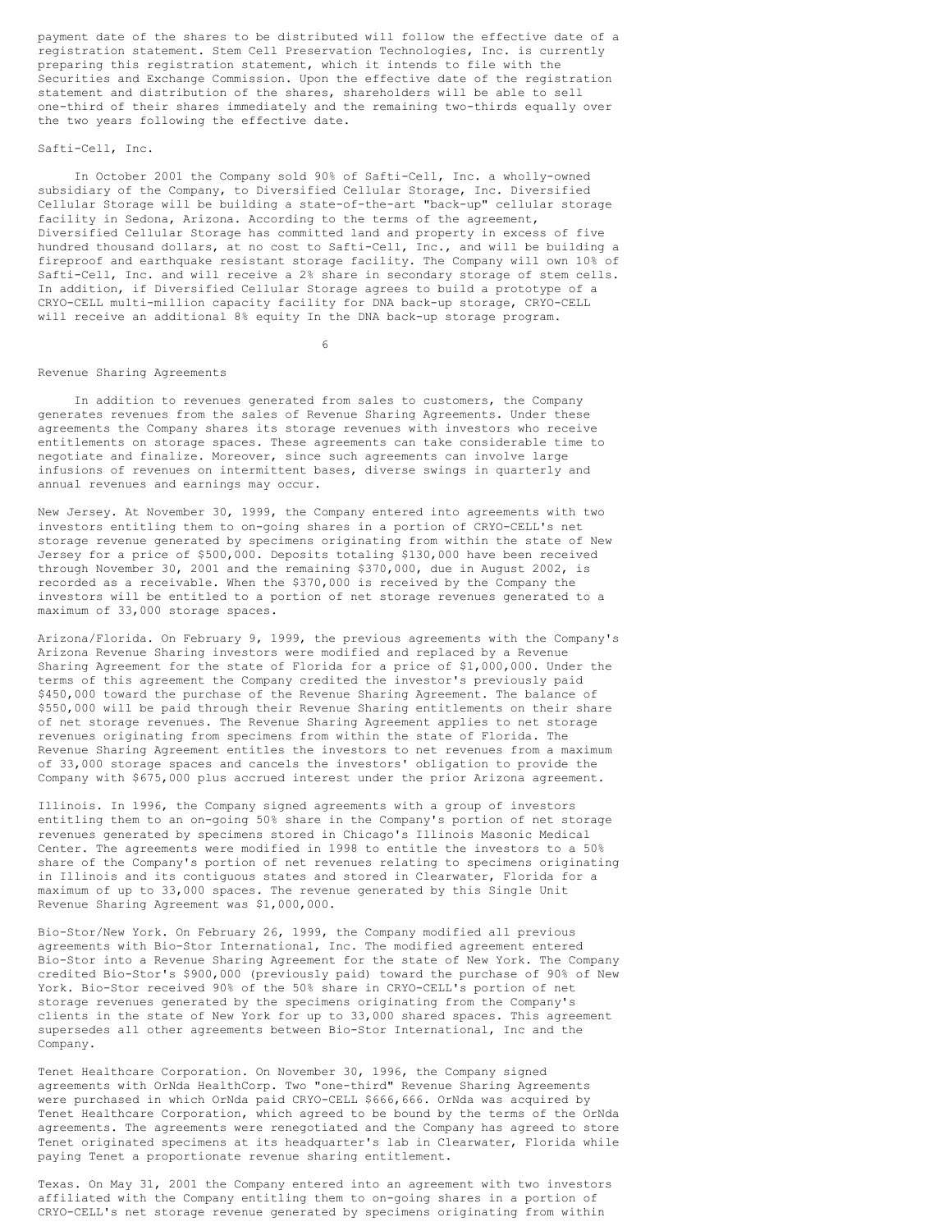payment date of the shares to be distributed will follow the effective date of a registration statement. Stem Cell Preservation Technologies, Inc. is currently preparing this registration statement, which it intends to file with the Securities and Exchange Commission. Upon the effective date of the registration statement and distribution of the shares, shareholders will be able to sell one-third of their shares immediately and the remaining two-thirds equally over the two years following the effective date.

## Safti-Cell, Inc.

In October 2001 the Company sold 90% of Safti-Cell, Inc. a wholly-owned subsidiary of the Company, to Diversified Cellular Storage, Inc. Diversified Cellular Storage will be building a state-of-the-art "back-up" cellular storage facility in Sedona, Arizona. According to the terms of the agreement, Diversified Cellular Storage has committed land and property in excess of five hundred thousand dollars, at no cost to Safti-Cell, Inc., and will be building a fireproof and earthquake resistant storage facility. The Company will own 10% of Safti-Cell, Inc. and will receive a 2% share in secondary storage of stem cells. In addition, if Diversified Cellular Storage agrees to build a prototype of a CRYO-CELL multi-million capacity facility for DNA back-up storage, CRYO-CELL will receive an additional 8% equity In the DNA back-up storage program.

6

#### Revenue Sharing Agreements

In addition to revenues generated from sales to customers, the Company generates revenues from the sales of Revenue Sharing Agreements. Under these agreements the Company shares its storage revenues with investors who receive entitlements on storage spaces. These agreements can take considerable time to negotiate and finalize. Moreover, since such agreements can involve large infusions of revenues on intermittent bases, diverse swings in quarterly and annual revenues and earnings may occur.

New Jersey. At November 30, 1999, the Company entered into agreements with two investors entitling them to on-going shares in a portion of CRYO-CELL's net storage revenue generated by specimens originating from within the state of New Jersey for a price of \$500,000. Deposits totaling \$130,000 have been received through November 30, 2001 and the remaining \$370,000, due in August 2002, is recorded as a receivable. When the \$370,000 is received by the Company the investors will be entitled to a portion of net storage revenues generated to a maximum of 33,000 storage spaces.

Arizona/Florida. On February 9, 1999, the previous agreements with the Company's Arizona Revenue Sharing investors were modified and replaced by a Revenue Sharing Agreement for the state of Florida for a price of \$1,000,000. Under the terms of this agreement the Company credited the investor's previously paid \$450,000 toward the purchase of the Revenue Sharing Agreement. The balance of \$550,000 will be paid through their Revenue Sharing entitlements on their share of net storage revenues. The Revenue Sharing Agreement applies to net storage revenues originating from specimens from within the state of Florida. The Revenue Sharing Agreement entitles the investors to net revenues from a maximum of 33,000 storage spaces and cancels the investors' obligation to provide the Company with \$675,000 plus accrued interest under the prior Arizona agreement.

Illinois. In 1996, the Company signed agreements with a group of investors entitling them to an on-going 50% share in the Company's portion of net storage revenues generated by specimens stored in Chicago's Illinois Masonic Medical Center. The agreements were modified in 1998 to entitle the investors to a 50% share of the Company's portion of net revenues relating to specimens originating in Illinois and its contiguous states and stored in Clearwater, Florida for a maximum of up to 33,000 spaces. The revenue generated by this Single Unit Revenue Sharing Agreement was \$1,000,000.

Bio-Stor/New York. On February 26, 1999, the Company modified all previous agreements with Bio-Stor International, Inc. The modified agreement entered Bio-Stor into a Revenue Sharing Agreement for the state of New York. The Company credited Bio-Stor's \$900,000 (previously paid) toward the purchase of 90% of New York. Bio-Stor received 90% of the 50% share in CRYO-CELL's portion of net storage revenues generated by the specimens originating from the Company's clients in the state of New York for up to 33,000 shared spaces. This agreement supersedes all other agreements between Bio-Stor International, Inc and the Company.

Tenet Healthcare Corporation. On November 30, 1996, the Company signed agreements with OrNda HealthCorp. Two "one-third" Revenue Sharing Agreements were purchased in which OrNda paid CRYO-CELL \$666,666. OrNda was acquired by Tenet Healthcare Corporation, which agreed to be bound by the terms of the OrNda agreements. The agreements were renegotiated and the Company has agreed to store Tenet originated specimens at its headquarter's lab in Clearwater, Florida while paying Tenet a proportionate revenue sharing entitlement.

Texas. On May 31, 2001 the Company entered into an agreement with two investors affiliated with the Company entitling them to on-going shares in a portion of CRYO-CELL's net storage revenue generated by specimens originating from within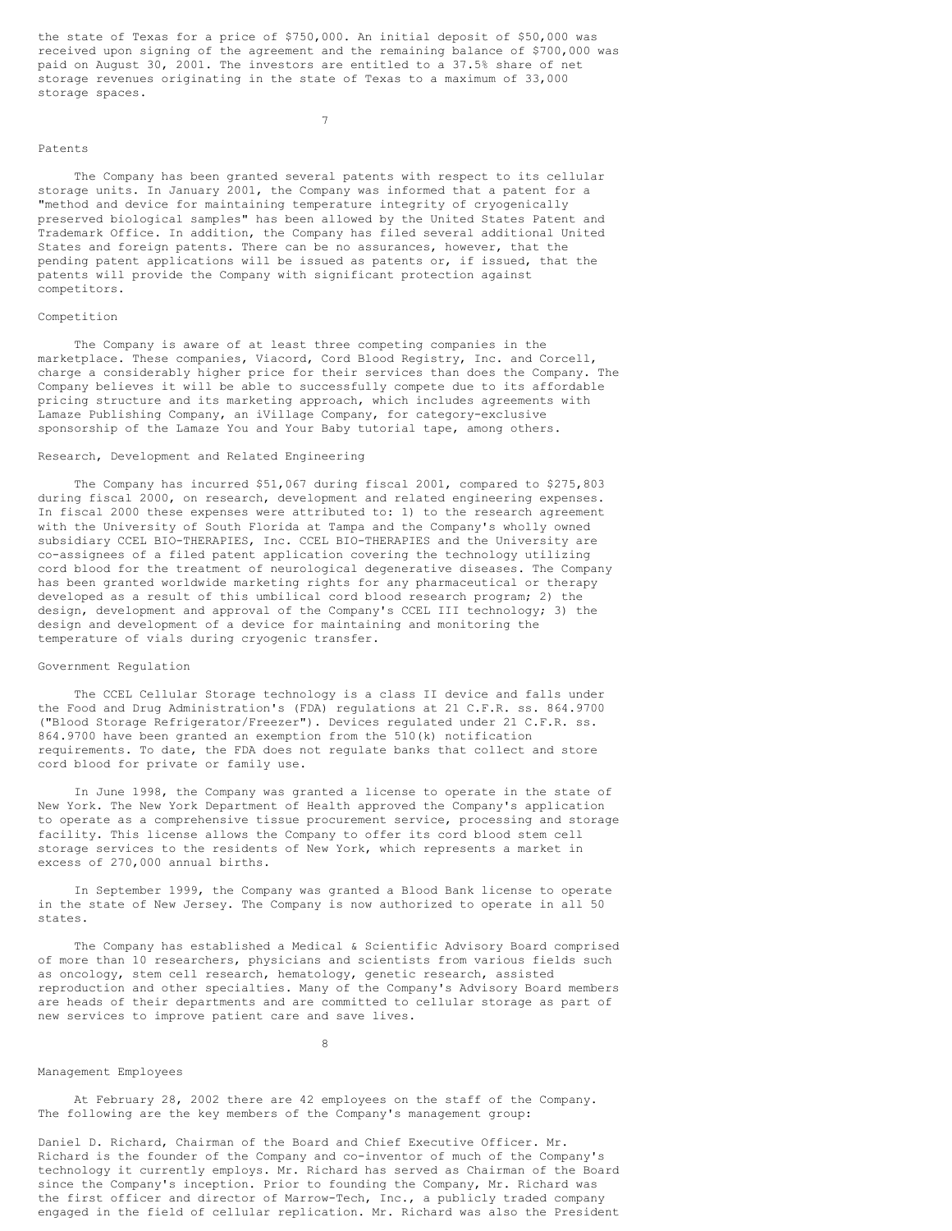the state of Texas for a price of \$750,000. An initial deposit of \$50,000 was received upon signing of the agreement and the remaining balance of \$700,000 was paid on August 30, 2001. The investors are entitled to a 37.5% share of net storage revenues originating in the state of Texas to a maximum of 33,000 storage spaces.

## 7

## Patents

The Company has been granted several patents with respect to its cellular storage units. In January 2001, the Company was informed that a patent for a "method and device for maintaining temperature integrity of cryogenically preserved biological samples" has been allowed by the United States Patent and Trademark Office. In addition, the Company has filed several additional United States and foreign patents. There can be no assurances, however, that the pending patent applications will be issued as patents or, if issued, that the patents will provide the Company with significant protection against competitors.

## Competition

The Company is aware of at least three competing companies in the marketplace. These companies, Viacord, Cord Blood Registry, Inc. and Corcell, charge a considerably higher price for their services than does the Company. The Company believes it will be able to successfully compete due to its affordable pricing structure and its marketing approach, which includes agreements with Lamaze Publishing Company, an iVillage Company, for category-exclusive sponsorship of the Lamaze You and Your Baby tutorial tape, among others.

#### Research, Development and Related Engineering

The Company has incurred \$51,067 during fiscal 2001, compared to \$275,803 during fiscal 2000, on research, development and related engineering expenses. In fiscal 2000 these expenses were attributed to: 1) to the research agreement with the University of South Florida at Tampa and the Company's wholly owned subsidiary CCEL BIO-THERAPIES, Inc. CCEL BIO-THERAPIES and the University are co-assignees of a filed patent application covering the technology utilizing cord blood for the treatment of neurological degenerative diseases. The Company has been granted worldwide marketing rights for any pharmaceutical or therapy developed as a result of this umbilical cord blood research program; 2) the design, development and approval of the Company's CCEL III technology; 3) the design and development of a device for maintaining and monitoring the temperature of vials during cryogenic transfer.

## Government Regulation

The CCEL Cellular Storage technology is a class II device and falls under the Food and Drug Administration's (FDA) regulations at 21 C.F.R. ss. 864.9700 ("Blood Storage Refrigerator/Freezer"). Devices regulated under 21 C.F.R. ss. 864.9700 have been granted an exemption from the 510(k) notification requirements. To date, the FDA does not regulate banks that collect and store cord blood for private or family use.

In June 1998, the Company was granted a license to operate in the state of New York. The New York Department of Health approved the Company's application to operate as a comprehensive tissue procurement service, processing and storage facility. This license allows the Company to offer its cord blood stem cell storage services to the residents of New York, which represents a market in excess of 270,000 annual births.

In September 1999, the Company was granted a Blood Bank license to operate in the state of New Jersey. The Company is now authorized to operate in all 50 states.

The Company has established a Medical & Scientific Advisory Board comprised of more than 10 researchers, physicians and scientists from various fields such as oncology, stem cell research, hematology, genetic research, assisted reproduction and other specialties. Many of the Company's Advisory Board members are heads of their departments and are committed to cellular storage as part of new services to improve patient care and save lives.

8

#### Management Employees

At February 28, 2002 there are 42 employees on the staff of the Company. The following are the key members of the Company's management group:

Daniel D. Richard, Chairman of the Board and Chief Executive Officer. Mr. Richard is the founder of the Company and co-inventor of much of the Company's technology it currently employs. Mr. Richard has served as Chairman of the Board since the Company's inception. Prior to founding the Company, Mr. Richard was the first officer and director of Marrow-Tech, Inc., a publicly traded company engaged in the field of cellular replication. Mr. Richard was also the President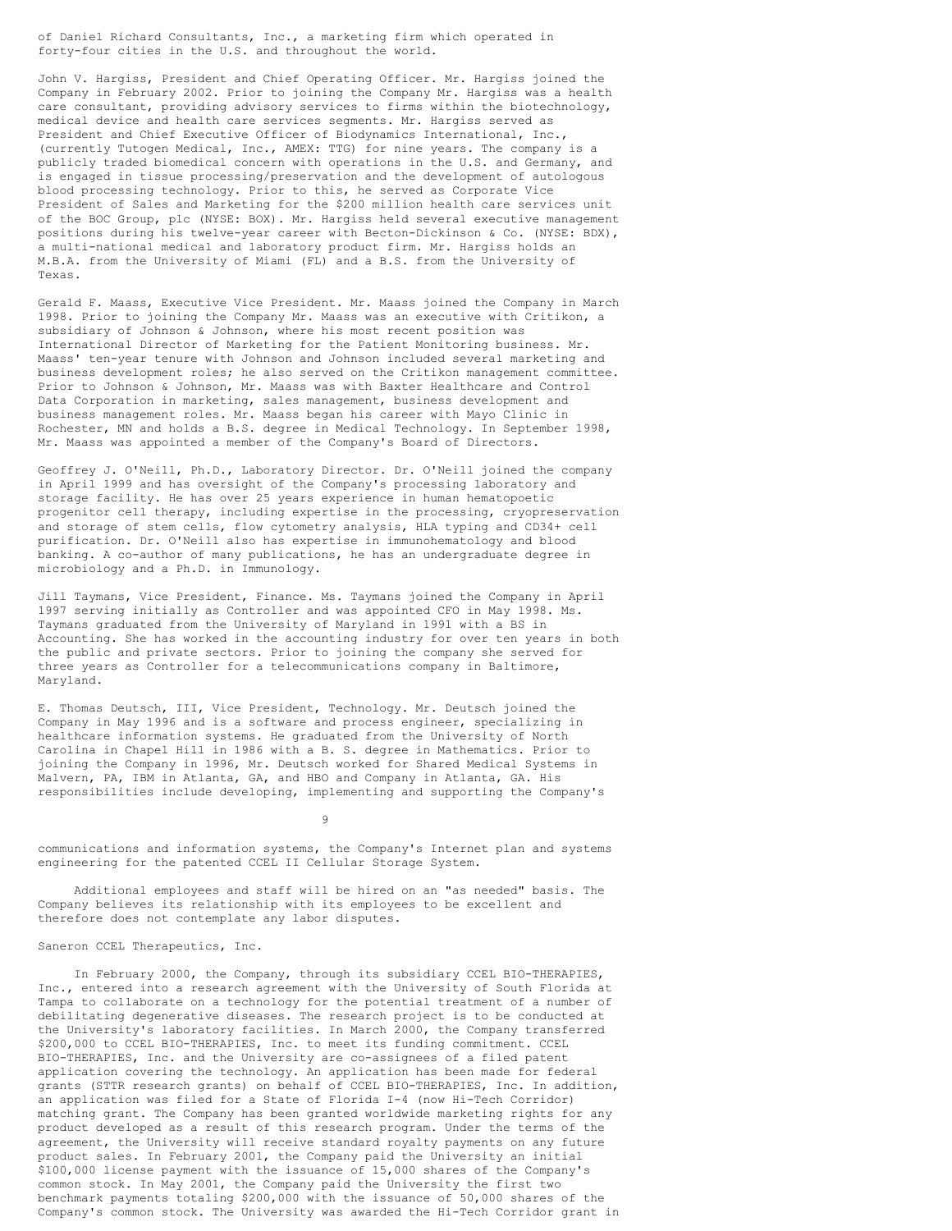of Daniel Richard Consultants, Inc., a marketing firm which operated in forty-four cities in the U.S. and throughout the world.

John V. Hargiss, President and Chief Operating Officer. Mr. Hargiss joined the Company in February 2002. Prior to joining the Company Mr. Hargiss was a health care consultant, providing advisory services to firms within the biotechnology, medical device and health care services segments. Mr. Hargiss served as President and Chief Executive Officer of Biodynamics International, Inc., (currently Tutogen Medical, Inc., AMEX: TTG) for nine years. The company is a publicly traded biomedical concern with operations in the U.S. and Germany, and is engaged in tissue processing/preservation and the development of autologous blood processing technology. Prior to this, he served as Corporate Vice President of Sales and Marketing for the \$200 million health care services unit of the BOC Group, plc (NYSE: BOX). Mr. Hargiss held several executive management positions during his twelve-year career with Becton-Dickinson & Co. (NYSE: BDX), a multi-national medical and laboratory product firm. Mr. Hargiss holds an M.B.A. from the University of Miami (FL) and a B.S. from the University of Texas.

Gerald F. Maass, Executive Vice President. Mr. Maass joined the Company in March 1998. Prior to joining the Company Mr. Maass was an executive with Critikon, a subsidiary of Johnson & Johnson, where his most recent position was International Director of Marketing for the Patient Monitoring business. Mr. Maass' ten-year tenure with Johnson and Johnson included several marketing and business development roles; he also served on the Critikon management committee. Prior to Johnson & Johnson, Mr. Maass was with Baxter Healthcare and Control Data Corporation in marketing, sales management, business development and business management roles. Mr. Maass began his career with Mayo Clinic in Rochester, MN and holds a B.S. degree in Medical Technology. In September 1998, Mr. Maass was appointed a member of the Company's Board of Directors.

Geoffrey J. O'Neill, Ph.D., Laboratory Director. Dr. O'Neill joined the company in April 1999 and has oversight of the Company's processing laboratory and storage facility. He has over 25 years experience in human hematopoetic progenitor cell therapy, including expertise in the processing, cryopreservation and storage of stem cells, flow cytometry analysis, HLA typing and CD34+ cell purification. Dr. O'Neill also has expertise in immunohematology and blood banking. A co-author of many publications, he has an undergraduate degree in microbiology and a Ph.D. in Immunology.

Jill Taymans, Vice President, Finance. Ms. Taymans joined the Company in April 1997 serving initially as Controller and was appointed CFO in May 1998. Ms. Taymans graduated from the University of Maryland in 1991 with a BS in Accounting. She has worked in the accounting industry for over ten years in both the public and private sectors. Prior to joining the company she served for three years as Controller for a telecommunications company in Baltimore, Maryland.

E. Thomas Deutsch, III, Vice President, Technology. Mr. Deutsch joined the Company in May 1996 and is a software and process engineer, specializing in healthcare information systems. He graduated from the University of North Carolina in Chapel Hill in 1986 with a B. S. degree in Mathematics. Prior to joining the Company in 1996, Mr. Deutsch worked for Shared Medical Systems in Malvern, PA, IBM in Atlanta, GA, and HBO and Company in Atlanta, GA. His responsibilities include developing, implementing and supporting the Company's

9

communications and information systems, the Company's Internet plan and systems engineering for the patented CCEL II Cellular Storage System.

Additional employees and staff will be hired on an "as needed" basis. The Company believes its relationship with its employees to be excellent and therefore does not contemplate any labor disputes.

# Saneron CCEL Therapeutics, Inc.

In February 2000, the Company, through its subsidiary CCEL BIO-THERAPIES, Inc., entered into a research agreement with the University of South Florida at Tampa to collaborate on a technology for the potential treatment of a number of debilitating degenerative diseases. The research project is to be conducted at the University's laboratory facilities. In March 2000, the Company transferred \$200,000 to CCEL BIO-THERAPIES, Inc. to meet its funding commitment. CCEL BIO-THERAPIES, Inc. and the University are co-assignees of a filed patent application covering the technology. An application has been made for federal grants (STTR research grants) on behalf of CCEL BIO-THERAPIES, Inc. In addition, an application was filed for a State of Florida I-4 (now Hi-Tech Corridor) matching grant. The Company has been granted worldwide marketing rights for any product developed as a result of this research program. Under the terms of the agreement, the University will receive standard royalty payments on any future product sales. In February 2001, the Company paid the University an initial \$100,000 license payment with the issuance of 15,000 shares of the Company's common stock. In May 2001, the Company paid the University the first two benchmark payments totaling \$200,000 with the issuance of 50,000 shares of the Company's common stock. The University was awarded the Hi-Tech Corridor grant in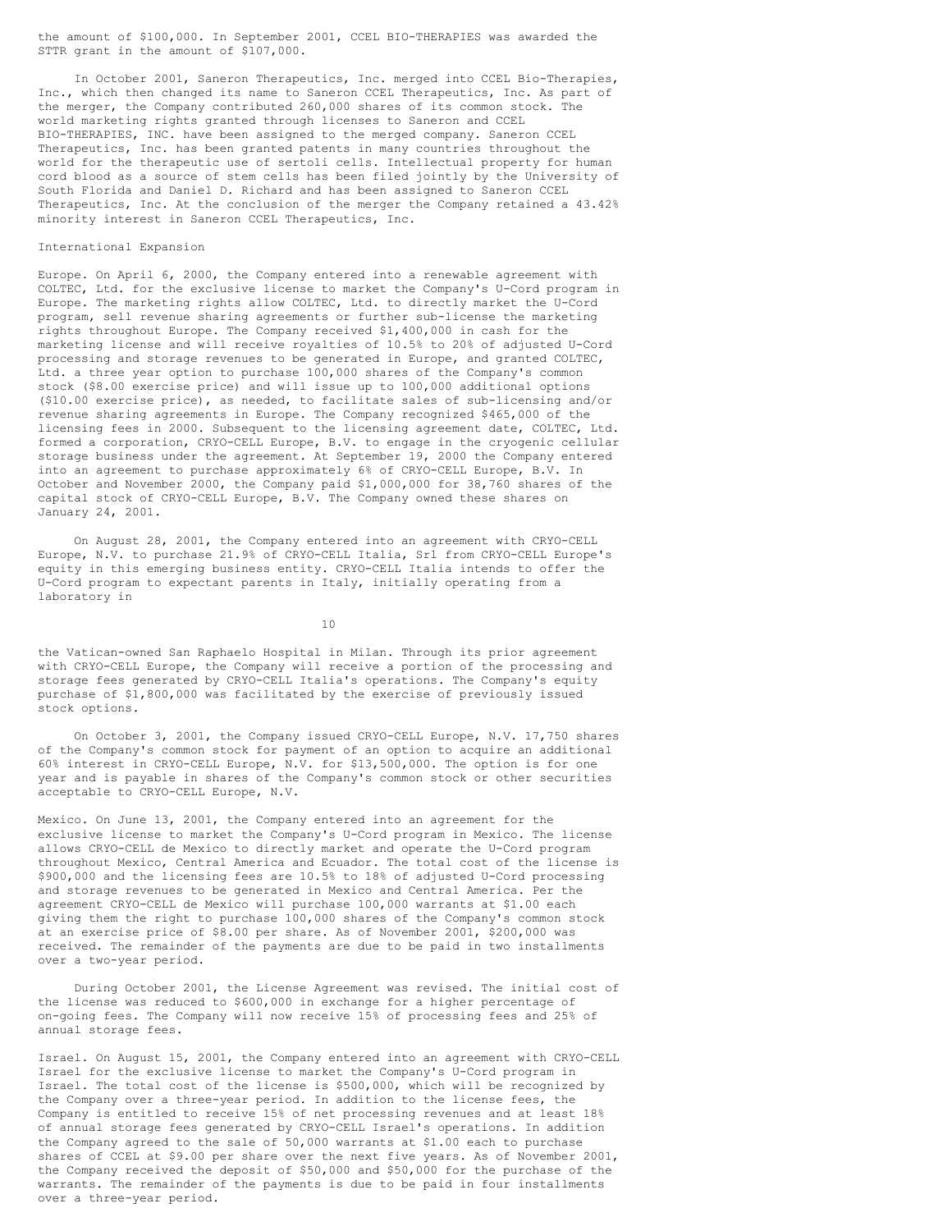the amount of \$100,000. In September 2001, CCEL BIO-THERAPIES was awarded the STTR grant in the amount of \$107,000.

In October 2001, Saneron Therapeutics, Inc. merged into CCEL Bio-Therapies, Inc., which then changed its name to Saneron CCEL Therapeutics, Inc. As part of the merger, the Company contributed 260,000 shares of its common stock. The world marketing rights granted through licenses to Saneron and CCEL BIO-THERAPIES, INC. have been assigned to the merged company. Saneron CCEL Therapeutics, Inc. has been granted patents in many countries throughout the world for the therapeutic use of sertoli cells. Intellectual property for human cord blood as a source of stem cells has been filed jointly by the University of South Florida and Daniel D. Richard and has been assigned to Saneron CCEL Therapeutics, Inc. At the conclusion of the merger the Company retained a 43.42% minority interest in Saneron CCEL Therapeutics, Inc.

## International Expansion

Europe. On April 6, 2000, the Company entered into a renewable agreement with COLTEC, Ltd. for the exclusive license to market the Company's U-Cord program in Europe. The marketing rights allow COLTEC, Ltd. to directly market the U-Cord program, sell revenue sharing agreements or further sub-license the marketing rights throughout Europe. The Company received \$1,400,000 in cash for the marketing license and will receive royalties of 10.5% to 20% of adjusted U-Cord processing and storage revenues to be generated in Europe, and granted COLTEC, Ltd. a three year option to purchase 100,000 shares of the Company's common stock (\$8.00 exercise price) and will issue up to 100,000 additional options (\$10.00 exercise price), as needed, to facilitate sales of sub-licensing and/or revenue sharing agreements in Europe. The Company recognized \$465,000 of the licensing fees in 2000. Subsequent to the licensing agreement date, COLTEC, Ltd. formed a corporation, CRYO-CELL Europe, B.V. to engage in the cryogenic cellular storage business under the agreement. At September 19, 2000 the Company entered into an agreement to purchase approximately 6% of CRYO-CELL Europe, B.V. In October and November 2000, the Company paid \$1,000,000 for 38,760 shares of the capital stock of CRYO-CELL Europe, B.V. The Company owned these shares on January 24, 2001.

On August 28, 2001, the Company entered into an agreement with CRYO-CELL Europe, N.V. to purchase 21.9% of CRYO-CELL Italia, Srl from CRYO-CELL Europe's equity in this emerging business entity. CRYO-CELL Italia intends to offer the U-Cord program to expectant parents in Italy, initially operating from a laboratory in

10

the Vatican-owned San Raphaelo Hospital in Milan. Through its prior agreement with CRYO-CELL Europe, the Company will receive a portion of the processing and storage fees generated by CRYO-CELL Italia's operations. The Company's equity purchase of \$1,800,000 was facilitated by the exercise of previously issued stock options.

On October 3, 2001, the Company issued CRYO-CELL Europe, N.V. 17,750 shares of the Company's common stock for payment of an option to acquire an additional 60% interest in CRYO-CELL Europe, N.V. for \$13,500,000. The option is for one year and is payable in shares of the Company's common stock or other securities acceptable to CRYO-CELL Europe, N.V.

Mexico. On June 13, 2001, the Company entered into an agreement for the exclusive license to market the Company's U-Cord program in Mexico. The license allows CRYO-CELL de Mexico to directly market and operate the U-Cord program throughout Mexico, Central America and Ecuador. The total cost of the license is \$900,000 and the licensing fees are 10.5% to 18% of adjusted U-Cord processing and storage revenues to be generated in Mexico and Central America. Per the agreement CRYO-CELL de Mexico will purchase 100,000 warrants at \$1.00 each giving them the right to purchase 100,000 shares of the Company's common stock at an exercise price of \$8.00 per share. As of November 2001, \$200,000 was received. The remainder of the payments are due to be paid in two installments over a two-year period.

During October 2001, the License Agreement was revised. The initial cost of the license was reduced to \$600,000 in exchange for a higher percentage of on-going fees. The Company will now receive 15% of processing fees and 25% of annual storage fees.

Israel. On August 15, 2001, the Company entered into an agreement with CRYO-CELL Israel for the exclusive license to market the Company's U-Cord program in Israel. The total cost of the license is \$500,000, which will be recognized by the Company over a three-year period. In addition to the license fees, the Company is entitled to receive 15% of net processing revenues and at least 18% of annual storage fees generated by CRYO-CELL Israel's operations. In addition the Company agreed to the sale of 50,000 warrants at \$1.00 each to purchase shares of CCEL at \$9.00 per share over the next five years. As of November 2001, the Company received the deposit of \$50,000 and \$50,000 for the purchase of the warrants. The remainder of the payments is due to be paid in four installments over a three-year period.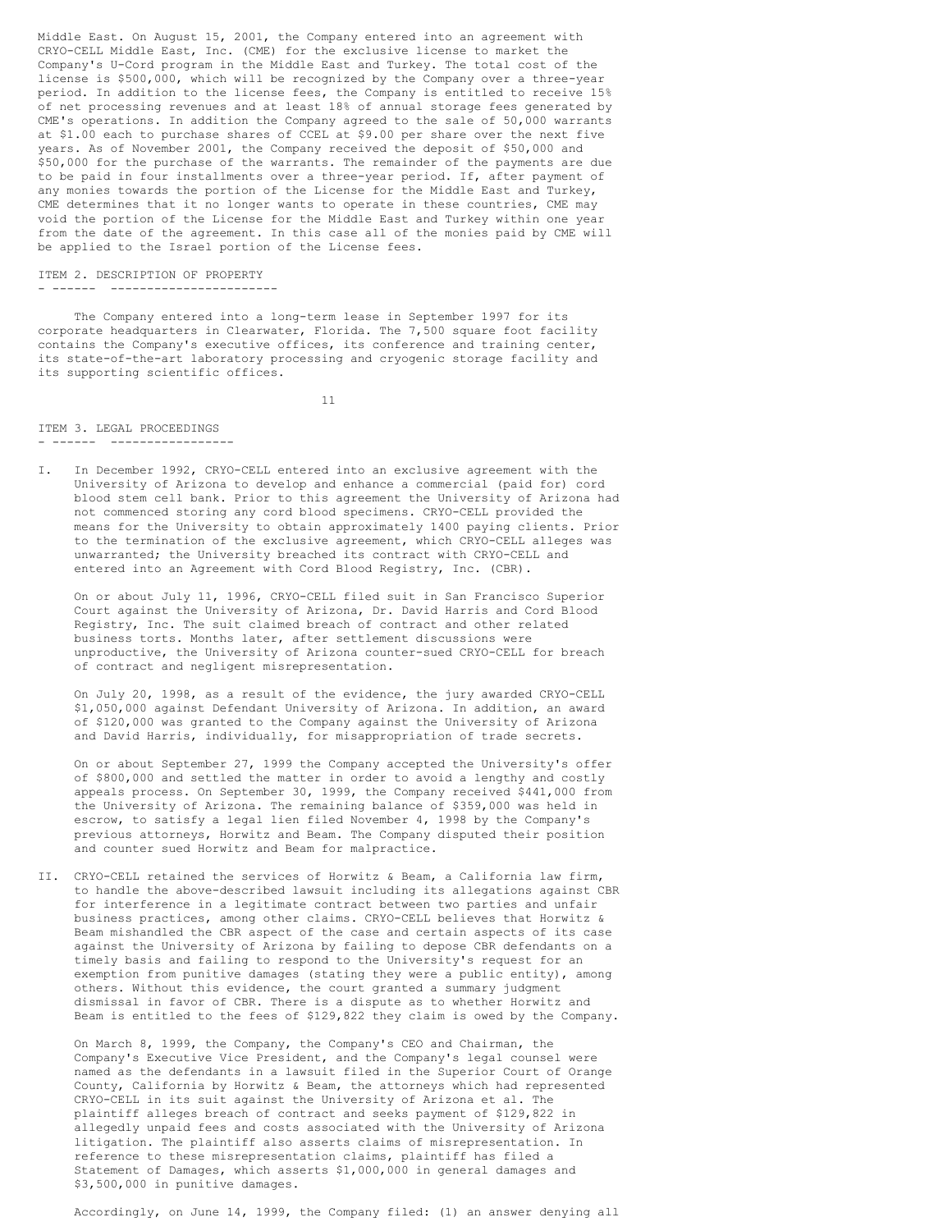Middle East. On August 15, 2001, the Company entered into an agreement with CRYO-CELL Middle East, Inc. (CME) for the exclusive license to market the Company's U-Cord program in the Middle East and Turkey. The total cost of the license is \$500,000, which will be recognized by the Company over a three-year period. In addition to the license fees, the Company is entitled to receive 15% of net processing revenues and at least 18% of annual storage fees generated by CME's operations. In addition the Company agreed to the sale of 50,000 warrants at \$1.00 each to purchase shares of CCEL at \$9.00 per share over the next five years. As of November 2001, the Company received the deposit of \$50,000 and \$50,000 for the purchase of the warrants. The remainder of the payments are due to be paid in four installments over a three-year period. If, after payment of any monies towards the portion of the License for the Middle East and Turkey, CME determines that it no longer wants to operate in these countries, CME may void the portion of the License for the Middle East and Turkey within one year from the date of the agreement. In this case all of the monies paid by CME will be applied to the Israel portion of the License fees.

# ITEM 2. DESCRIPTION OF PROPERTY

- ------ -----------------------

The Company entered into a long-term lease in September 1997 for its corporate headquarters in Clearwater, Florida. The 7,500 square foot facility contains the Company's executive offices, its conference and training center, its state-of-the-art laboratory processing and cryogenic storage facility and its supporting scientific offices.

11

#### ITEM 3. LEGAL PROCEEDINGS - ------ -----------------

I. In December 1992, CRYO-CELL entered into an exclusive agreement with the University of Arizona to develop and enhance a commercial (paid for) cord blood stem cell bank. Prior to this agreement the University of Arizona had not commenced storing any cord blood specimens. CRYO-CELL provided the means for the University to obtain approximately 1400 paying clients. Prior to the termination of the exclusive agreement, which CRYO-CELL alleges was unwarranted; the University breached its contract with CRYO-CELL and entered into an Agreement with Cord Blood Registry, Inc. (CBR).

On or about July 11, 1996, CRYO-CELL filed suit in San Francisco Superior Court against the University of Arizona, Dr. David Harris and Cord Blood Registry, Inc. The suit claimed breach of contract and other related business torts. Months later, after settlement discussions were unproductive, the University of Arizona counter-sued CRYO-CELL for breach of contract and negligent misrepresentation.

On July 20, 1998, as a result of the evidence, the jury awarded CRYO-CELL \$1,050,000 against Defendant University of Arizona. In addition, an award of \$120,000 was granted to the Company against the University of Arizona and David Harris, individually, for misappropriation of trade secrets.

On or about September 27, 1999 the Company accepted the University's offer of \$800,000 and settled the matter in order to avoid a lengthy and costly appeals process. On September 30, 1999, the Company received \$441,000 from the University of Arizona. The remaining balance of \$359,000 was held in escrow, to satisfy a legal lien filed November 4, 1998 by the Company's previous attorneys, Horwitz and Beam. The Company disputed their position and counter sued Horwitz and Beam for malpractice.

II. CRYO-CELL retained the services of Horwitz & Beam, a California law firm, to handle the above-described lawsuit including its allegations against CBR for interference in a legitimate contract between two parties and unfair business practices, among other claims. CRYO-CELL believes that Horwitz & Beam mishandled the CBR aspect of the case and certain aspects of its case against the University of Arizona by failing to depose CBR defendants on a timely basis and failing to respond to the University's request for an exemption from punitive damages (stating they were a public entity), among others. Without this evidence, the court granted a summary judgment dismissal in favor of CBR. There is a dispute as to whether Horwitz and Beam is entitled to the fees of \$129,822 they claim is owed by the Company.

On March 8, 1999, the Company, the Company's CEO and Chairman, the Company's Executive Vice President, and the Company's legal counsel were named as the defendants in a lawsuit filed in the Superior Court of Orange County, California by Horwitz & Beam, the attorneys which had represented CRYO-CELL in its suit against the University of Arizona et al. The plaintiff alleges breach of contract and seeks payment of \$129,822 in allegedly unpaid fees and costs associated with the University of Arizona litigation. The plaintiff also asserts claims of misrepresentation. In reference to these misrepresentation claims, plaintiff has filed a Statement of Damages, which asserts \$1,000,000 in general damages and \$3,500,000 in punitive damages.

Accordingly, on June 14, 1999, the Company filed: (1) an answer denying all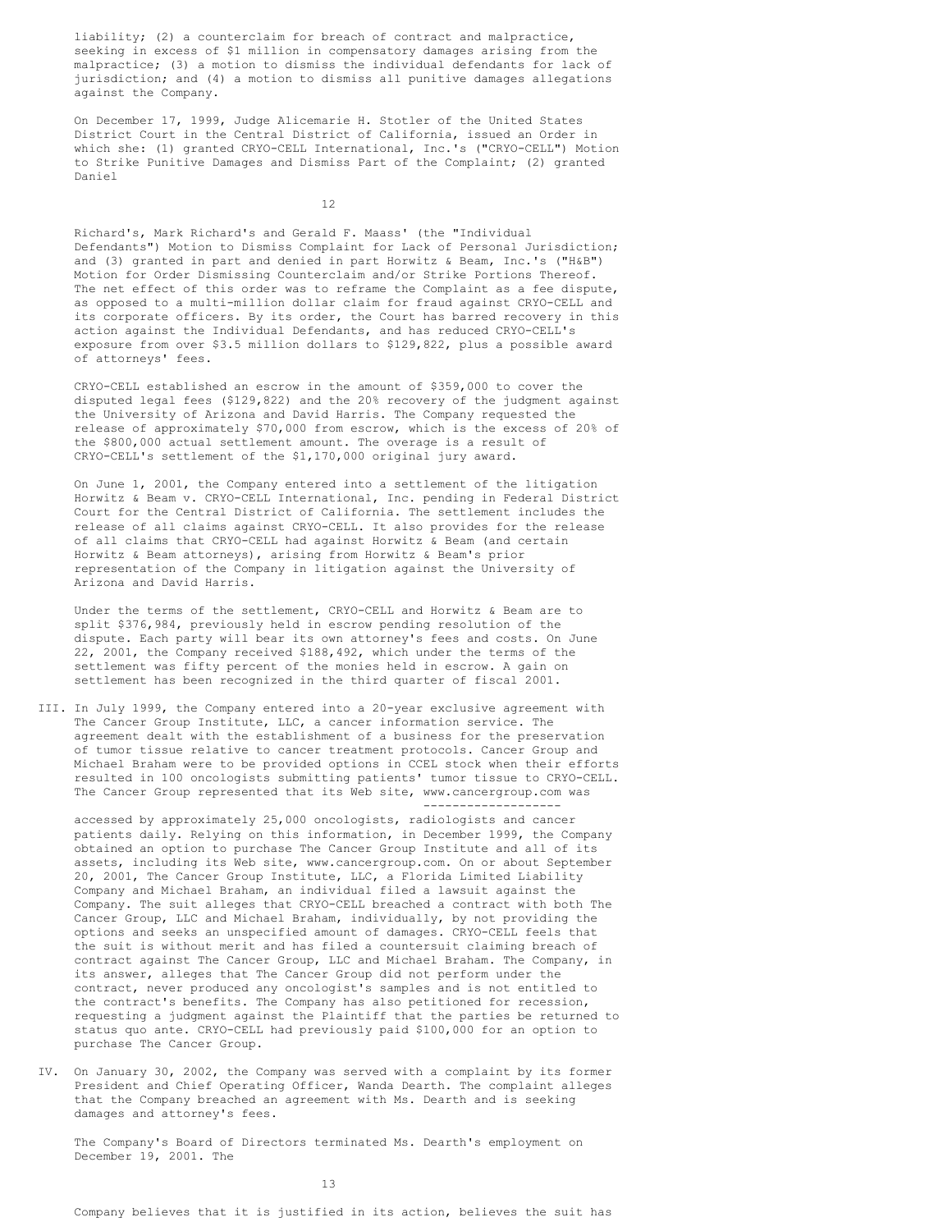liability; (2) a counterclaim for breach of contract and malpractice, seeking in excess of \$1 million in compensatory damages arising from the malpractice; (3) a motion to dismiss the individual defendants for lack of jurisdiction; and (4) a motion to dismiss all punitive damages allegations against the Company.

On December 17, 1999, Judge Alicemarie H. Stotler of the United States District Court in the Central District of California, issued an Order in which she: (1) granted CRYO-CELL International, Inc.'s ("CRYO-CELL") Motion to Strike Punitive Damages and Dismiss Part of the Complaint; (2) granted Daniel

12

Richard's, Mark Richard's and Gerald F. Maass' (the "Individual Defendants") Motion to Dismiss Complaint for Lack of Personal Jurisdiction; and (3) granted in part and denied in part Horwitz & Beam, Inc.'s ("H&B") Motion for Order Dismissing Counterclaim and/or Strike Portions Thereof. The net effect of this order was to reframe the Complaint as a fee dispute, as opposed to a multi-million dollar claim for fraud against CRYO-CELL and its corporate officers. By its order, the Court has barred recovery in this action against the Individual Defendants, and has reduced CRYO-CELL's exposure from over \$3.5 million dollars to \$129,822, plus a possible award of attorneys' fees.

CRYO-CELL established an escrow in the amount of \$359,000 to cover the disputed legal fees (\$129,822) and the 20% recovery of the judgment against the University of Arizona and David Harris. The Company requested the release of approximately \$70,000 from escrow, which is the excess of 20% of the \$800,000 actual settlement amount. The overage is a result of CRYO-CELL's settlement of the \$1,170,000 original jury award.

On June 1, 2001, the Company entered into a settlement of the litigation Horwitz & Beam v. CRYO-CELL International, Inc. pending in Federal District Court for the Central District of California. The settlement includes the release of all claims against CRYO-CELL. It also provides for the release of all claims that CRYO-CELL had against Horwitz & Beam (and certain Horwitz & Beam attorneys), arising from Horwitz & Beam's prior representation of the Company in litigation against the University of Arizona and David Harris.

Under the terms of the settlement, CRYO-CELL and Horwitz & Beam are to split \$376,984, previously held in escrow pending resolution of the dispute. Each party will bear its own attorney's fees and costs. On June 22, 2001, the Company received \$188,492, which under the terms of the settlement was fifty percent of the monies held in escrow. A gain on settlement has been recognized in the third quarter of fiscal 2001.

III. In July 1999, the Company entered into a 20-year exclusive agreement with The Cancer Group Institute, LLC, a cancer information service. The agreement dealt with the establishment of a business for the preservation of tumor tissue relative to cancer treatment protocols. Cancer Group and Michael Braham were to be provided options in CCEL stock when their efforts resulted in 100 oncologists submitting patients' tumor tissue to CRYO-CELL. The Cancer Group represented that its Web site, www.cancergroup.com was -------------------

accessed by approximately 25,000 oncologists, radiologists and cancer patients daily. Relying on this information, in December 1999, the Company obtained an option to purchase The Cancer Group Institute and all of its assets, including its Web site, www.cancergroup.com. On or about September 20, 2001, The Cancer Group Institute, LLC, a Florida Limited Liability Company and Michael Braham, an individual filed a lawsuit against the Company. The suit alleges that CRYO-CELL breached a contract with both The Cancer Group, LLC and Michael Braham, individually, by not providing the options and seeks an unspecified amount of damages. CRYO-CELL feels that the suit is without merit and has filed a countersuit claiming breach of contract against The Cancer Group, LLC and Michael Braham. The Company, in its answer, alleges that The Cancer Group did not perform under the contract, never produced any oncologist's samples and is not entitled to the contract's benefits. The Company has also petitioned for recession, requesting a judgment against the Plaintiff that the parties be returned to status quo ante. CRYO-CELL had previously paid \$100,000 for an option to purchase The Cancer Group.

IV. On January 30, 2002, the Company was served with a complaint by its former President and Chief Operating Officer, Wanda Dearth. The complaint alleges that the Company breached an agreement with Ms. Dearth and is seeking damages and attorney's fees.

The Company's Board of Directors terminated Ms. Dearth's employment on December 19, 2001. The

13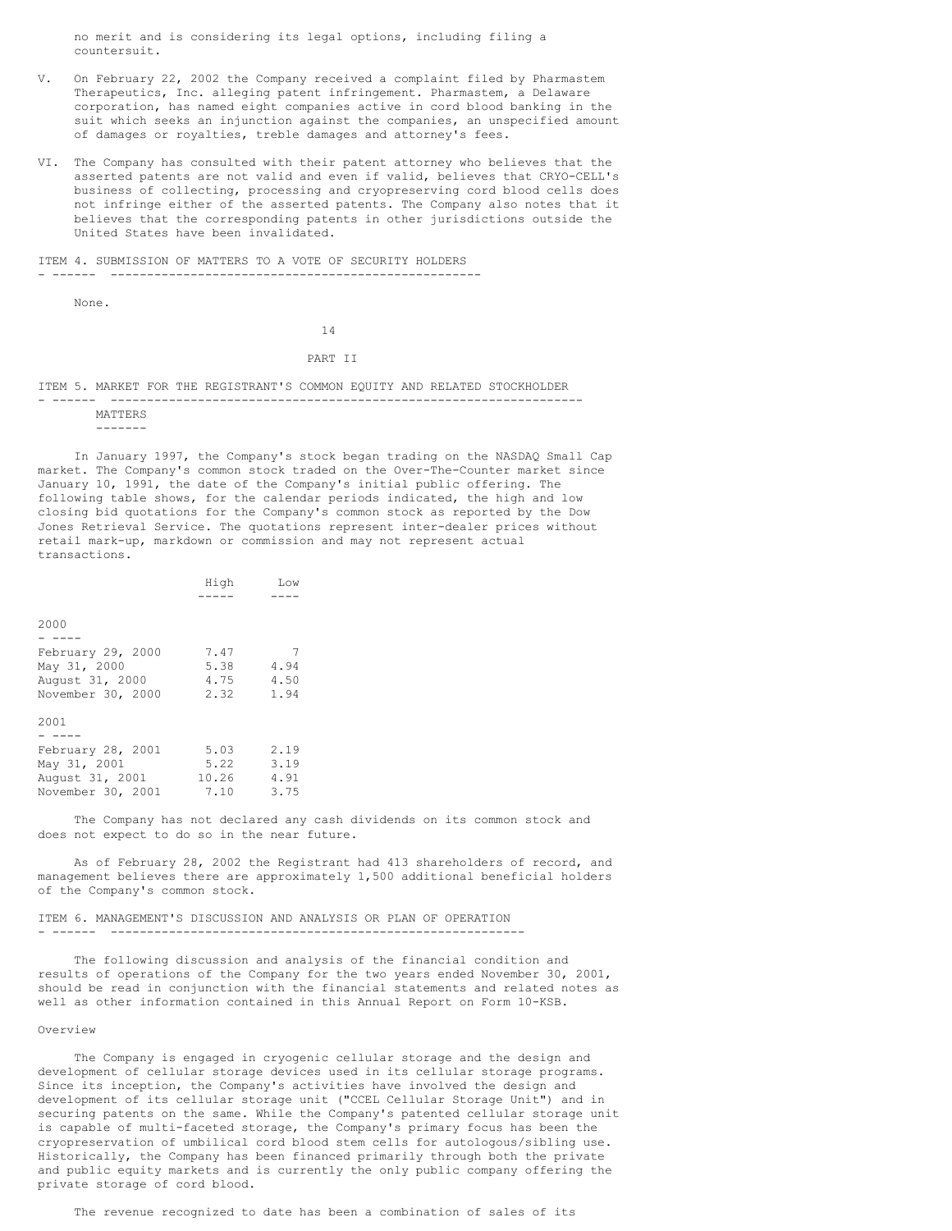no merit and is considering its legal options, including filing a countersuit.

- V. On February 22, 2002 the Company received a complaint filed by Pharmastem Therapeutics, Inc. alleging patent infringement. Pharmastem, a Delaware corporation, has named eight companies active in cord blood banking in the suit which seeks an injunction against the companies, an unspecified amount of damages or royalties, treble damages and attorney's fees.
- VI. The Company has consulted with their patent attorney who believes that the asserted patents are not valid and even if valid, believes that CRYO-CELL's business of collecting, processing and cryopreserving cord blood cells does not infringe either of the asserted patents. The Company also notes that it believes that the corresponding patents in other jurisdictions outside the United States have been invalidated.

ITEM 4. SUBMISSION OF MATTERS TO A VOTE OF SECURITY HOLDERS

- ------ ---------------------------------------------------

None.

# 14

PART II

ITEM 5. MARKET FOR THE REGISTRANT'S COMMON EQUITY AND RELATED STOCKHOLDER - ------ -----------------------------------------------------------------

MATTERS -------

In January 1997, the Company's stock began trading on the NASDAQ Small Cap market. The Company's common stock traded on the Over-The-Counter market since January 10, 1991, the date of the Company's initial public offering. The following table shows, for the calendar periods indicated, the high and low closing bid quotations for the Company's common stock as reported by the Dow Jones Retrieval Service. The quotations represent inter-dealer prices without retail mark-up, markdown or commission and may not represent actual transactions.

|                   | High  | Low  |
|-------------------|-------|------|
|                   |       |      |
|                   |       |      |
| 2000              |       |      |
|                   |       |      |
| February 29, 2000 | 7.47  |      |
| May 31, 2000      | 5.38  | 4.94 |
| August 31, 2000   | 4.75  | 4.50 |
| November 30, 2000 | 2.32  | 1.94 |
|                   |       |      |
| 2001              |       |      |
|                   |       |      |
| February 28, 2001 | 5.03  | 2.19 |
| May 31, 2001      | 5.22  | 3.19 |
| August 31, 2001   | 10.26 | 4.91 |
| November 30, 2001 | 7.10  | 3.75 |

The Company has not declared any cash dividends on its common stock and does not expect to do so in the near future.

As of February 28, 2002 the Registrant had 413 shareholders of record, and management believes there are approximately 1,500 additional beneficial holders of the Company's common stock.

## ITEM 6. MANAGEMENT'S DISCUSSION AND ANALYSIS OR PLAN OF OPERATION - ------ ---------------------------------------------------------

The following discussion and analysis of the financial condition and results of operations of the Company for the two years ended November 30, 2001, should be read in conjunction with the financial statements and related notes as well as other information contained in this Annual Report on Form 10-KSB.

## Overview

The Company is engaged in cryogenic cellular storage and the design and development of cellular storage devices used in its cellular storage programs. Since its inception, the Company's activities have involved the design and development of its cellular storage unit ("CCEL Cellular Storage Unit") and in securing patents on the same. While the Company's patented cellular storage unit is capable of multi-faceted storage, the Company's primary focus has been the cryopreservation of umbilical cord blood stem cells for autologous/sibling use. Historically, the Company has been financed primarily through both the private and public equity markets and is currently the only public company offering the private storage of cord blood.

The revenue recognized to date has been a combination of sales of its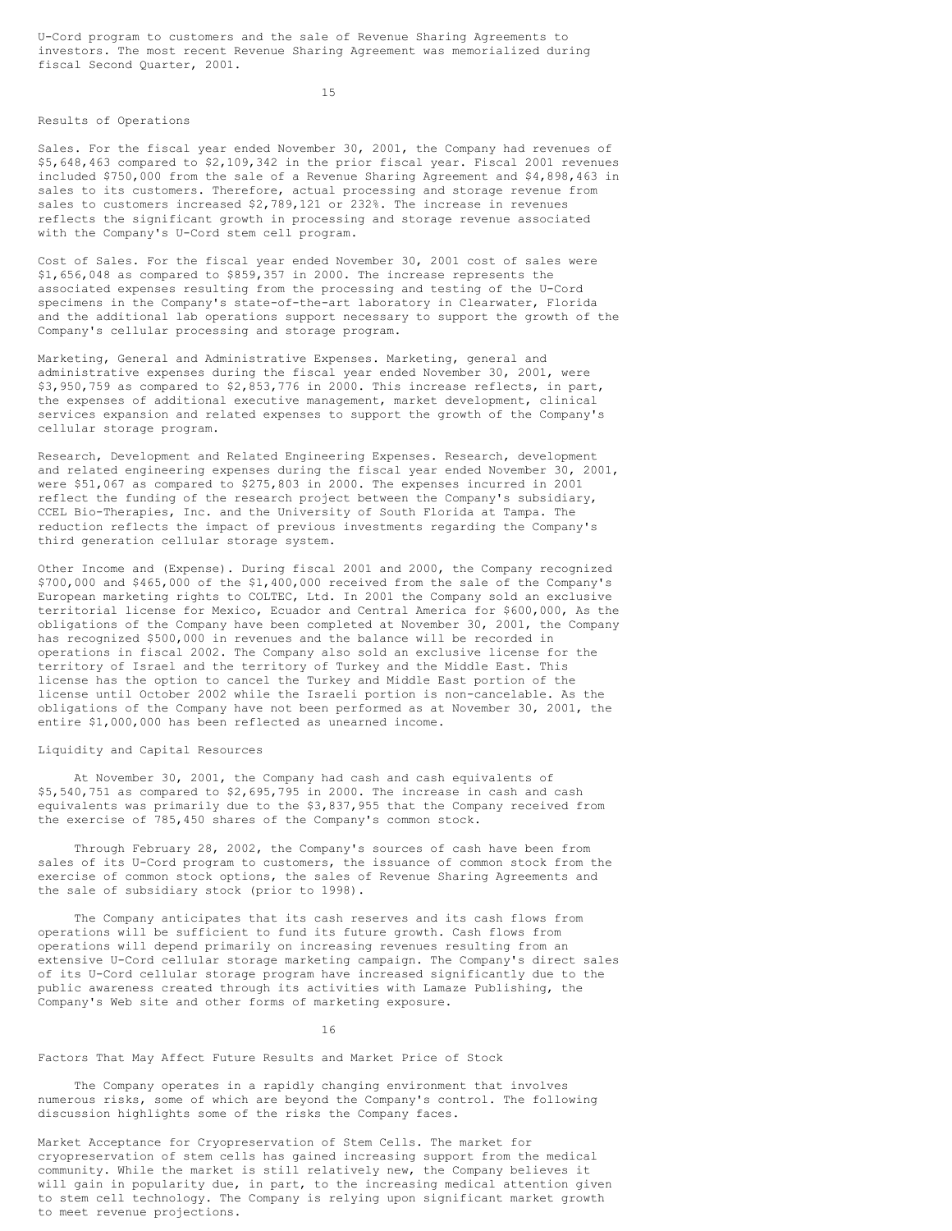U-Cord program to customers and the sale of Revenue Sharing Agreements to investors. The most recent Revenue Sharing Agreement was memorialized during fiscal Second Quarter, 2001.

15

#### Results of Operations

Sales. For the fiscal year ended November 30, 2001, the Company had revenues of \$5,648,463 compared to \$2,109,342 in the prior fiscal year. Fiscal 2001 revenues included \$750,000 from the sale of a Revenue Sharing Agreement and \$4,898,463 in sales to its customers. Therefore, actual processing and storage revenue from sales to customers increased \$2,789,121 or 232%. The increase in revenues reflects the significant growth in processing and storage revenue associated with the Company's U-Cord stem cell program.

Cost of Sales. For the fiscal year ended November 30, 2001 cost of sales were \$1,656,048 as compared to \$859,357 in 2000. The increase represents the associated expenses resulting from the processing and testing of the U-Cord specimens in the Company's state-of-the-art laboratory in Clearwater, Florida and the additional lab operations support necessary to support the growth of the Company's cellular processing and storage program.

Marketing, General and Administrative Expenses. Marketing, general and administrative expenses during the fiscal year ended November 30, 2001, were \$3,950,759 as compared to \$2,853,776 in 2000. This increase reflects, in part, the expenses of additional executive management, market development, clinical services expansion and related expenses to support the growth of the Company's cellular storage program.

Research, Development and Related Engineering Expenses. Research, development and related engineering expenses during the fiscal year ended November 30, 2001, were \$51,067 as compared to \$275,803 in 2000. The expenses incurred in 2001 reflect the funding of the research project between the Company's subsidiary, CCEL Bio-Therapies, Inc. and the University of South Florida at Tampa. The reduction reflects the impact of previous investments regarding the Company's third generation cellular storage system.

Other Income and (Expense). During fiscal 2001 and 2000, the Company recognized \$700,000 and \$465,000 of the \$1,400,000 received from the sale of the Company's European marketing rights to COLTEC, Ltd. In 2001 the Company sold an exclusive territorial license for Mexico, Ecuador and Central America for \$600,000, As the obligations of the Company have been completed at November 30, 2001, the Company has recognized \$500,000 in revenues and the balance will be recorded in operations in fiscal 2002. The Company also sold an exclusive license for the territory of Israel and the territory of Turkey and the Middle East. This license has the option to cancel the Turkey and Middle East portion of the license until October 2002 while the Israeli portion is non-cancelable. As the obligations of the Company have not been performed as at November 30, 2001, the entire \$1,000,000 has been reflected as unearned income.

## Liquidity and Capital Resources

At November 30, 2001, the Company had cash and cash equivalents of \$5,540,751 as compared to \$2,695,795 in 2000. The increase in cash and cash equivalents was primarily due to the \$3,837,955 that the Company received from the exercise of 785,450 shares of the Company's common stock.

Through February 28, 2002, the Company's sources of cash have been from sales of its U-Cord program to customers, the issuance of common stock from the exercise of common stock options, the sales of Revenue Sharing Agreements and the sale of subsidiary stock (prior to 1998).

The Company anticipates that its cash reserves and its cash flows from operations will be sufficient to fund its future growth. Cash flows from operations will depend primarily on increasing revenues resulting from an extensive U-Cord cellular storage marketing campaign. The Company's direct sales of its U-Cord cellular storage program have increased significantly due to the public awareness created through its activities with Lamaze Publishing, the Company's Web site and other forms of marketing exposure.

16

Factors That May Affect Future Results and Market Price of Stock

The Company operates in a rapidly changing environment that involves numerous risks, some of which are beyond the Company's control. The following discussion highlights some of the risks the Company faces.

Market Acceptance for Cryopreservation of Stem Cells. The market for cryopreservation of stem cells has gained increasing support from the medical community. While the market is still relatively new, the Company believes it will gain in popularity due, in part, to the increasing medical attention given to stem cell technology. The Company is relying upon significant market growth to meet revenue projections.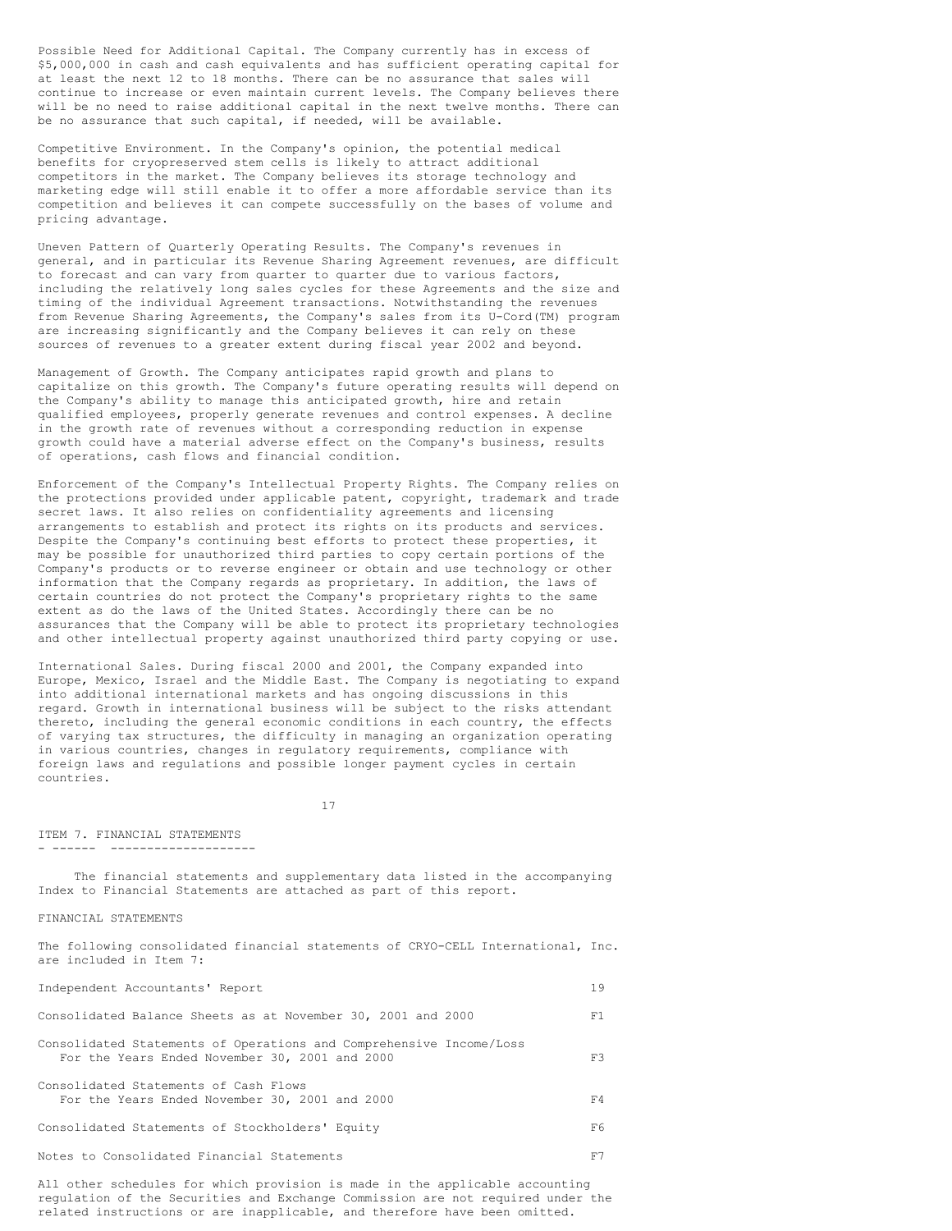Possible Need for Additional Capital. The Company currently has in excess of \$5,000,000 in cash and cash equivalents and has sufficient operating capital for at least the next 12 to 18 months. There can be no assurance that sales will continue to increase or even maintain current levels. The Company believes there will be no need to raise additional capital in the next twelve months. There can be no assurance that such capital, if needed, will be available.

Competitive Environment. In the Company's opinion, the potential medical benefits for cryopreserved stem cells is likely to attract additional competitors in the market. The Company believes its storage technology and marketing edge will still enable it to offer a more affordable service than its competition and believes it can compete successfully on the bases of volume and pricing advantage.

Uneven Pattern of Quarterly Operating Results. The Company's revenues in general, and in particular its Revenue Sharing Agreement revenues, are difficult to forecast and can vary from quarter to quarter due to various factors, including the relatively long sales cycles for these Agreements and the size and timing of the individual Agreement transactions. Notwithstanding the revenues from Revenue Sharing Agreements, the Company's sales from its U-Cord(TM) program are increasing significantly and the Company believes it can rely on these sources of revenues to a greater extent during fiscal year 2002 and beyond.

Management of Growth. The Company anticipates rapid growth and plans to capitalize on this growth. The Company's future operating results will depend on the Company's ability to manage this anticipated growth, hire and retain qualified employees, properly generate revenues and control expenses. A decline in the growth rate of revenues without a corresponding reduction in expense growth could have a material adverse effect on the Company's business, results of operations, cash flows and financial condition.

Enforcement of the Company's Intellectual Property Rights. The Company relies on the protections provided under applicable patent, copyright, trademark and trade secret laws. It also relies on confidentiality agreements and licensing arrangements to establish and protect its rights on its products and services. Despite the Company's continuing best efforts to protect these properties, it may be possible for unauthorized third parties to copy certain portions of the Company's products or to reverse engineer or obtain and use technology or other information that the Company regards as proprietary. In addition, the laws of certain countries do not protect the Company's proprietary rights to the same extent as do the laws of the United States. Accordingly there can be no assurances that the Company will be able to protect its proprietary technologies and other intellectual property against unauthorized third party copying or use.

International Sales. During fiscal 2000 and 2001, the Company expanded into Europe, Mexico, Israel and the Middle East. The Company is negotiating to expand into additional international markets and has ongoing discussions in this regard. Growth in international business will be subject to the risks attendant thereto, including the general economic conditions in each country, the effects of varying tax structures, the difficulty in managing an organization operating in various countries, changes in regulatory requirements, compliance with foreign laws and regulations and possible longer payment cycles in certain countries.

17

#### ITEM 7. FINANCIAL STATEMENTS - ------ --------------------

The financial statements and supplementary data listed in the accompanying Index to Financial Statements are attached as part of this report.

#### FINANCIAL STATEMENTS

The following consolidated financial statements of CRYO-CELL International, Inc. are included in Item 7:

| Independent Accountants' Report                                                                                       | 19  |
|-----------------------------------------------------------------------------------------------------------------------|-----|
| Consolidated Balance Sheets as at November 30, 2001 and 2000                                                          | F1. |
| Consolidated Statements of Operations and Comprehensive Income/Loss<br>For the Years Ended November 30, 2001 and 2000 | F3. |
| Consolidated Statements of Cash Flows<br>For the Years Ended November 30, 2001 and 2000                               | F4  |
| Consolidated Statements of Stockholders' Equity                                                                       | F6. |
| Notes to Consolidated Financial Statements                                                                            | F7  |

All other schedules for which provision is made in the applicable accounting regulation of the Securities and Exchange Commission are not required under the related instructions or are inapplicable, and therefore have been omitted.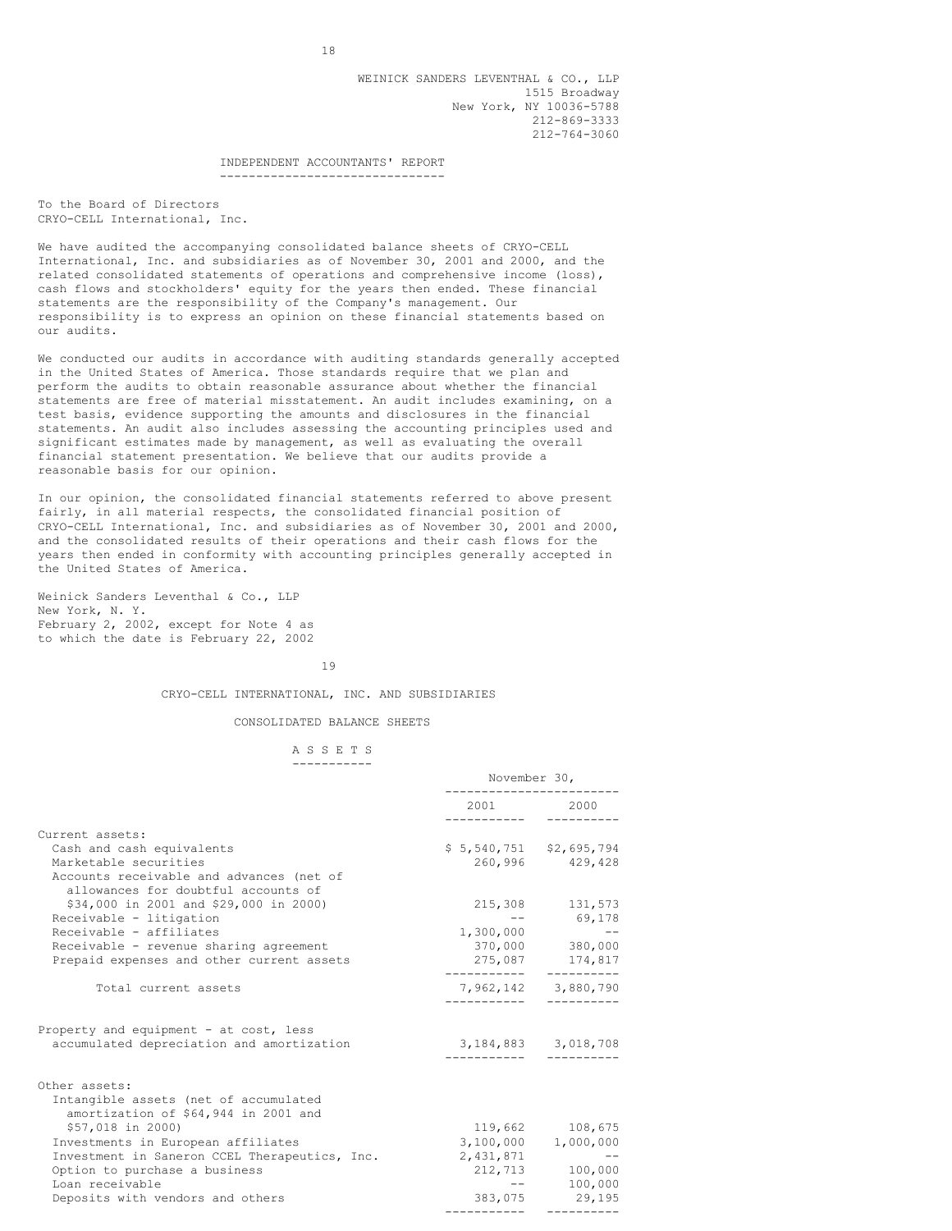WEINICK SANDERS LEVENTHAL & CO., LLP 1515 Broadway New York, NY 10036-5788 212-869-3333 212-764-3060

INDEPENDENT ACCOUNTANTS' REPORT -------------------------------

To the Board of Directors CRYO-CELL International, Inc.

We have audited the accompanying consolidated balance sheets of CRYO-CELL International, Inc. and subsidiaries as of November 30, 2001 and 2000, and the related consolidated statements of operations and comprehensive income (loss), cash flows and stockholders' equity for the years then ended. These financial statements are the responsibility of the Company's management. Our responsibility is to express an opinion on these financial statements based on our audits.

We conducted our audits in accordance with auditing standards generally accepted in the United States of America. Those standards require that we plan and perform the audits to obtain reasonable assurance about whether the financial statements are free of material misstatement. An audit includes examining, on a test basis, evidence supporting the amounts and disclosures in the financial statements. An audit also includes assessing the accounting principles used and significant estimates made by management, as well as evaluating the overall financial statement presentation. We believe that our audits provide a reasonable basis for our opinion.

In our opinion, the consolidated financial statements referred to above present fairly, in all material respects, the consolidated financial position of CRYO-CELL International, Inc. and subsidiaries as of November 30, 2001 and 2000, and the consolidated results of their operations and their cash flows for the years then ended in conformity with accounting principles generally accepted in the United States of America.

Weinick Sanders Leventhal & Co., LLP New York, N. Y. February 2, 2002, except for Note 4 as to which the date is February 22, 2002

19

## CRYO-CELL INTERNATIONAL, INC. AND SUBSIDIARIES

#### CONSOLIDATED BALANCE SHEETS

#### A S S E T S -----------

|                                                                                     | November 30,              |                                  |  |
|-------------------------------------------------------------------------------------|---------------------------|----------------------------------|--|
|                                                                                     | . <u>.</u> .              | 2001 2000<br>---------           |  |
| Current assets:                                                                     |                           |                                  |  |
| Cash and cash equivalents                                                           | $$5,540,751$ $$2,695,794$ |                                  |  |
| Marketable securities                                                               |                           | 260,996 429,428                  |  |
| Accounts receivable and advances (net of<br>allowances for doubtful accounts of     |                           |                                  |  |
| \$34,000 in 2001 and \$29,000 in 2000)                                              |                           | 215,308 131,573                  |  |
| Receivable - litigation                                                             |                           | 69,178                           |  |
| Receivable - affiliates                                                             | 1,300,000                 |                                  |  |
| Receivable - revenue sharing agreement                                              |                           | 370,000 380,000                  |  |
| Prepaid expenses and other current assets                                           |                           | 275,087 174,817                  |  |
| Total current assets                                                                | ___________               | 7,962,142 3,880,790<br>--------- |  |
| Property and equipment - at cost, less<br>accumulated depreciation and amortization |                           | 3, 184, 883 3, 018, 708          |  |
| Other assets:                                                                       |                           |                                  |  |
| Intangible assets (net of accumulated<br>amortization of \$64,944 in 2001 and       |                           |                                  |  |
| \$57,018 in 2000)                                                                   |                           | 119,662 108,675                  |  |
| Investments in European affiliates                                                  | 3,100,000                 | 1,000,000                        |  |
| Investment in Saneron CCEL Therapeutics, Inc.                                       | 2,431,871                 |                                  |  |
| Option to purchase a business                                                       |                           | 212,713 100,000                  |  |
| Loan receivable                                                                     |                           | $-- 100,000$                     |  |
| Deposits with vendors and others                                                    |                           | 383,075 29,195                   |  |
|                                                                                     | ____________ _____        |                                  |  |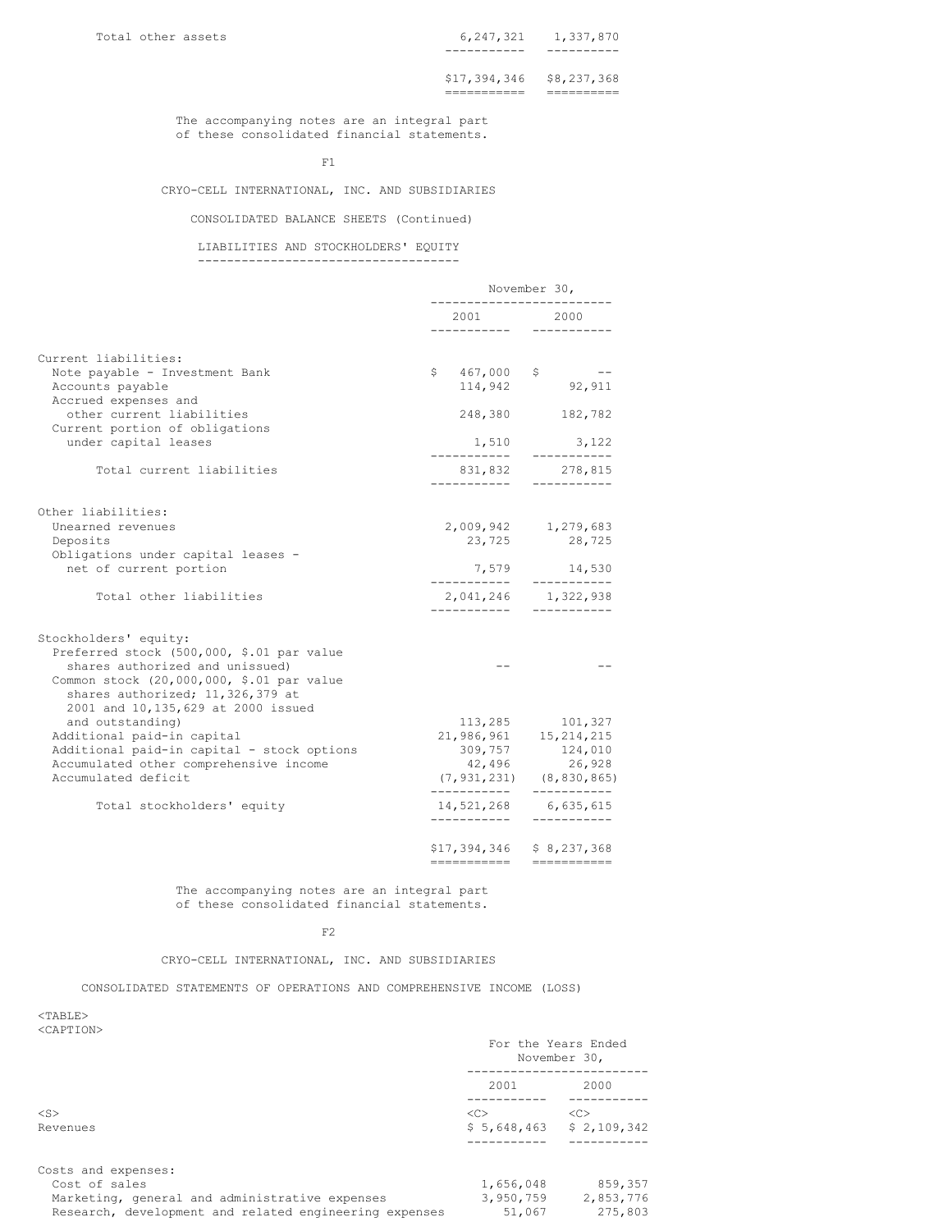Total other assets 6,247,321 1,337,870 ----------- ----------

\$17,394,346 \$8,237,368

=========== ==========

The accompanying notes are an integral part of these consolidated financial statements.

F1

CRYO-CELL INTERNATIONAL, INC. AND SUBSIDIARIES

CONSOLIDATED BALANCE SHEETS (Continued)

LIABILITIES AND STOCKHOLDERS' EQUITY ------------------------------------

|                                                                          | November 30,               |                                           |  |
|--------------------------------------------------------------------------|----------------------------|-------------------------------------------|--|
|                                                                          | 2001 2000                  | ------------      -----------             |  |
|                                                                          |                            |                                           |  |
| Current liabilities:<br>Note payable - Investment Bank                   | $$467,000$ \$              |                                           |  |
| Accounts payable                                                         | 114,942                    | 92,911                                    |  |
| Accrued expenses and                                                     |                            |                                           |  |
| other current liabilities                                                |                            | 248,380 182,782                           |  |
| Current portion of obligations<br>under capital leases                   | 1,510                      | 3,122                                     |  |
|                                                                          |                            | -----------                               |  |
| Total current liabilities                                                |                            | 831,832 278,815                           |  |
|                                                                          | ------------               |                                           |  |
| Other liabilities:                                                       |                            |                                           |  |
| Unearned revenues                                                        |                            | 2,009,942 1,279,683                       |  |
| Deposits                                                                 |                            | 23,725 28,725                             |  |
| Obligations under capital leases -                                       |                            |                                           |  |
| net of current portion                                                   |                            | 7,579 14,530<br>----------                |  |
| Total other liabilities                                                  |                            | 2,041,246 1,322,938                       |  |
|                                                                          |                            |                                           |  |
| Stockholders' equity:                                                    |                            |                                           |  |
| Preferred stock (500,000, \$.01 par value                                |                            |                                           |  |
| shares authorized and unissued)                                          |                            |                                           |  |
| Common stock (20,000,000, \$.01 par value                                |                            |                                           |  |
| shares authorized; 11,326,379 at<br>2001 and 10, 135, 629 at 2000 issued |                            |                                           |  |
| and outstanding)                                                         | 113,285                    | 101,327                                   |  |
| Additional paid-in capital                                               |                            | 21, 986, 961 15, 214, 215                 |  |
| Additional paid-in capital - stock options                               | 309,757                    | 124,010                                   |  |
| Accumulated other comprehensive income<br>Accumulated deficit            | 42,496                     | 26,928<br>$(7, 931, 231)$ $(8, 830, 865)$ |  |
|                                                                          | -----------                | -----------                               |  |
| Total stockholders' equity                                               | 14,521,268<br>------------ | 6,635,615<br>----------                   |  |
|                                                                          | \$17,394,346               | \$8,237,368                               |  |
|                                                                          | ===========                |                                           |  |

The accompanying notes are an integral part of these consolidated financial statements.

 $F<sub>2</sub>$ 

CRYO-CELL INTERNATIONAL, INC. AND SUBSIDIARIES

CONSOLIDATED STATEMENTS OF OPERATIONS AND COMPREHENSIVE INCOME (LOSS)

## <TABLE> <CAPTION>

|                                                                                                                                                  |                                  | For the Years Ended<br>November 30.                                 |
|--------------------------------------------------------------------------------------------------------------------------------------------------|----------------------------------|---------------------------------------------------------------------|
|                                                                                                                                                  | 2001                             | 2000                                                                |
| $<$ S><br>Revenues                                                                                                                               | < <sub></sub>                    | < <sub><br/><math>\$5,648,463</math> <math>\$2,109,342</math></sub> |
| Costs and expenses:<br>Cost of sales<br>Marketing, general and administrative expenses<br>Research, development and related engineering expenses | 1,656,048<br>3,950,759<br>51,067 | 859,357<br>2,853,776<br>275,803                                     |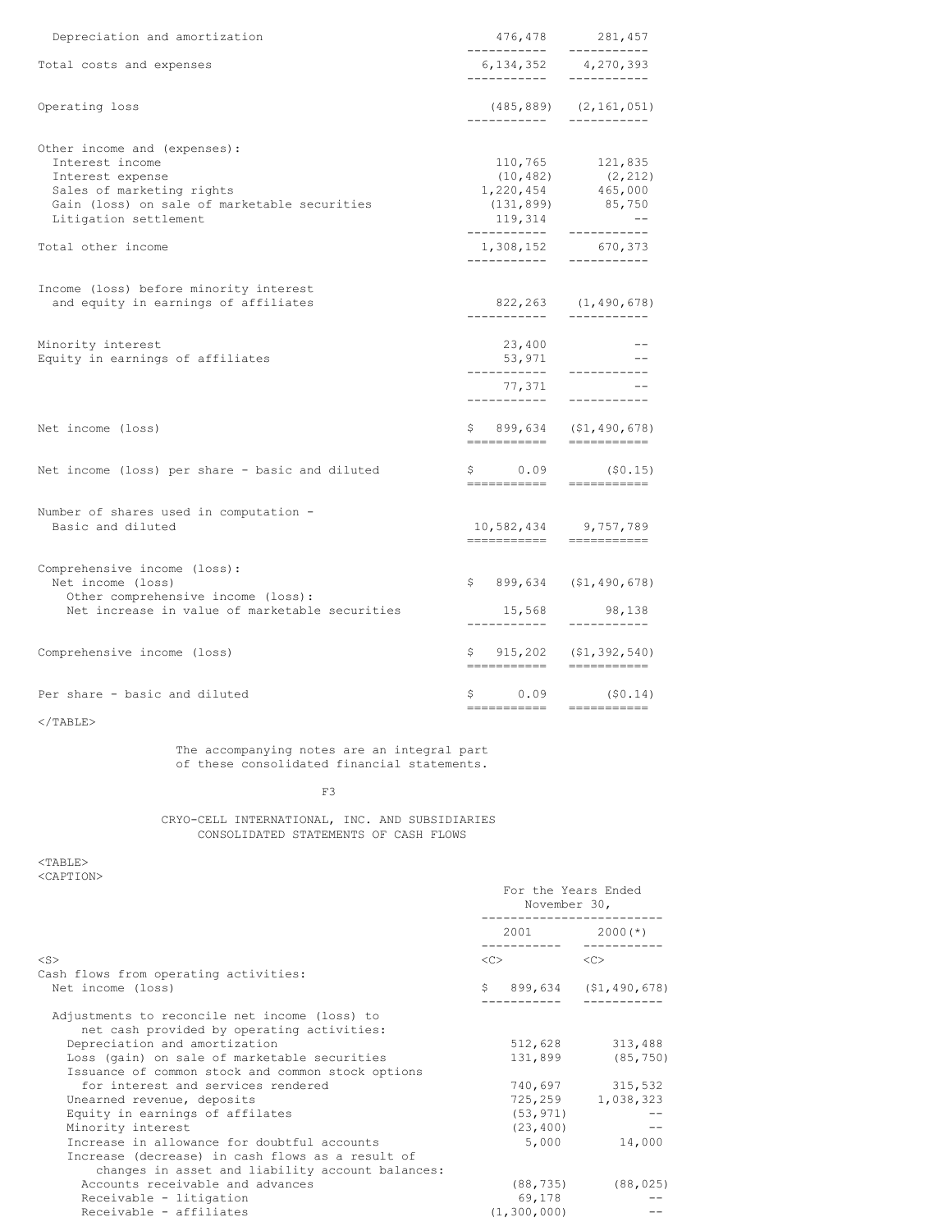| Depreciation and amortization                                                                                                                                             | ___________                                   | 476,478 281,457<br>-----------                                                                                                                                                                                                                                                                                                                                                                                                                                                                                                 |  |
|---------------------------------------------------------------------------------------------------------------------------------------------------------------------------|-----------------------------------------------|--------------------------------------------------------------------------------------------------------------------------------------------------------------------------------------------------------------------------------------------------------------------------------------------------------------------------------------------------------------------------------------------------------------------------------------------------------------------------------------------------------------------------------|--|
| Total costs and expenses                                                                                                                                                  | 6,134,352<br>------------                     | 4,270,393<br>-----------                                                                                                                                                                                                                                                                                                                                                                                                                                                                                                       |  |
| Operating loss                                                                                                                                                            | ------------                                  | $(485, 889)$ $(2, 161, 051)$                                                                                                                                                                                                                                                                                                                                                                                                                                                                                                   |  |
| Other income and (expenses):<br>Interest income<br>Interest expense<br>Sales of marketing rights<br>Gain (loss) on sale of marketable securities<br>Litigation settlement | (10, 482)<br>1,220,454<br>119,314             | 110,765 121,835<br>(2, 212)<br>465,000<br>$(131, 899)$ $85, 750$                                                                                                                                                                                                                                                                                                                                                                                                                                                               |  |
| Total other income                                                                                                                                                        | -------------------------<br>___________      | 1,308,152 670,373<br>-----------                                                                                                                                                                                                                                                                                                                                                                                                                                                                                               |  |
| Income (loss) before minority interest<br>and equity in earnings of affiliates                                                                                            | ------------                                  | 822,263 (1,490,678)<br>-----------                                                                                                                                                                                                                                                                                                                                                                                                                                                                                             |  |
| Minority interest<br>Equity in earnings of affiliates                                                                                                                     | 23,400<br>53,971<br>77,371                    | -----------                                                                                                                                                                                                                                                                                                                                                                                                                                                                                                                    |  |
| Net income (loss)                                                                                                                                                         | ------------<br>$\mathsf{S}^-$<br>=========== | -----------<br>899,634 (\$1,490,678)<br>$\begin{array}{cccccccccccccc} \multicolumn{2}{c}{} & \multicolumn{2}{c}{} & \multicolumn{2}{c}{} & \multicolumn{2}{c}{} & \multicolumn{2}{c}{} & \multicolumn{2}{c}{} & \multicolumn{2}{c}{} & \multicolumn{2}{c}{} & \multicolumn{2}{c}{} & \multicolumn{2}{c}{} & \multicolumn{2}{c}{} & \multicolumn{2}{c}{} & \multicolumn{2}{c}{} & \multicolumn{2}{c}{} & \multicolumn{2}{c}{} & \multicolumn{2}{c}{} & \multicolumn{2}{c}{} & \multicolumn{2}{c}{} & \multicolumn{2}{c}{} & \$ |  |
| Net income (loss) per share - basic and diluted                                                                                                                           | ===========                                   | $$0.09$ (\$0.15)<br>$\begin{array}{cccccccccc} \multicolumn{2}{c}{} & \multicolumn{2}{c}{} & \multicolumn{2}{c}{} & \multicolumn{2}{c}{} & \multicolumn{2}{c}{} & \multicolumn{2}{c}{} & \multicolumn{2}{c}{} & \multicolumn{2}{c}{} & \multicolumn{2}{c}{} & \multicolumn{2}{c}{} & \multicolumn{2}{c}{} & \multicolumn{2}{c}{} & \multicolumn{2}{c}{} & \multicolumn{2}{c}{} & \multicolumn{2}{c}{} & \multicolumn{2}{c}{} & \multicolumn{2}{c}{} & \multicolumn{2}{c}{} & \multicolumn{2}{c}{} & \mult$                     |  |
| Number of shares used in computation -<br>Basic and diluted                                                                                                               | 10,582,434<br>------------                    | 9,757,789<br>------------                                                                                                                                                                                                                                                                                                                                                                                                                                                                                                      |  |
| Comprehensive income (loss):<br>Net income (loss)<br>Other comprehensive income (loss):<br>Net increase in value of marketable securities                                 | 15,568<br>-----------                         | $$899,634$ $$1,490,678$<br>98,138<br>___________                                                                                                                                                                                                                                                                                                                                                                                                                                                                               |  |
| Comprehensive income (loss)                                                                                                                                               | ===========                                   | $$915, 202$ $$1, 392, 540)$<br>===========                                                                                                                                                                                                                                                                                                                                                                                                                                                                                     |  |
| Per share - basic and diluted                                                                                                                                             | \$0.09<br>===========       ===========       | (50.14)                                                                                                                                                                                                                                                                                                                                                                                                                                                                                                                        |  |

 $<$ /TABLE $>$ 

The accompanying notes are an integral part of these consolidated financial statements.

F3

CRYO-CELL INTERNATIONAL, INC. AND SUBSIDIARIES CONSOLIDATED STATEMENTS OF CASH FLOWS

<TABLE> <CAPTION>

| NUAE 1 1 UNZ                                                                                | For the Years Ended<br>November 30, |               |                       |
|---------------------------------------------------------------------------------------------|-------------------------------------|---------------|-----------------------|
|                                                                                             |                                     |               | $2001$ $2000(*)$      |
| $<$ S>                                                                                      | $<<$ $>$                            |               | $\langle C \rangle$   |
| Cash flows from operating activities:                                                       |                                     |               |                       |
| Net income (loss)                                                                           | $\mathsf{S}^-$                      |               | 899,634 (\$1,490,678) |
| Adjustments to reconcile net income (loss) to<br>net cash provided by operating activities: |                                     |               |                       |
| Depreciation and amortization                                                               |                                     |               | 512,628 313,488       |
| Loss (gain) on sale of marketable securities                                                |                                     | 131,899       | (85, 750)             |
| Issuance of common stock and common stock options                                           |                                     |               |                       |
| for interest and services rendered                                                          |                                     |               | 740,697 315,532       |
| Unearned revenue, deposits                                                                  |                                     | 725,259       | 1,038,323             |
| Equity in earnings of affilates                                                             |                                     | (53, 971)     |                       |
| Minority interest                                                                           |                                     | (23, 400)     |                       |
| Increase in allowance for doubtful accounts                                                 |                                     | 5,000         | 14,000                |
| Increase (decrease) in cash flows as a result of                                            |                                     |               |                       |
| changes in asset and liability account balances:                                            |                                     |               |                       |
| Accounts receivable and advances                                                            |                                     | (88, 735)     | (88, 025)             |
| Receivable - litigation                                                                     |                                     | 69,178        |                       |
| Receivable - affiliates                                                                     |                                     | (1, 300, 000) |                       |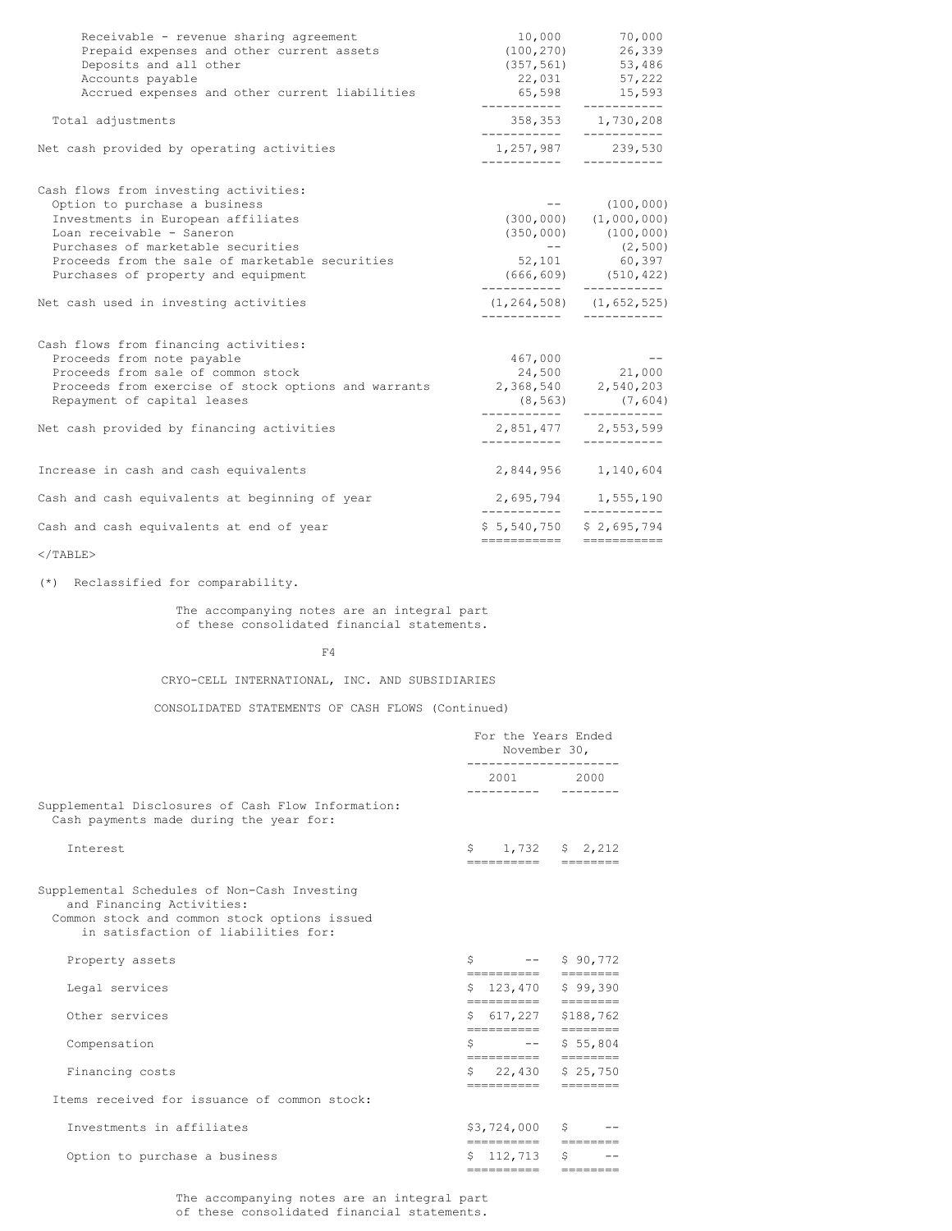| Receivable - revenue sharing agreement<br>Prepaid expenses and other current assets<br>Deposits and all other<br>Accounts payable<br>Accrued expenses and other current liabilities                                                                                       | $(100, 270)$ 26,339                             | 10,000 70,000<br>$(357, 561)$ 53,486<br>22,031 57,222<br>65,598 15,593                  |
|---------------------------------------------------------------------------------------------------------------------------------------------------------------------------------------------------------------------------------------------------------------------------|-------------------------------------------------|-----------------------------------------------------------------------------------------|
| Total adjustments                                                                                                                                                                                                                                                         |                                                 | 358,353 1,730,208                                                                       |
| Net cash provided by operating activities                                                                                                                                                                                                                                 |                                                 | 1,257,987 239,530                                                                       |
| Cash flows from investing activities:<br>Option to purchase a business<br>Investments in European affiliates<br>Loan receivable - Saneron<br>Purchases of marketable securities<br>Proceeds from the sale of marketable securities<br>Purchases of property and equipment | $(300, 000)$ $(1, 000, 000)$<br>$52,101$ 60,397 | $---(100,000)$<br>$(350, 000)$ $(100, 000)$<br>$-$ (2,500)<br>$(666, 609)$ $(510, 422)$ |
| Net cash used in investing activities                                                                                                                                                                                                                                     |                                                 | $(1, 264, 508)$ $(1, 652, 525)$                                                         |
| Cash flows from financing activities:<br>Proceeds from note payable<br>Proceeds from sale of common stock<br>Proceeds from exercise of stock options and warrants 2,368,540 2,540,203<br>Repayment of capital leases                                                      |                                                 | $467,000$ --<br>24,500 21,000<br>$(8, 563)$ $(7, 604)$                                  |
| Net cash provided by financing activities                                                                                                                                                                                                                                 |                                                 | 2,851,477 2,553,599                                                                     |
| Increase in cash and cash equivalents                                                                                                                                                                                                                                     |                                                 | 2,844,956 1,140,604                                                                     |
| Cash and cash equivalents at beginning of year                                                                                                                                                                                                                            | ------------                                    | 2,695,794 1,555,190<br>-----------                                                      |
| Cash and cash equivalents at end of year                                                                                                                                                                                                                                  | $$5,540,750$ $$2,695,794$<br>===========        | $=$ ============                                                                        |

 $<$ /TABLE>

# (\*) Reclassified for comparability.

The accompanying notes are an integral part of these consolidated financial statements.

F4

# CRYO-CELL INTERNATIONAL, INC. AND SUBSIDIARIES

CONSOLIDATED STATEMENTS OF CASH FLOWS (Continued)

|                                                                                                                                                                  | For the Years Ended<br>November 30,          |                          |  |
|------------------------------------------------------------------------------------------------------------------------------------------------------------------|----------------------------------------------|--------------------------|--|
|                                                                                                                                                                  | 2001 2000                                    |                          |  |
| Supplemental Disclosures of Cash Flow Information:<br>Cash payments made during the year for:                                                                    |                                              |                          |  |
| <b>Tnterest</b>                                                                                                                                                  | $$1,732 \t$2,212$<br>==========              |                          |  |
| Supplemental Schedules of Non-Cash Investing<br>and Financing Activities:<br>Common stock and common stock options issued<br>in satisfaction of liabilities for: |                                              |                          |  |
| Property assets                                                                                                                                                  | $\frac{1}{2}$ -- $\frac{1}{2}$ 90,772        |                          |  |
| Legal services                                                                                                                                                   | ====================<br>$$123,470 \t$99,390$ |                          |  |
| Other services                                                                                                                                                   | enenenen enenene<br>$$617, 227$ $$188, 762$  |                          |  |
| Compensation                                                                                                                                                     | -----------<br>$$ - - $ 55,804$              | ========                 |  |
| Financing costs                                                                                                                                                  | ====================<br>$$22,430$ $$25,750$  |                          |  |
| Items received for issuance of common stock:                                                                                                                     | ==========                                   | eeeeeee                  |  |
| Investments in affiliates                                                                                                                                        | \$3,724,000 \$                               |                          |  |
| Option to purchase a business                                                                                                                                    | ==========<br>\$112,713<br>-----------       | S<br>$=$ = = = = = = = = |  |

The accompanying notes are an integral part of these consolidated financial statements.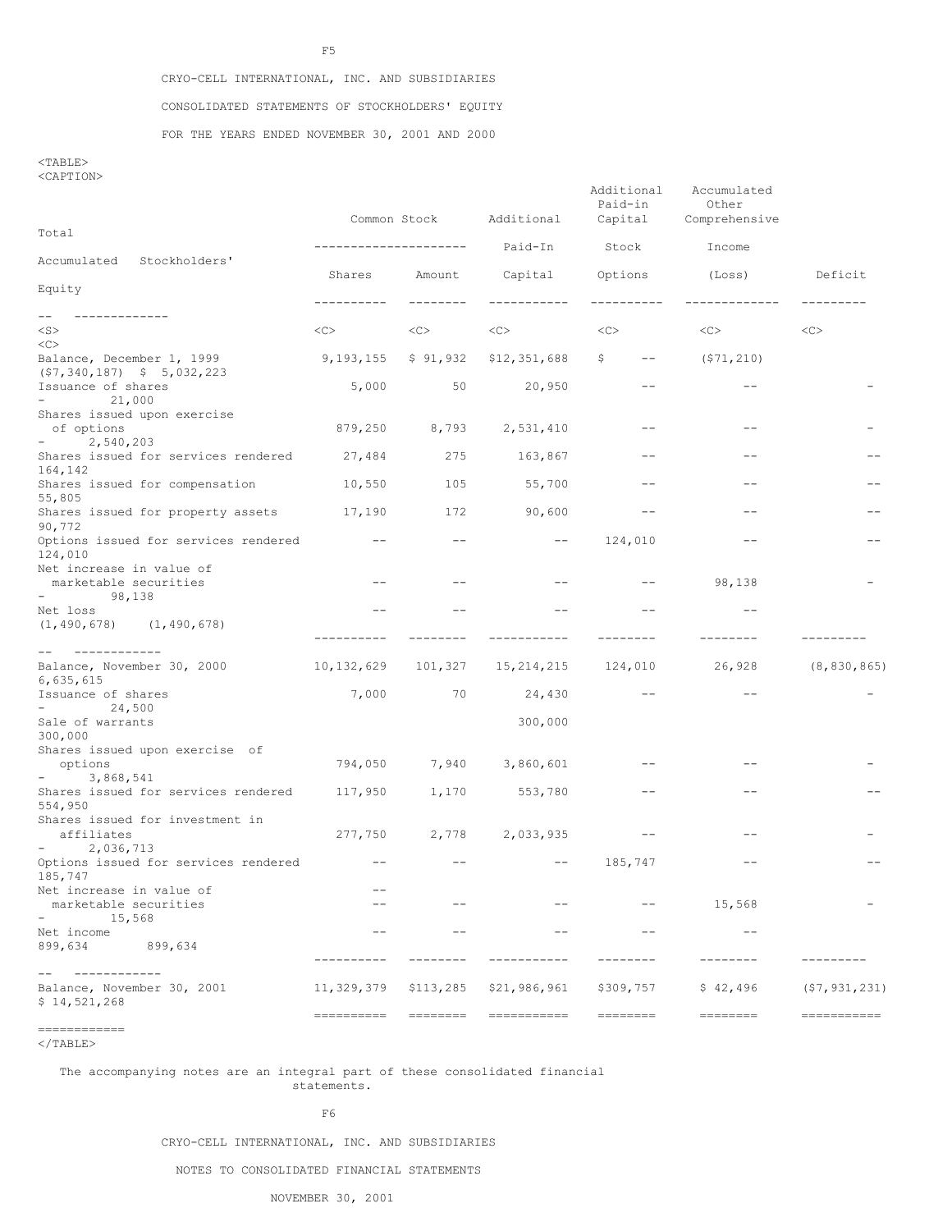CRYO-CELL INTERNATIONAL, INC. AND SUBSIDIARIES

CONSOLIDATED STATEMENTS OF STOCKHOLDERS' EQUITY

FOR THE YEARS ENDED NOVEMBER 30, 2001 AND 2000

## <TABLE> <CAPTION>

| Total                                                                      | Common Stock             |                       | Additional                  | Additional<br>Paid-in<br>Capital | Accumulated<br>Other<br>Comprehensive |                               |
|----------------------------------------------------------------------------|--------------------------|-----------------------|-----------------------------|----------------------------------|---------------------------------------|-------------------------------|
|                                                                            |                          | -----------------     | Paid-In                     | Stock                            | Income                                |                               |
| Accumulated<br>Stockholders'                                               | Shares                   | Amount                | Capital                     | Options                          | (Loss)                                | Deficit                       |
| Equity                                                                     | --------                 | $- - - - - - - -$     |                             |                                  |                                       |                               |
| -------------                                                              |                          |                       |                             |                                  |                                       |                               |
| $<$ S $>$<br><<                                                            | <<>                      | <<                    | <<                          | <<                               | <<>                                   | <<                            |
| Balance, December 1, 1999<br>$(57, 340, 187)$ \$ 5,032,223                 | 9,193,155                | \$ 91,932             | \$12,351,688                | \$<br>$- -$                      | (571, 210)                            |                               |
| Issuance of shares<br>21,000                                               | 5,000                    | 50                    | 20,950                      | $- -$                            | $- -$                                 |                               |
| Shares issued upon exercise<br>of options                                  | 879,250                  | 8,793                 | 2,531,410                   | $- -$                            | $\qquad \qquad -$                     |                               |
| 2,540,203<br>$\sim 100$<br>Shares issued for services rendered<br>164,142  | 27,484                   | 275                   | 163,867                     | $- -$                            | $- -$                                 |                               |
| Shares issued for compensation<br>55,805                                   | 10,550                   | 105                   | 55,700                      | $\qquad \qquad -$                | $- -$                                 |                               |
| Shares issued for property assets<br>90,772                                | 17,190                   | 172                   | 90,600                      | $- \, -$                         | $- -$                                 |                               |
| Options issued for services rendered<br>124,010                            | $--$                     | $\qquad \qquad -$     | $--$                        | 124,010                          | $- -$                                 |                               |
| Net increase in value of<br>marketable securities                          | $- -$                    | $- -$                 | $ -$                        | $ -$                             | 98,138                                |                               |
| 98,138<br>Net loss                                                         | $-$                      |                       | $ -$                        |                                  | $-$                                   |                               |
| $(1, 490, 678)$ $(1, 490, 678)$                                            |                          | --------              | -----------                 |                                  |                                       |                               |
| ____________<br>Balance, November 30, 2000                                 | 10,132,629               | 101,327               | 15,214,215                  | 124,010                          | 26,928                                | (8, 830, 865)                 |
| 6,635,615<br>Issuance of shares<br>24,500<br><b>All Contracts</b>          | 7,000                    | 70                    | 24,430                      | $ -$                             | $- -$                                 |                               |
| Sale of warrants<br>300,000                                                |                          |                       | 300,000                     |                                  |                                       |                               |
| Shares issued upon exercise of<br>options                                  | 794,050                  | 7,940                 | 3,860,601                   | $- -$                            | $- -$                                 |                               |
| 3,868,541<br>Shares issued for services rendered<br>554,950                | 117,950                  | 1,170                 | 553,780                     | $- -$                            | $- -$                                 |                               |
| Shares issued for investment in<br>affiliates                              | 277,750                  | 2,778                 | 2,033,935                   |                                  |                                       |                               |
| 2,036,713<br>$\sim 100$<br>Options issued for services rendered<br>185,747 | $--$                     | $- -$                 | $--$                        | 185,747                          | $ -$                                  |                               |
| Net increase in value of                                                   |                          |                       |                             |                                  |                                       |                               |
| marketable securities<br>15,568                                            |                          |                       |                             |                                  | 15,568                                |                               |
| Net income<br>899,634<br>899,634                                           | $ -$                     | $ -$                  | $ -$                        |                                  | $ -$                                  |                               |
|                                                                            |                          |                       |                             |                                  |                                       |                               |
| ------------<br>Balance, November 30, 2001<br>\$14,521,268                 | 11,329,379<br>========== | \$113,285<br>-------- | \$21,986,961<br>----------- | \$309,757<br>========            | \$42,496<br>========                  | (57, 931, 231)<br>=========== |
| ------------                                                               |                          |                       |                             |                                  |                                       |                               |

 $<$ /TABLE $>$ 

The accompanying notes are an integral part of these consolidated financial statements.

F6

CRYO-CELL INTERNATIONAL, INC. AND SUBSIDIARIES

NOTES TO CONSOLIDATED FINANCIAL STATEMENTS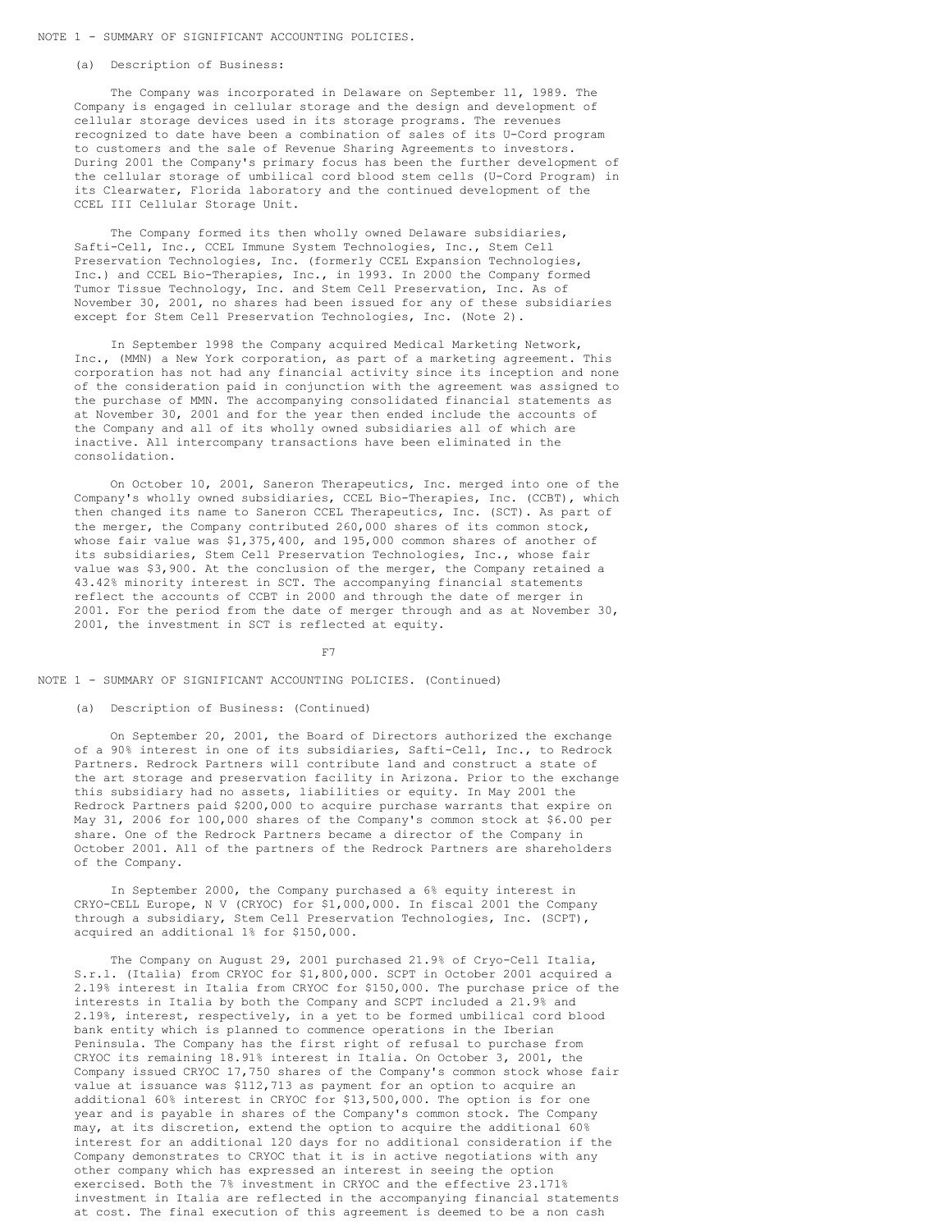#### NOTE 1 - SUMMARY OF SIGNIFICANT ACCOUNTING POLICIES.

#### (a) Description of Business:

The Company was incorporated in Delaware on September 11, 1989. The Company is engaged in cellular storage and the design and development of cellular storage devices used in its storage programs. The revenues recognized to date have been a combination of sales of its U-Cord program to customers and the sale of Revenue Sharing Agreements to investors. During 2001 the Company's primary focus has been the further development of the cellular storage of umbilical cord blood stem cells (U-Cord Program) in its Clearwater, Florida laboratory and the continued development of the CCEL III Cellular Storage Unit.

The Company formed its then wholly owned Delaware subsidiaries, Safti-Cell, Inc., CCEL Immune System Technologies, Inc., Stem Cell Preservation Technologies, Inc. (formerly CCEL Expansion Technologies, Inc.) and CCEL Bio-Therapies, Inc., in 1993. In 2000 the Company formed Tumor Tissue Technology, Inc. and Stem Cell Preservation, Inc. As of November 30, 2001, no shares had been issued for any of these subsidiaries except for Stem Cell Preservation Technologies, Inc. (Note 2).

In September 1998 the Company acquired Medical Marketing Network, Inc., (MMN) a New York corporation, as part of a marketing agreement. This corporation has not had any financial activity since its inception and none of the consideration paid in conjunction with the agreement was assigned to the purchase of MMN. The accompanying consolidated financial statements as at November 30, 2001 and for the year then ended include the accounts of the Company and all of its wholly owned subsidiaries all of which are inactive. All intercompany transactions have been eliminated in the consolidation.

On October 10, 2001, Saneron Therapeutics, Inc. merged into one of the Company's wholly owned subsidiaries, CCEL Bio-Therapies, Inc. (CCBT), which then changed its name to Saneron CCEL Therapeutics, Inc. (SCT). As part of the merger, the Company contributed 260,000 shares of its common stock, whose fair value was \$1,375,400, and 195,000 common shares of another of its subsidiaries, Stem Cell Preservation Technologies, Inc., whose fair value was \$3,900. At the conclusion of the merger, the Company retained a 43.42% minority interest in SCT. The accompanying financial statements reflect the accounts of CCBT in 2000 and through the date of merger in 2001. For the period from the date of merger through and as at November 30, 2001, the investment in SCT is reflected at equity.

F7

NOTE 1 - SUMMARY OF SIGNIFICANT ACCOUNTING POLICIES. (Continued)

(a) Description of Business: (Continued)

On September 20, 2001, the Board of Directors authorized the exchange of a 90% interest in one of its subsidiaries, Safti-Cell, Inc., to Redrock Partners. Redrock Partners will contribute land and construct a state of the art storage and preservation facility in Arizona. Prior to the exchange this subsidiary had no assets, liabilities or equity. In May 2001 the Redrock Partners paid \$200,000 to acquire purchase warrants that expire on May 31, 2006 for 100,000 shares of the Company's common stock at \$6.00 per share. One of the Redrock Partners became a director of the Company in October 2001. All of the partners of the Redrock Partners are shareholders of the Company.

In September 2000, the Company purchased a 6% equity interest in CRYO-CELL Europe, N V (CRYOC) for \$1,000,000. In fiscal 2001 the Company through a subsidiary, Stem Cell Preservation Technologies, Inc. (SCPT), acquired an additional 1% for \$150,000.

The Company on August 29, 2001 purchased 21.9% of Cryo-Cell Italia, S.r.l. (Italia) from CRYOC for \$1,800,000. SCPT in October 2001 acquired a 2.19% interest in Italia from CRYOC for \$150,000. The purchase price of the interests in Italia by both the Company and SCPT included a 21.9% and 2.19%, interest, respectively, in a yet to be formed umbilical cord blood bank entity which is planned to commence operations in the Iberian Peninsula. The Company has the first right of refusal to purchase from CRYOC its remaining 18.91% interest in Italia. On October 3, 2001, the Company issued CRYOC 17,750 shares of the Company's common stock whose fair value at issuance was \$112,713 as payment for an option to acquire an additional 60% interest in CRYOC for \$13,500,000. The option is for one year and is payable in shares of the Company's common stock. The Company may, at its discretion, extend the option to acquire the additional 60% interest for an additional 120 days for no additional consideration if the Company demonstrates to CRYOC that it is in active negotiations with any other company which has expressed an interest in seeing the option exercised. Both the 7% investment in CRYOC and the effective 23.171% investment in Italia are reflected in the accompanying financial statements at cost. The final execution of this agreement is deemed to be a non cash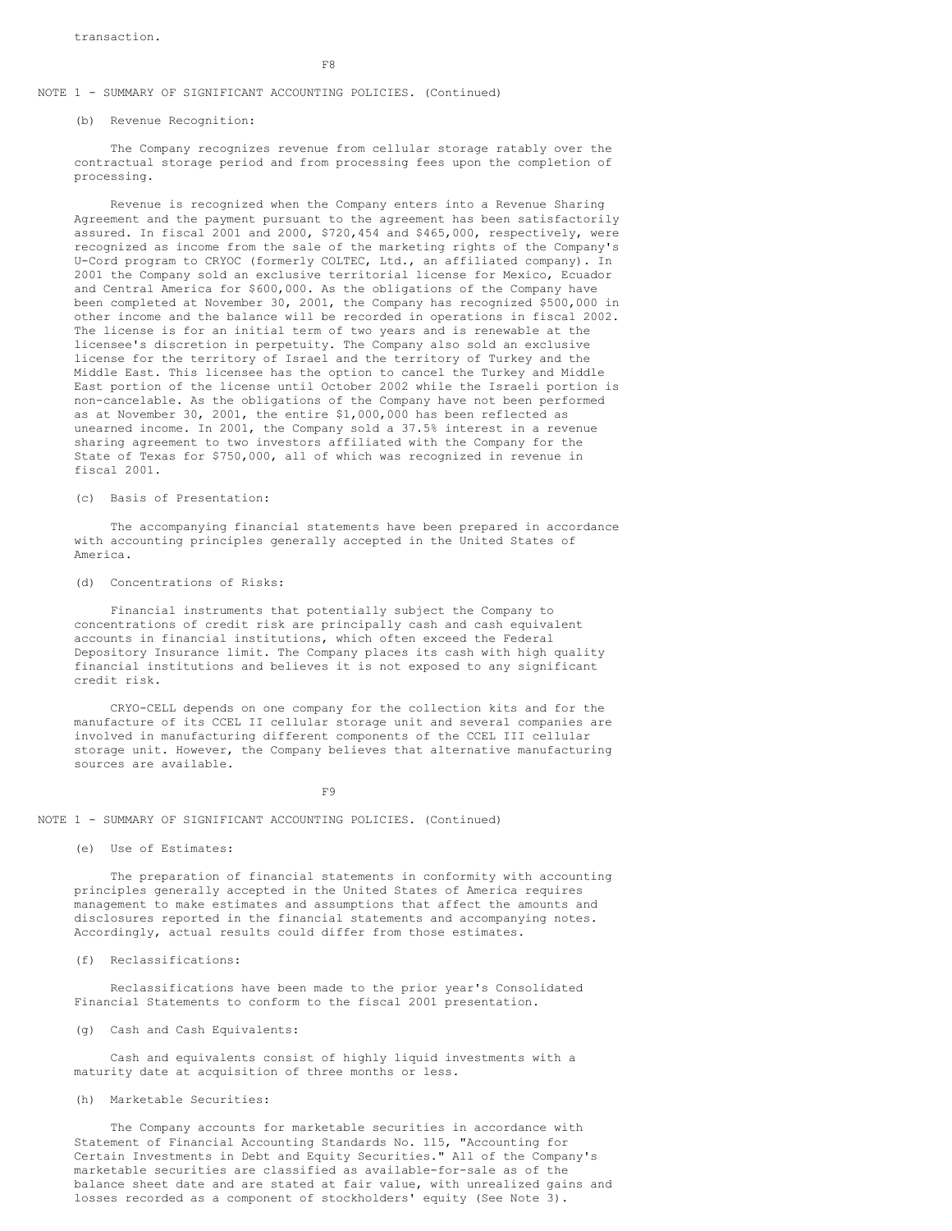# NOTE 1 - SUMMARY OF SIGNIFICANT ACCOUNTING POLICIES. (Continued)

#### (b) Revenue Recognition:

The Company recognizes revenue from cellular storage ratably over the contractual storage period and from processing fees upon the completion of processing.

Revenue is recognized when the Company enters into a Revenue Sharing Agreement and the payment pursuant to the agreement has been satisfactorily assured. In fiscal 2001 and 2000, \$720,454 and \$465,000, respectively, were recognized as income from the sale of the marketing rights of the Company's U-Cord program to CRYOC (formerly COLTEC, Ltd., an affiliated company). In 2001 the Company sold an exclusive territorial license for Mexico, Ecuador and Central America for \$600,000. As the obligations of the Company have been completed at November 30, 2001, the Company has recognized \$500,000 in other income and the balance will be recorded in operations in fiscal 2002. The license is for an initial term of two years and is renewable at the licensee's discretion in perpetuity. The Company also sold an exclusive license for the territory of Israel and the territory of Turkey and the Middle East. This licensee has the option to cancel the Turkey and Middle East portion of the license until October 2002 while the Israeli portion is non-cancelable. As the obligations of the Company have not been performed as at November 30, 2001, the entire \$1,000,000 has been reflected as unearned income. In 2001, the Company sold a 37.5% interest in a revenue sharing agreement to two investors affiliated with the Company for the State of Texas for \$750,000, all of which was recognized in revenue in fiscal 2001.

## (c) Basis of Presentation:

The accompanying financial statements have been prepared in accordance with accounting principles generally accepted in the United States of America.

(d) Concentrations of Risks:

Financial instruments that potentially subject the Company to concentrations of credit risk are principally cash and cash equivalent accounts in financial institutions, which often exceed the Federal Depository Insurance limit. The Company places its cash with high quality financial institutions and believes it is not exposed to any significant credit risk.

CRYO-CELL depends on one company for the collection kits and for the manufacture of its CCEL II cellular storage unit and several companies are involved in manufacturing different components of the CCEL III cellular storage unit. However, the Company believes that alternative manufacturing sources are available.

F9

NOTE 1 - SUMMARY OF SIGNIFICANT ACCOUNTING POLICIES. (Continued)

(e) Use of Estimates:

The preparation of financial statements in conformity with accounting principles generally accepted in the United States of America requires management to make estimates and assumptions that affect the amounts and disclosures reported in the financial statements and accompanying notes. Accordingly, actual results could differ from those estimates.

# (f) Reclassifications:

Reclassifications have been made to the prior year's Consolidated Financial Statements to conform to the fiscal 2001 presentation.

# (g) Cash and Cash Equivalents:

Cash and equivalents consist of highly liquid investments with a maturity date at acquisition of three months or less.

# (h) Marketable Securities:

The Company accounts for marketable securities in accordance with Statement of Financial Accounting Standards No. 115, "Accounting for Certain Investments in Debt and Equity Securities." All of the Company's marketable securities are classified as available-for-sale as of the balance sheet date and are stated at fair value, with unrealized gains and losses recorded as a component of stockholders' equity (See Note 3).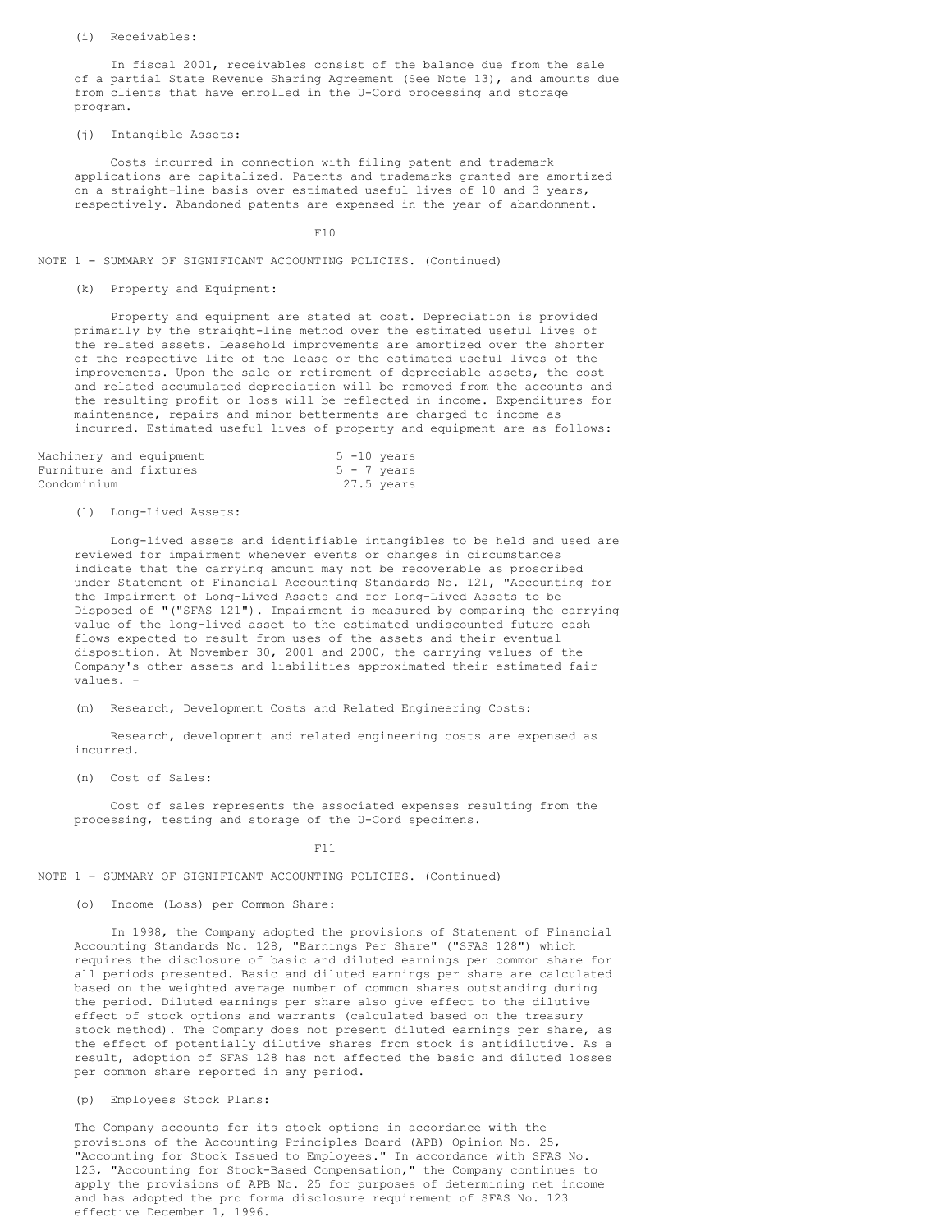#### (i) Receivables:

In fiscal 2001, receivables consist of the balance due from the sale of a partial State Revenue Sharing Agreement (See Note 13), and amounts due from clients that have enrolled in the U-Cord processing and storage program.

## (j) Intangible Assets:

Costs incurred in connection with filing patent and trademark applications are capitalized. Patents and trademarks granted are amortized on a straight-line basis over estimated useful lives of 10 and 3 years, respectively. Abandoned patents are expensed in the year of abandonment.

F10

#### NOTE 1 - SUMMARY OF SIGNIFICANT ACCOUNTING POLICIES. (Continued)

## (k) Property and Equipment:

Property and equipment are stated at cost. Depreciation is provided primarily by the straight-line method over the estimated useful lives of the related assets. Leasehold improvements are amortized over the shorter of the respective life of the lease or the estimated useful lives of the improvements. Upon the sale or retirement of depreciable assets, the cost and related accumulated depreciation will be removed from the accounts and the resulting profit or loss will be reflected in income. Expenditures for maintenance, repairs and minor betterments are charged to income as incurred. Estimated useful lives of property and equipment are as follows:

|                        | Machinery and equipment |  | $5 - 10$ years |
|------------------------|-------------------------|--|----------------|
| Furniture and fixtures |                         |  | $5 - 7$ years  |
| Condominium            |                         |  | 27.5 years     |

## (l) Long-Lived Assets:

Long-lived assets and identifiable intangibles to be held and used are reviewed for impairment whenever events or changes in circumstances indicate that the carrying amount may not be recoverable as proscribed under Statement of Financial Accounting Standards No. 121, "Accounting for the Impairment of Long-Lived Assets and for Long-Lived Assets to be Disposed of "("SFAS 121"). Impairment is measured by comparing the carrying value of the long-lived asset to the estimated undiscounted future cash flows expected to result from uses of the assets and their eventual disposition. At November 30, 2001 and 2000, the carrying values of the Company's other assets and liabilities approximated their estimated fair values. -

(m) Research, Development Costs and Related Engineering Costs:

Research, development and related engineering costs are expensed as incurred.

(n) Cost of Sales:

Cost of sales represents the associated expenses resulting from the processing, testing and storage of the U-Cord specimens.

#### F11

## NOTE 1 - SUMMARY OF SIGNIFICANT ACCOUNTING POLICIES. (Continued)

(o) Income (Loss) per Common Share:

In 1998, the Company adopted the provisions of Statement of Financial Accounting Standards No. 128, "Earnings Per Share" ("SFAS 128") which requires the disclosure of basic and diluted earnings per common share for all periods presented. Basic and diluted earnings per share are calculated based on the weighted average number of common shares outstanding during the period. Diluted earnings per share also give effect to the dilutive effect of stock options and warrants (calculated based on the treasury stock method). The Company does not present diluted earnings per share, as the effect of potentially dilutive shares from stock is antidilutive. As a result, adoption of SFAS 128 has not affected the basic and diluted losses per common share reported in any period.

# (p) Employees Stock Plans:

The Company accounts for its stock options in accordance with the provisions of the Accounting Principles Board (APB) Opinion No. 25, "Accounting for Stock Issued to Employees." In accordance with SFAS No. 123, "Accounting for Stock-Based Compensation," the Company continues to apply the provisions of APB No. 25 for purposes of determining net income and has adopted the pro forma disclosure requirement of SFAS No. 123 effective December 1, 1996.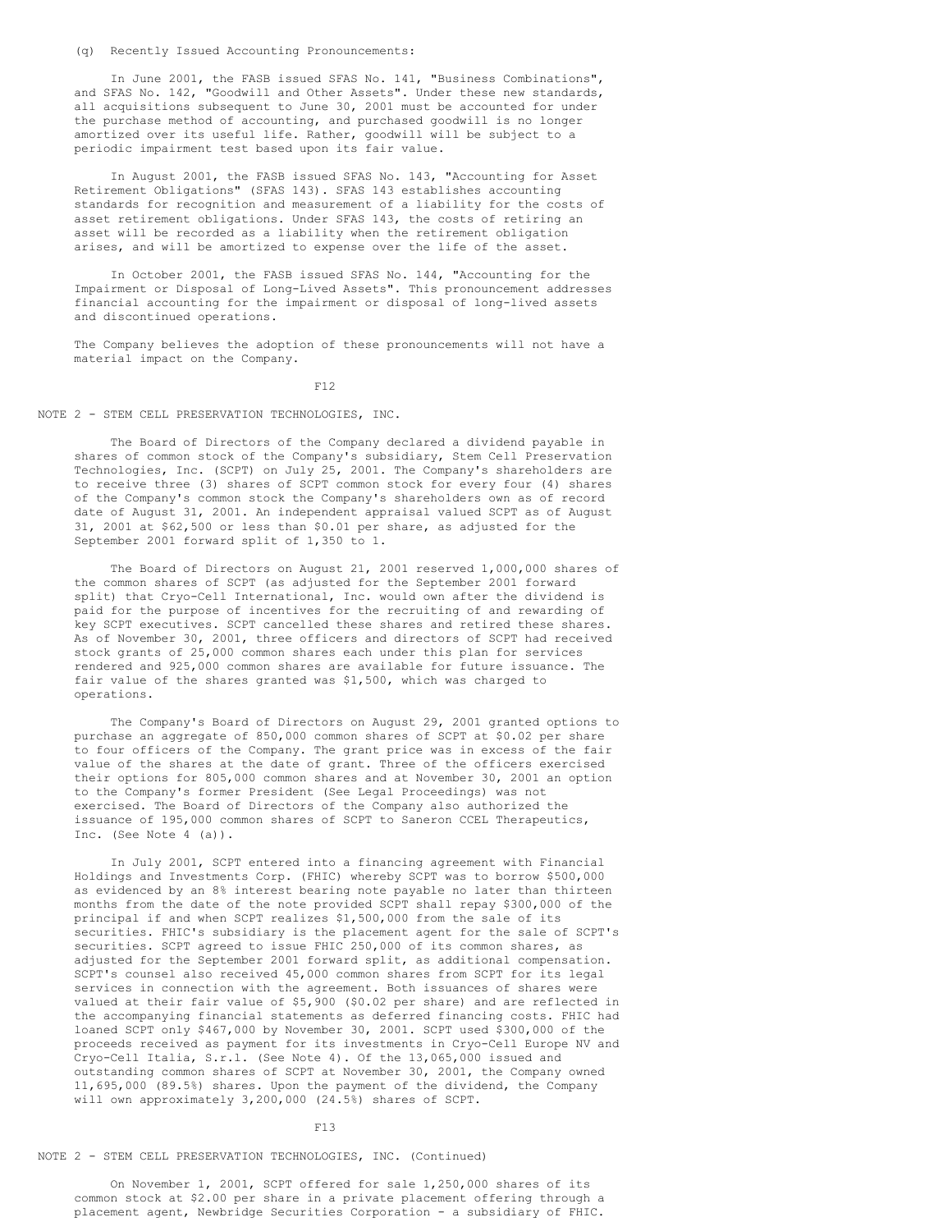(q) Recently Issued Accounting Pronouncements:

In June 2001, the FASB issued SFAS No. 141, "Business Combinations", and SFAS No. 142, "Goodwill and Other Assets". Under these new standards, all acquisitions subsequent to June 30, 2001 must be accounted for under the purchase method of accounting, and purchased goodwill is no longer amortized over its useful life. Rather, goodwill will be subject to a periodic impairment test based upon its fair value.

In August 2001, the FASB issued SFAS No. 143, "Accounting for Asset Retirement Obligations" (SFAS 143). SFAS 143 establishes accounting standards for recognition and measurement of a liability for the costs of asset retirement obligations. Under SFAS 143, the costs of retiring an asset will be recorded as a liability when the retirement obligation arises, and will be amortized to expense over the life of the asset.

In October 2001, the FASB issued SFAS No. 144, "Accounting for the Impairment or Disposal of Long-Lived Assets". This pronouncement addresses financial accounting for the impairment or disposal of long-lived assets and discontinued operations.

The Company believes the adoption of these pronouncements will not have a material impact on the Company.

F12

NOTE 2 - STEM CELL PRESERVATION TECHNOLOGIES, INC.

The Board of Directors of the Company declared a dividend payable in shares of common stock of the Company's subsidiary, Stem Cell Preservation Technologies, Inc. (SCPT) on July 25, 2001. The Company's shareholders are to receive three (3) shares of SCPT common stock for every four (4) shares of the Company's common stock the Company's shareholders own as of record date of August 31, 2001. An independent appraisal valued SCPT as of August 31, 2001 at \$62,500 or less than \$0.01 per share, as adjusted for the September 2001 forward split of 1,350 to 1.

The Board of Directors on August 21, 2001 reserved 1,000,000 shares of the common shares of SCPT (as adjusted for the September 2001 forward split) that Cryo-Cell International, Inc. would own after the dividend is paid for the purpose of incentives for the recruiting of and rewarding of key SCPT executives. SCPT cancelled these shares and retired these shares. As of November 30, 2001, three officers and directors of SCPT had received stock grants of 25,000 common shares each under this plan for services rendered and 925,000 common shares are available for future issuance. The fair value of the shares granted was \$1,500, which was charged to operations.

The Company's Board of Directors on August 29, 2001 granted options to purchase an aggregate of 850,000 common shares of SCPT at \$0.02 per share to four officers of the Company. The grant price was in excess of the fair value of the shares at the date of grant. Three of the officers exercised their options for 805,000 common shares and at November 30, 2001 an option to the Company's former President (See Legal Proceedings) was not exercised. The Board of Directors of the Company also authorized the issuance of 195,000 common shares of SCPT to Saneron CCEL Therapeutics, Inc. (See Note 4 (a)).

In July 2001, SCPT entered into a financing agreement with Financial Holdings and Investments Corp. (FHIC) whereby SCPT was to borrow \$500,000 as evidenced by an 8% interest bearing note payable no later than thirteen months from the date of the note provided SCPT shall repay \$300,000 of the principal if and when SCPT realizes \$1,500,000 from the sale of its securities. FHIC's subsidiary is the placement agent for the sale of SCPT's securities. SCPT agreed to issue FHIC 250,000 of its common shares, as adjusted for the September 2001 forward split, as additional compensation. SCPT's counsel also received 45,000 common shares from SCPT for its legal services in connection with the agreement. Both issuances of shares were valued at their fair value of \$5,900 (\$0.02 per share) and are reflected in the accompanying financial statements as deferred financing costs. FHIC had loaned SCPT only \$467,000 by November 30, 2001. SCPT used \$300,000 of the proceeds received as payment for its investments in Cryo-Cell Europe NV and Cryo-Cell Italia, S.r.l. (See Note 4). Of the 13,065,000 issued and outstanding common shares of SCPT at November 30, 2001, the Company owned 11,695,000 (89.5%) shares. Upon the payment of the dividend, the Company will own approximately 3,200,000 (24.5%) shares of SCPT.

F13

# NOTE 2 - STEM CELL PRESERVATION TECHNOLOGIES, INC. (Continued)

On November 1, 2001, SCPT offered for sale 1,250,000 shares of its common stock at \$2.00 per share in a private placement offering through a placement agent, Newbridge Securities Corporation - a subsidiary of FHIC.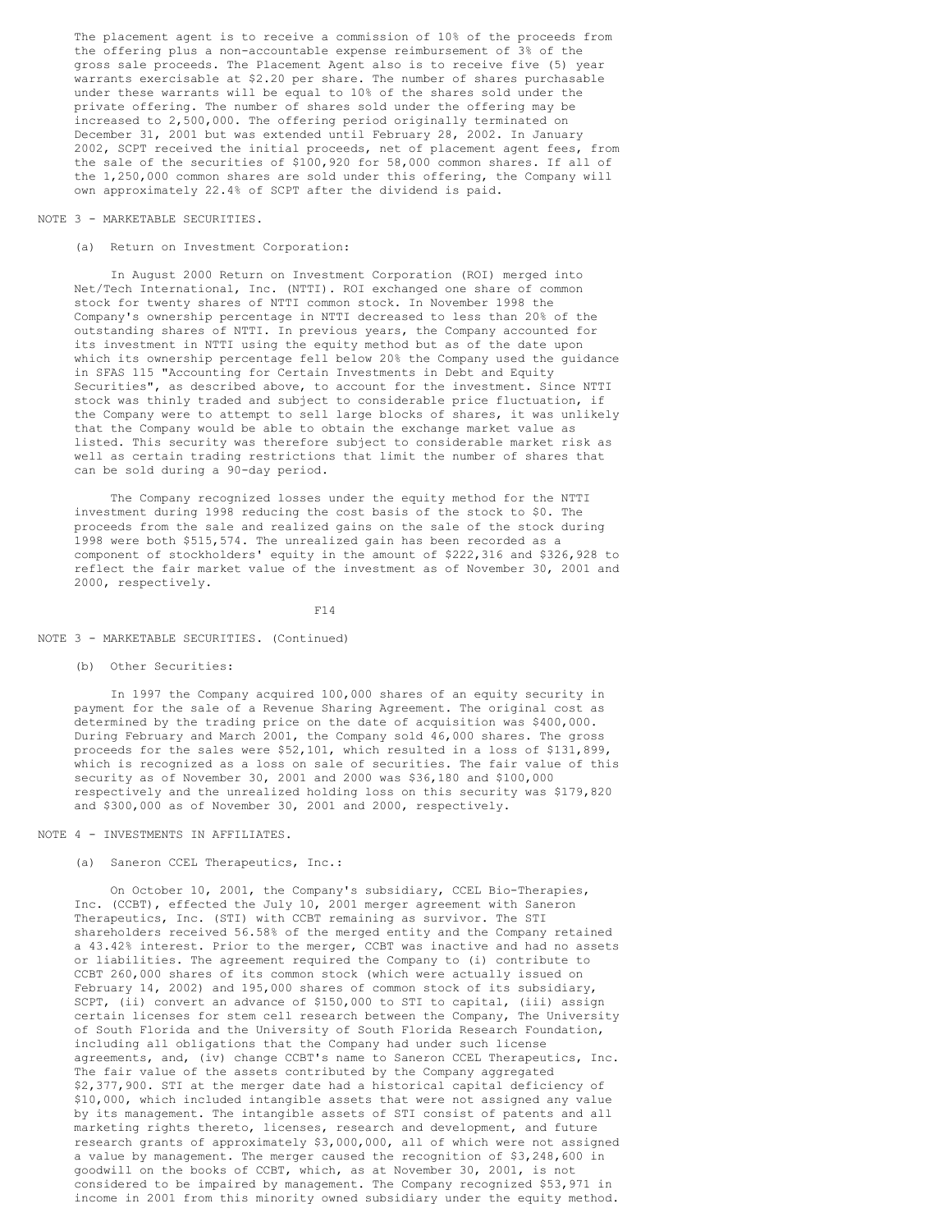The placement agent is to receive a commission of 10% of the proceeds from the offering plus a non-accountable expense reimbursement of 3% of the gross sale proceeds. The Placement Agent also is to receive five (5) year warrants exercisable at \$2.20 per share. The number of shares purchasable under these warrants will be equal to 10% of the shares sold under the private offering. The number of shares sold under the offering may be increased to 2,500,000. The offering period originally terminated on December 31, 2001 but was extended until February 28, 2002. In January 2002, SCPT received the initial proceeds, net of placement agent fees, from the sale of the securities of \$100,920 for 58,000 common shares. If all of the 1,250,000 common shares are sold under this offering, the Company will own approximately 22.4% of SCPT after the dividend is paid.

## NOTE 3 - MARKETABLE SECURITIES.

#### (a) Return on Investment Corporation:

In August 2000 Return on Investment Corporation (ROI) merged into Net/Tech International, Inc. (NTTI). ROI exchanged one share of common stock for twenty shares of NTTI common stock. In November 1998 the Company's ownership percentage in NTTI decreased to less than 20% of the outstanding shares of NTTI. In previous years, the Company accounted for its investment in NTTI using the equity method but as of the date upon which its ownership percentage fell below 20% the Company used the guidance in SFAS 115 "Accounting for Certain Investments in Debt and Equity Securities", as described above, to account for the investment. Since NTTI stock was thinly traded and subject to considerable price fluctuation, if the Company were to attempt to sell large blocks of shares, it was unlikely that the Company would be able to obtain the exchange market value as listed. This security was therefore subject to considerable market risk as well as certain trading restrictions that limit the number of shares that can be sold during a 90-day period.

The Company recognized losses under the equity method for the NTTI investment during 1998 reducing the cost basis of the stock to \$0. The proceeds from the sale and realized gains on the sale of the stock during 1998 were both \$515,574. The unrealized gain has been recorded as a component of stockholders' equity in the amount of \$222,316 and \$326,928 to reflect the fair market value of the investment as of November 30, 2001 and 2000, respectively.

F14

## NOTE 3 - MARKETABLE SECURITIES. (Continued)

## (b) Other Securities:

In 1997 the Company acquired 100,000 shares of an equity security in payment for the sale of a Revenue Sharing Agreement. The original cost as determined by the trading price on the date of acquisition was \$400,000. During February and March 2001, the Company sold 46,000 shares. The gross proceeds for the sales were \$52,101, which resulted in a loss of \$131,899, which is recognized as a loss on sale of securities. The fair value of this security as of November 30, 2001 and 2000 was \$36,180 and \$100,000 respectively and the unrealized holding loss on this security was \$179,820 and \$300,000 as of November 30, 2001 and 2000, respectively.

# NOTE 4 - INVESTMENTS IN AFFILIATES.

## (a) Saneron CCEL Therapeutics, Inc.:

On October 10, 2001, the Company's subsidiary, CCEL Bio-Therapies, Inc. (CCBT), effected the July 10, 2001 merger agreement with Saneron Therapeutics, Inc. (STI) with CCBT remaining as survivor. The STI shareholders received 56.58% of the merged entity and the Company retained a 43.42% interest. Prior to the merger, CCBT was inactive and had no assets or liabilities. The agreement required the Company to (i) contribute to CCBT 260,000 shares of its common stock (which were actually issued on February 14, 2002) and 195,000 shares of common stock of its subsidiary, SCPT, (ii) convert an advance of \$150,000 to STI to capital, (iii) assign certain licenses for stem cell research between the Company, The University of South Florida and the University of South Florida Research Foundation, including all obligations that the Company had under such license agreements, and, (iv) change CCBT's name to Saneron CCEL Therapeutics, Inc. The fair value of the assets contributed by the Company aggregated \$2,377,900. STI at the merger date had a historical capital deficiency of \$10,000, which included intangible assets that were not assigned any value by its management. The intangible assets of STI consist of patents and all marketing rights thereto, licenses, research and development, and future research grants of approximately \$3,000,000, all of which were not assigned a value by management. The merger caused the recognition of \$3,248,600 in goodwill on the books of CCBT, which, as at November 30, 2001, is not considered to be impaired by management. The Company recognized \$53,971 in income in 2001 from this minority owned subsidiary under the equity method.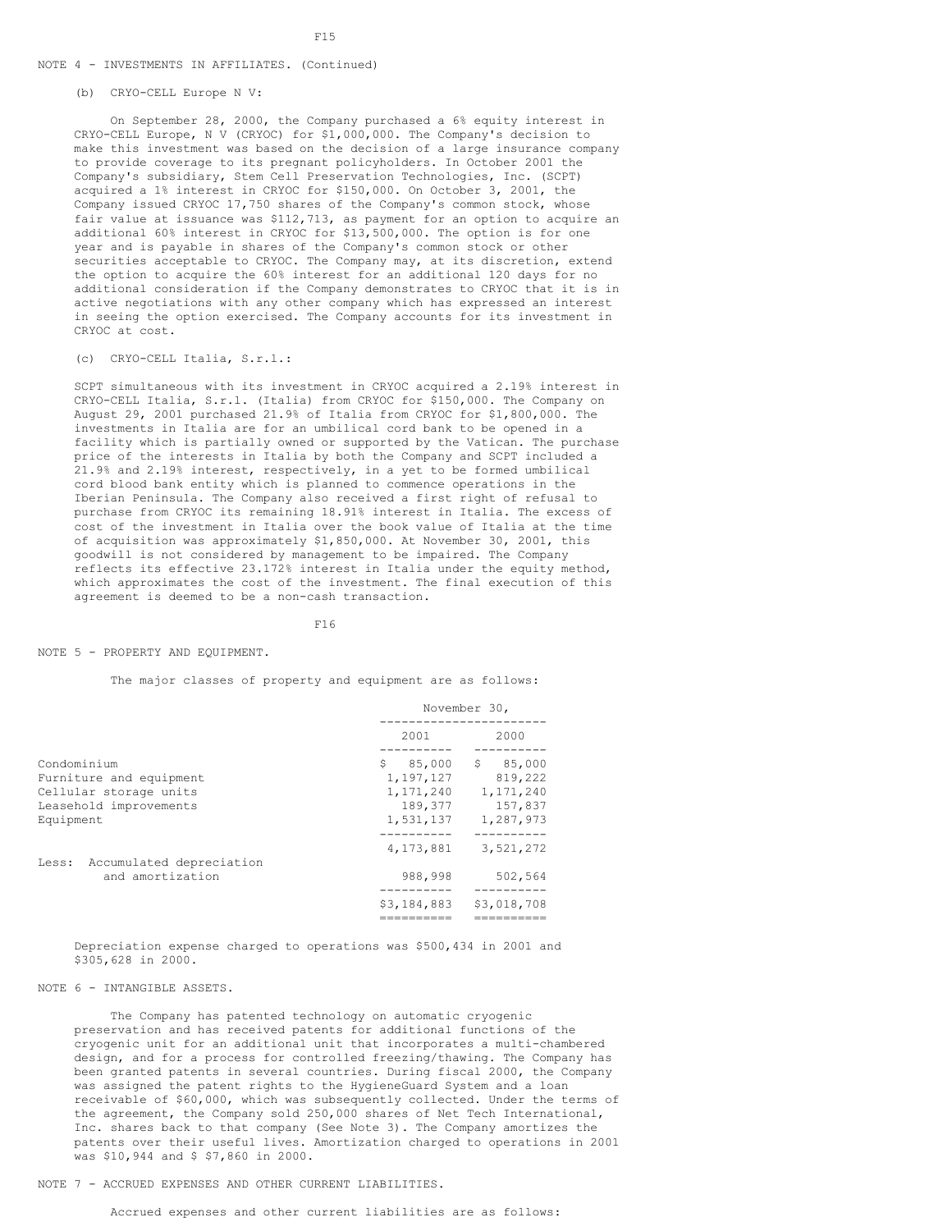#### NOTE 4 - INVESTMENTS IN AFFILIATES. (Continued)

(b) CRYO-CELL Europe N V:

On September 28, 2000, the Company purchased a 6% equity interest in CRYO-CELL Europe, N V (CRYOC) for \$1,000,000. The Company's decision to make this investment was based on the decision of a large insurance company to provide coverage to its pregnant policyholders. In October 2001 the Company's subsidiary, Stem Cell Preservation Technologies, Inc. (SCPT) acquired a 1% interest in CRYOC for \$150,000. On October 3, 2001, the Company issued CRYOC 17,750 shares of the Company's common stock, whose fair value at issuance was \$112,713, as payment for an option to acquire an additional 60% interest in CRYOC for \$13,500,000. The option is for one year and is payable in shares of the Company's common stock or other securities acceptable to CRYOC. The Company may, at its discretion, extend the option to acquire the 60% interest for an additional 120 days for no additional consideration if the Company demonstrates to CRYOC that it is in active negotiations with any other company which has expressed an interest in seeing the option exercised. The Company accounts for its investment in CRYOC at cost.

## (c) CRYO-CELL Italia, S.r.l.:

SCPT simultaneous with its investment in CRYOC acquired a 2.19% interest in CRYO-CELL Italia, S.r.l. (Italia) from CRYOC for \$150,000. The Company on August 29, 2001 purchased 21.9% of Italia from CRYOC for \$1,800,000. The investments in Italia are for an umbilical cord bank to be opened in a facility which is partially owned or supported by the Vatican. The purchase price of the interests in Italia by both the Company and SCPT included a 21.9% and 2.19% interest, respectively, in a yet to be formed umbilical cord blood bank entity which is planned to commence operations in the Iberian Peninsula. The Company also received a first right of refusal to purchase from CRYOC its remaining 18.91% interest in Italia. The excess of cost of the investment in Italia over the book value of Italia at the time of acquisition was approximately \$1,850,000. At November 30, 2001, this goodwill is not considered by management to be impaired. The Company reflects its effective 23.172% interest in Italia under the equity method, which approximates the cost of the investment. The final execution of this agreement is deemed to be a non-cash transaction.

F16

#### NOTE 5 - PROPERTY AND EQUIPMENT.

The major classes of property and equipment are as follows:

|             |                          | November 30, |                |  |
|-------------|--------------------------|--------------|----------------|--|
|             |                          | 2001         | 2000           |  |
|             |                          |              |                |  |
| Condominium |                          | \$<br>85,000 | 85,000<br>S.   |  |
|             | Furniture and equipment  | 1,197,127    | 819,222        |  |
|             | Cellular storage units   | 1,171,240    | 1,171,240      |  |
|             | Leasehold improvements   | 189.377      | 157,837        |  |
| Equipment   |                          | 1,531,137    | 1,287,973      |  |
|             |                          | 4,173,881    | .<br>3,521,272 |  |
| Less:       | Accumulated depreciation |              |                |  |
|             | and amortization         | 988,998      | 502,564        |  |
|             |                          |              |                |  |
|             |                          | \$3,184,883  | \$3,018,708    |  |
|             |                          |              |                |  |

Depreciation expense charged to operations was \$500,434 in 2001 and \$305,628 in 2000.

#### NOTE 6 - INTANGIBLE ASSETS.

The Company has patented technology on automatic cryogenic preservation and has received patents for additional functions of the cryogenic unit for an additional unit that incorporates a multi-chambered design, and for a process for controlled freezing/thawing. The Company has been granted patents in several countries. During fiscal 2000, the Company was assigned the patent rights to the HygieneGuard System and a loan receivable of \$60,000, which was subsequently collected. Under the terms of the agreement, the Company sold 250,000 shares of Net Tech International, Inc. shares back to that company (See Note 3). The Company amortizes the patents over their useful lives. Amortization charged to operations in 2001 was \$10,944 and \$ \$7,860 in 2000.

NOTE 7 - ACCRUED EXPENSES AND OTHER CURRENT LIABILITIES.

Accrued expenses and other current liabilities are as follows: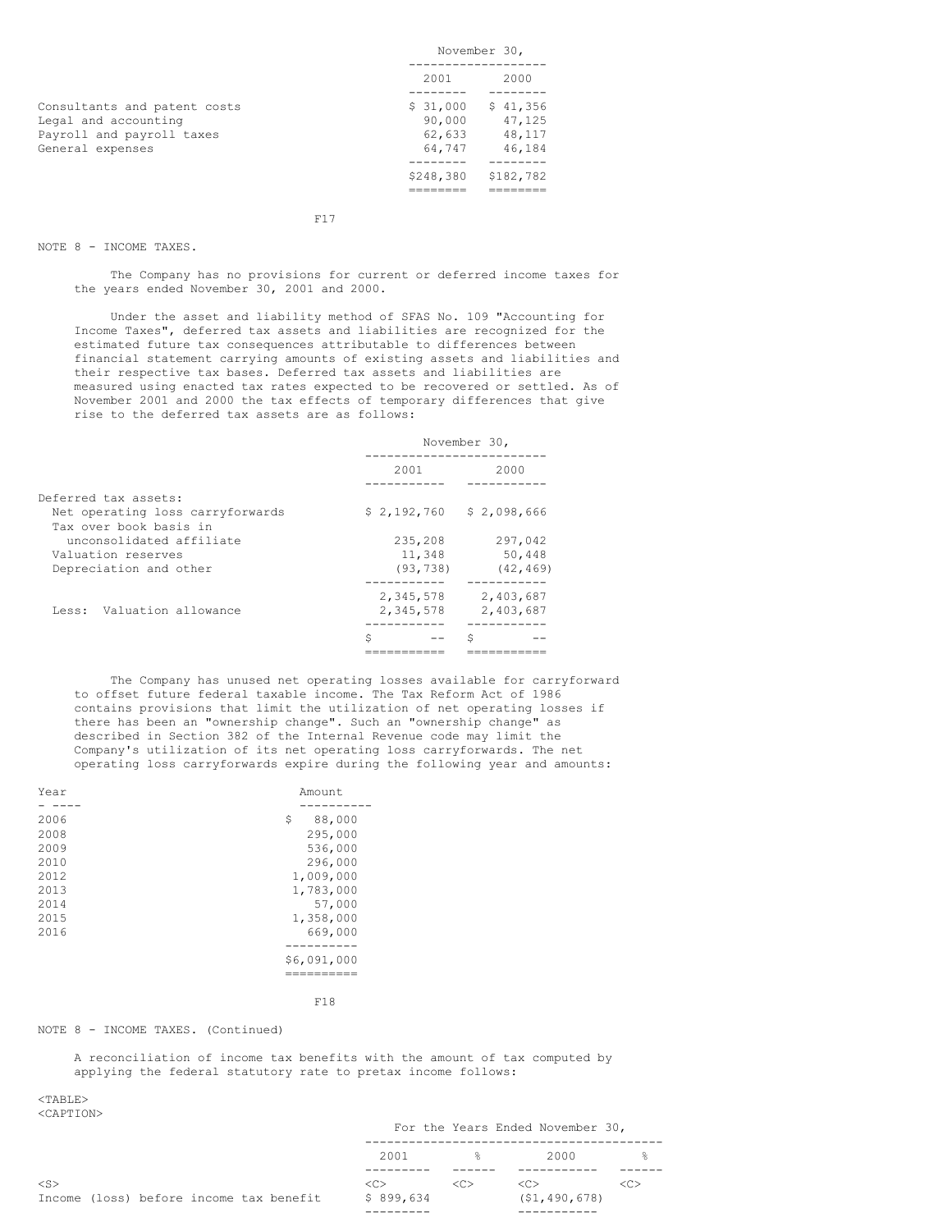|                              |           | November 30, |  |
|------------------------------|-----------|--------------|--|
|                              | 2001      | 2000         |  |
|                              |           |              |  |
| Consultants and patent costs | \$31,000  | \$41,356     |  |
| Legal and accounting         | 90,000    | 47,125       |  |
| Payroll and payroll taxes    | 62,633    | 48,117       |  |
| General expenses             | 64,747    | 46.184       |  |
|                              |           |              |  |
|                              | \$248,380 | \$182,782    |  |
|                              |           |              |  |

F17

NOTE 8 - INCOME TAXES.

The Company has no provisions for current or deferred income taxes for the years ended November 30, 2001 and 2000.

Under the asset and liability method of SFAS No. 109 "Accounting for Income Taxes", deferred tax assets and liabilities are recognized for the estimated future tax consequences attributable to differences between financial statement carrying amounts of existing assets and liabilities and their respective tax bases. Deferred tax assets and liabilities are measured using enacted tax rates expected to be recovered or settled. As of November 2001 and 2000 the tax effects of temporary differences that give rise to the deferred tax assets are as follows:

|                                  | November 30,              |           |  |
|----------------------------------|---------------------------|-----------|--|
|                                  | 2001                      | 2000      |  |
|                                  |                           |           |  |
| Deferred tax assets:             |                           |           |  |
| Net operating loss carryforwards | $$2,192,760$ $$2,098,666$ |           |  |
| Tax over book basis in           |                           |           |  |
| unconsolidated affiliate         | 235,208                   | 297,042   |  |
| Valuation reserves               | 11,348                    | 50,448    |  |
| Depreciation and other           | (93, 738)                 | (42, 469) |  |
|                                  |                           |           |  |
|                                  | 2,345,578                 | 2,403,687 |  |
| Valuation allowance<br>Less:     | 2,345,578                 | 2,403,687 |  |
|                                  |                           |           |  |
|                                  | Ŝ                         | Ŝ         |  |
|                                  |                           |           |  |

The Company has unused net operating losses available for carryforward to offset future federal taxable income. The Tax Reform Act of 1986 contains provisions that limit the utilization of net operating losses if there has been an "ownership change". Such an "ownership change" as described in Section 382 of the Internal Revenue code may limit the Company's utilization of its net operating loss carryforwards. The net operating loss carryforwards expire during the following year and amounts:

| Year | Amount       |
|------|--------------|
|      |              |
| 2006 | \$<br>88,000 |
| 2008 | 295,000      |
| 2009 | 536,000      |
| 2010 | 296,000      |
| 2012 | 1,009,000    |
| 2013 | 1,783,000    |
| 2014 | 57,000       |
| 2015 | 1,358,000    |
| 2016 | 669,000      |
|      |              |
|      | \$6,091,000  |
|      |              |
|      |              |

F18

NOTE 8 - INCOME TAXES. (Continued)

A reconciliation of income tax benefits with the amount of tax computed by applying the federal statutory rate to pretax income follows:

<TABLE> <CAPTION>

## For the Years Ended November 30,

|           |  |                                         | 2001          | $\approx$              | 2000           | 욲 |
|-----------|--|-----------------------------------------|---------------|------------------------|----------------|---|
|           |  |                                         |               |                        |                |   |
| $<$ S $>$ |  |                                         | < <sub></sub> | $\langle \cap \rangle$ | < <sub></sub>  |   |
|           |  | Income (loss) before income tax benefit | \$899,634     |                        | (51, 490, 678) |   |
|           |  |                                         | -------       |                        | ---------      |   |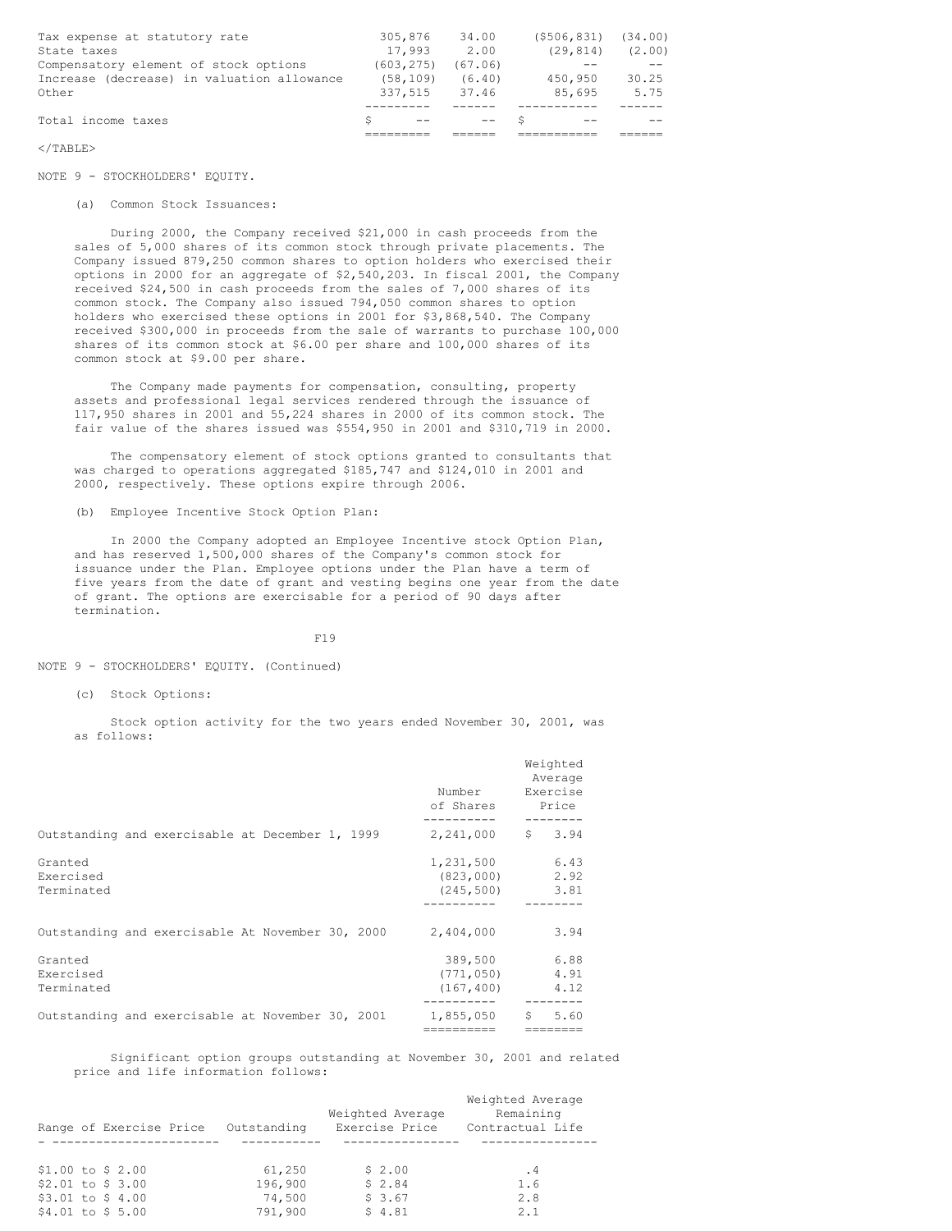| Tax expense at statutory rate<br>State taxes | 305,876<br>17,993 | 34.00<br>2.00 | (5506, 831)<br>(29.814) | (34.00)<br>(2.00) |
|----------------------------------------------|-------------------|---------------|-------------------------|-------------------|
| Compensatory element of stock options        | (603,275)         | (67.06)       |                         |                   |
| Increase (decrease) in valuation allowance   | (58, 109)         | (6.40)        | 450,950                 | 30.25             |
| Other                                        | 337,515           | 37.46         | 85,695                  | 5.75              |
|                                              |                   |               |                         |                   |
| Total income taxes                           |                   | $- -$         |                         |                   |
|                                              |                   |               |                         |                   |

</TABLE>

NOTE 9 - STOCKHOLDERS' EQUITY.

(a) Common Stock Issuances:

During 2000, the Company received \$21,000 in cash proceeds from the sales of 5,000 shares of its common stock through private placements. The Company issued 879,250 common shares to option holders who exercised their options in 2000 for an aggregate of \$2,540,203. In fiscal 2001, the Company received \$24,500 in cash proceeds from the sales of 7,000 shares of its common stock. The Company also issued 794,050 common shares to option holders who exercised these options in 2001 for \$3,868,540. The Company received \$300,000 in proceeds from the sale of warrants to purchase 100,000 shares of its common stock at \$6.00 per share and 100,000 shares of its common stock at \$9.00 per share.

The Company made payments for compensation, consulting, property assets and professional legal services rendered through the issuance of 117,950 shares in 2001 and 55,224 shares in 2000 of its common stock. The fair value of the shares issued was \$554,950 in 2001 and \$310,719 in 2000.

The compensatory element of stock options granted to consultants that was charged to operations aggregated \$185,747 and \$124,010 in 2001 and 2000, respectively. These options expire through 2006.

(b) Employee Incentive Stock Option Plan:

In 2000 the Company adopted an Employee Incentive stock Option Plan, and has reserved 1,500,000 shares of the Company's common stock for issuance under the Plan. Employee options under the Plan have a term of five years from the date of grant and vesting begins one year from the date of grant. The options are exercisable for a period of 90 days after termination.

F19

NOTE 9 - STOCKHOLDERS' EQUITY. (Continued)

(c) Stock Options:

Stock option activity for the two years ended November 30, 2001, was as follows:

|                                                  | Number<br>of Shares                  | Weighted<br>Average<br>Exercise<br>Price |
|--------------------------------------------------|--------------------------------------|------------------------------------------|
| Outstanding and exercisable at December 1, 1999  | 2,241,000                            | \$3.94                                   |
| Granted<br>Exercised<br>Terminated               | 1,231,500<br>(823,000)<br>(245, 500) | 6.43<br>2.92<br>3.81                     |
| Outstanding and exercisable At November 30, 2000 | 2,404,000                            | 3.94                                     |
| Granted<br>Exercised<br>Terminated               | 389,500<br>(771, 050)<br>(167, 400)  | 6.88<br>4.91<br>4.12                     |
| Outstanding and exercisable at November 30, 2001 | 1,855,050<br>==========              | \$<br>5.60<br>========                   |

Significant option groups outstanding at November 30, 2001 and related price and life information follows:

|  | Range of Exercise Price | Outstanding | Weighted Average<br>Exercise Price | Weighted Average<br>Remaining<br>Contractual Life |
|--|-------------------------|-------------|------------------------------------|---------------------------------------------------|
|  | $$1.00$ to $$2.00$      | 61,250      | \$2.00                             | . 4                                               |
|  | $$2.01$ to $$3.00$      | 196,900     | \$2.84                             | 1.6                                               |
|  | $$3.01$ to $$4.00$      | 74,500      | \$3.67                             | 2.8                                               |
|  | \$4.01 to \$ 5.00       | 791,900     | \$4.81                             | 2.1                                               |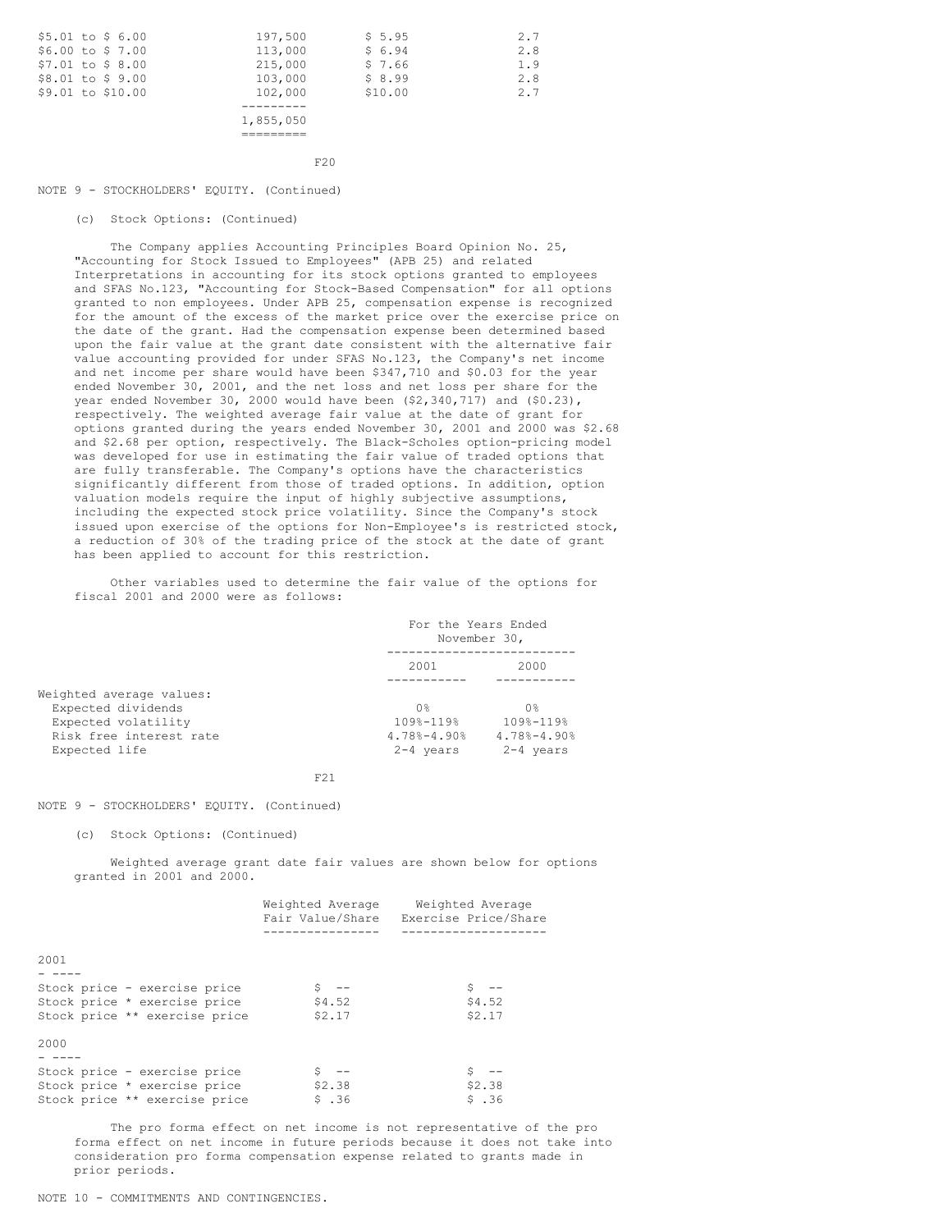| $$5.01$ to \$ 6.00 | 197,500   | \$5.95  | 2.7 |
|--------------------|-----------|---------|-----|
| \$6.00 to \$7.00   | 113,000   | \$6.94  | 2.8 |
| $$7.01$ to $$8.00$ | 215,000   | \$7.66  | 1.9 |
| $$8.01$ to \$ 9.00 | 103,000   | \$8.99  | 2.8 |
| \$9.01 to \$10.00  | 102,000   | \$10.00 | 2.7 |
|                    | 1,855,050 |         |     |

 $F20$ 

#### NOTE 9 - STOCKHOLDERS' EQUITY. (Continued)

(c) Stock Options: (Continued)

The Company applies Accounting Principles Board Opinion No. 25, "Accounting for Stock Issued to Employees" (APB 25) and related Interpretations in accounting for its stock options granted to employees and SFAS No.123, "Accounting for Stock-Based Compensation" for all options granted to non employees. Under APB 25, compensation expense is recognized for the amount of the excess of the market price over the exercise price on the date of the grant. Had the compensation expense been determined based upon the fair value at the grant date consistent with the alternative fair value accounting provided for under SFAS No.123, the Company's net income and net income per share would have been \$347,710 and \$0.03 for the year ended November 30, 2001, and the net loss and net loss per share for the year ended November 30, 2000 would have been (\$2,340,717) and (\$0.23), respectively. The weighted average fair value at the date of grant for options granted during the years ended November 30, 2001 and 2000 was \$2.68 and \$2.68 per option, respectively. The Black-Scholes option-pricing model was developed for use in estimating the fair value of traded options that are fully transferable. The Company's options have the characteristics significantly different from those of traded options. In addition, option valuation models require the input of highly subjective assumptions, including the expected stock price volatility. Since the Company's stock issued upon exercise of the options for Non-Employee's is restricted stock, a reduction of 30% of the trading price of the stock at the date of grant has been applied to account for this restriction.

Other variables used to determine the fair value of the options for fiscal 2001 and 2000 were as follows:

|                                                                                                                   | For the Years Ended<br>November 30,                                                       |                                                                     |  |
|-------------------------------------------------------------------------------------------------------------------|-------------------------------------------------------------------------------------------|---------------------------------------------------------------------|--|
|                                                                                                                   | 2001                                                                                      | 2000                                                                |  |
| Weighted average values:<br>Expected dividends<br>Expected volatility<br>Risk free interest rate<br>Expected life | ∩‰<br>$109$ <sup>2</sup> - 119 <sup>2</sup><br>$4.78\text{-}4.90\text{-}8$<br>$2-4$ years | 0 %<br>$109$ % $-119$ %<br>$4.78\text{-}4.90\text{-}8$<br>2-4 years |  |

F21

## NOTE 9 - STOCKHOLDERS' EQUITY. (Continued)

(c) Stock Options: (Continued)

Weighted average grant date fair values are shown below for options granted in 2001 and 2000.

|                               | Weighted Average<br>Fair Value/Share | Weighted Average<br>Exercise Price/Share |
|-------------------------------|--------------------------------------|------------------------------------------|
|                               |                                      |                                          |
| 2001                          |                                      |                                          |
|                               |                                      |                                          |
| Stock price - exercise price  | $S$ $-$                              |                                          |
| Stock price * exercise price  | \$4.52                               | \$4.52                                   |
| Stock price ** exercise price | \$2.17                               | \$2.17                                   |
| 2000                          |                                      |                                          |
|                               |                                      |                                          |
| Stock price - exercise price  | $S = -$                              |                                          |
| Stock price * exercise price  | \$2.38                               | \$2.38                                   |
| Stock price ** exercise price | \$.36                                | \$.36                                    |

The pro forma effect on net income is not representative of the pro forma effect on net income in future periods because it does not take into consideration pro forma compensation expense related to grants made in prior periods.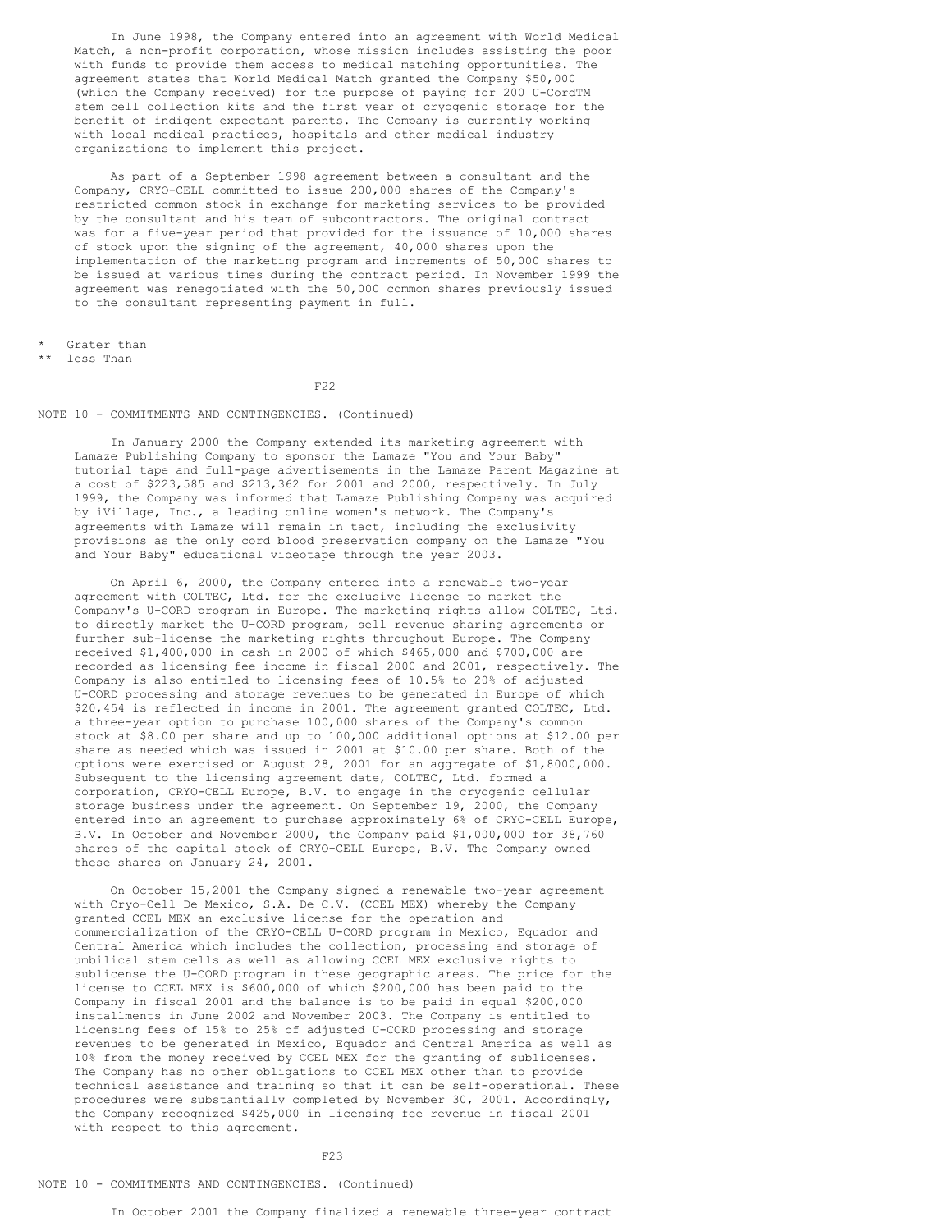In June 1998, the Company entered into an agreement with World Medical Match, a non-profit corporation, whose mission includes assisting the poor with funds to provide them access to medical matching opportunities. The agreement states that World Medical Match granted the Company \$50,000 (which the Company received) for the purpose of paying for 200 U-CordTM stem cell collection kits and the first year of cryogenic storage for the benefit of indigent expectant parents. The Company is currently working with local medical practices, hospitals and other medical industry organizations to implement this project.

As part of a September 1998 agreement between a consultant and the Company, CRYO-CELL committed to issue 200,000 shares of the Company's restricted common stock in exchange for marketing services to be provided by the consultant and his team of subcontractors. The original contract was for a five-year period that provided for the issuance of 10,000 shares of stock upon the signing of the agreement, 40,000 shares upon the implementation of the marketing program and increments of 50,000 shares to be issued at various times during the contract period. In November 1999 the agreement was renegotiated with the 50,000 common shares previously issued to the consultant representing payment in full.

Grater than

\*\* less Than

## F<sub>22</sub>

#### NOTE 10 - COMMITMENTS AND CONTINGENCIES. (Continued)

In January 2000 the Company extended its marketing agreement with Lamaze Publishing Company to sponsor the Lamaze "You and Your Baby" tutorial tape and full-page advertisements in the Lamaze Parent Magazine at a cost of \$223,585 and \$213,362 for 2001 and 2000, respectively. In July 1999, the Company was informed that Lamaze Publishing Company was acquired by iVillage, Inc., a leading online women's network. The Company's agreements with Lamaze will remain in tact, including the exclusivity provisions as the only cord blood preservation company on the Lamaze "You and Your Baby" educational videotape through the year 2003.

On April 6, 2000, the Company entered into a renewable two-year agreement with COLTEC, Ltd. for the exclusive license to market the Company's U-CORD program in Europe. The marketing rights allow COLTEC, Ltd. to directly market the U-CORD program, sell revenue sharing agreements or further sub-license the marketing rights throughout Europe. The Company received \$1,400,000 in cash in 2000 of which \$465,000 and \$700,000 are recorded as licensing fee income in fiscal 2000 and 2001, respectively. The Company is also entitled to licensing fees of 10.5% to 20% of adjusted U-CORD processing and storage revenues to be generated in Europe of which \$20,454 is reflected in income in 2001. The agreement granted COLTEC, Ltd. a three-year option to purchase 100,000 shares of the Company's common stock at \$8.00 per share and up to 100,000 additional options at \$12.00 per share as needed which was issued in 2001 at \$10.00 per share. Both of the options were exercised on August 28, 2001 for an aggregate of \$1,8000,000. Subsequent to the licensing agreement date, COLTEC, Ltd. formed a corporation, CRYO-CELL Europe, B.V. to engage in the cryogenic cellular storage business under the agreement. On September 19, 2000, the Company entered into an agreement to purchase approximately 6% of CRYO-CELL Europe, B.V. In October and November 2000, the Company paid \$1,000,000 for 38,760 shares of the capital stock of CRYO-CELL Europe, B.V. The Company owned these shares on January 24, 2001.

On October 15,2001 the Company signed a renewable two-year agreement with Cryo-Cell De Mexico, S.A. De C.V. (CCEL MEX) whereby the Company granted CCEL MEX an exclusive license for the operation and commercialization of the CRYO-CELL U-CORD program in Mexico, Equador and Central America which includes the collection, processing and storage of umbilical stem cells as well as allowing CCEL MEX exclusive rights to sublicense the U-CORD program in these geographic areas. The price for the license to CCEL MEX is \$600,000 of which \$200,000 has been paid to the Company in fiscal 2001 and the balance is to be paid in equal \$200,000 installments in June 2002 and November 2003. The Company is entitled to licensing fees of 15% to 25% of adjusted U-CORD processing and storage revenues to be generated in Mexico, Equador and Central America as well as 10% from the money received by CCEL MEX for the granting of sublicenses. The Company has no other obligations to CCEL MEX other than to provide technical assistance and training so that it can be self-operational. These procedures were substantially completed by November 30, 2001. Accordingly, the Company recognized \$425,000 in licensing fee revenue in fiscal 2001 with respect to this agreement.

F23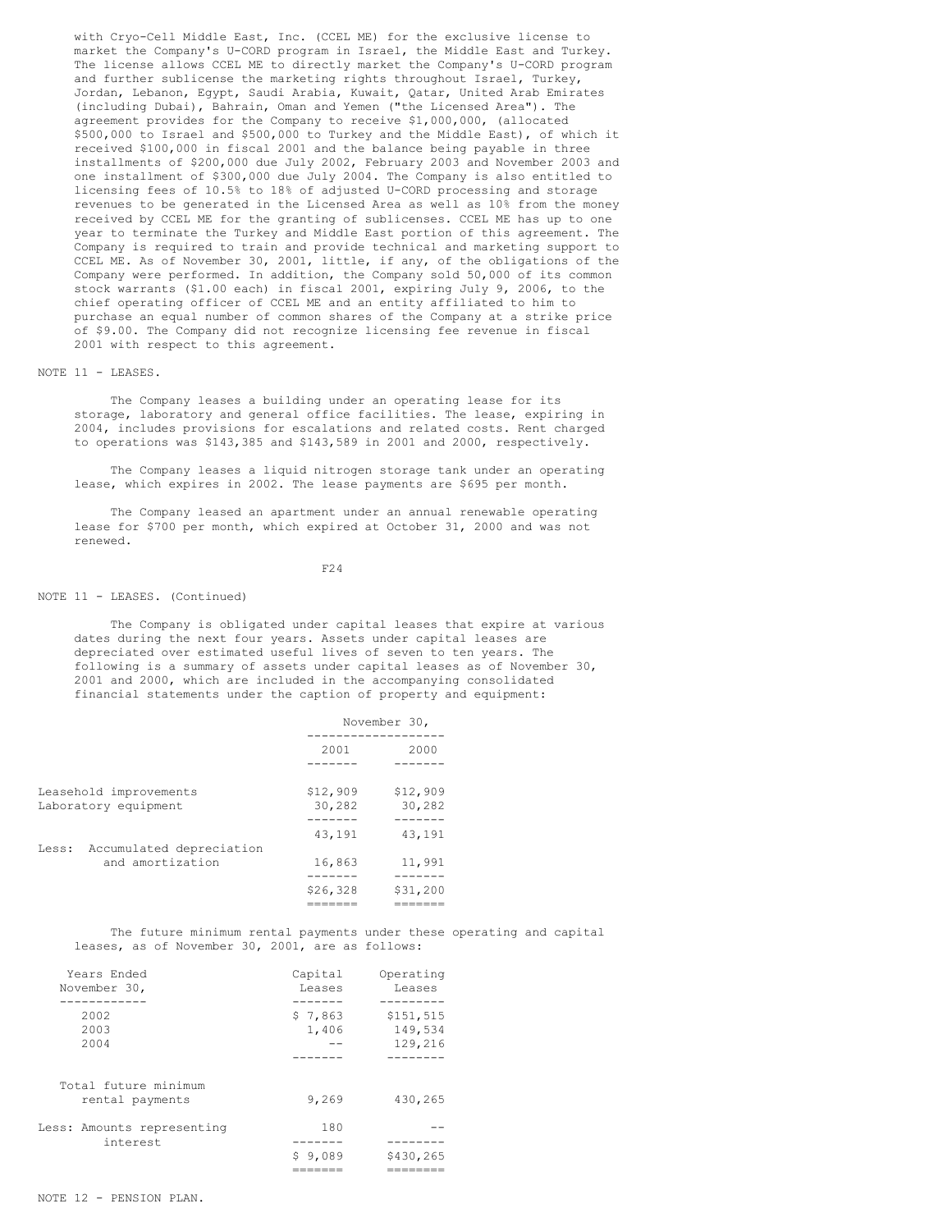with Cryo-Cell Middle East, Inc. (CCEL ME) for the exclusive license to market the Company's U-CORD program in Israel, the Middle East and Turkey. The license allows CCEL ME to directly market the Company's U-CORD program and further sublicense the marketing rights throughout Israel, Turkey, Jordan, Lebanon, Egypt, Saudi Arabia, Kuwait, Qatar, United Arab Emirates (including Dubai), Bahrain, Oman and Yemen ("the Licensed Area"). The agreement provides for the Company to receive \$1,000,000, (allocated \$500,000 to Israel and \$500,000 to Turkey and the Middle East), of which it received \$100,000 in fiscal 2001 and the balance being payable in three installments of \$200,000 due July 2002, February 2003 and November 2003 and one installment of \$300,000 due July 2004. The Company is also entitled to licensing fees of 10.5% to 18% of adjusted U-CORD processing and storage revenues to be generated in the Licensed Area as well as 10% from the money received by CCEL ME for the granting of sublicenses. CCEL ME has up to one year to terminate the Turkey and Middle East portion of this agreement. The Company is required to train and provide technical and marketing support to CCEL ME. As of November 30, 2001, little, if any, of the obligations of the Company were performed. In addition, the Company sold 50,000 of its common stock warrants (\$1.00 each) in fiscal 2001, expiring July 9, 2006, to the chief operating officer of CCEL ME and an entity affiliated to him to purchase an equal number of common shares of the Company at a strike price of \$9.00. The Company did not recognize licensing fee revenue in fiscal 2001 with respect to this agreement.

#### NOTE 11 - LEASES.

The Company leases a building under an operating lease for its storage, laboratory and general office facilities. The lease, expiring in 2004, includes provisions for escalations and related costs. Rent charged to operations was \$143,385 and \$143,589 in 2001 and 2000, respectively.

The Company leases a liquid nitrogen storage tank under an operating lease, which expires in 2002. The lease payments are \$695 per month.

The Company leased an apartment under an annual renewable operating lease for \$700 per month, which expired at October 31, 2000 and was not renewed.

#### F24

# NOTE 11 - LEASES. (Continued)

The Company is obligated under capital leases that expire at various dates during the next four years. Assets under capital leases are depreciated over estimated useful lives of seven to ten years. The following is a summary of assets under capital leases as of November 30, 2001 and 2000, which are included in the accompanying consolidated financial statements under the caption of property and equipment:

|                                                |                          | November 30,       |                    |  |
|------------------------------------------------|--------------------------|--------------------|--------------------|--|
|                                                |                          | 2001               | 2000               |  |
|                                                |                          |                    |                    |  |
| Leasehold improvements<br>Laboratory equipment |                          | \$12,909<br>30,282 | \$12,909<br>30,282 |  |
|                                                |                          | ------             | ------             |  |
| Less:                                          | Accumulated depreciation | 43,191             | 43,191             |  |
|                                                | and amortization         | 16,863             | 11,991             |  |
|                                                |                          |                    |                    |  |
|                                                |                          | \$26,328           | \$31,200           |  |
|                                                |                          |                    |                    |  |

The future minimum rental payments under these operating and capital leases, as of November 30, 2001, are as follows:

| Years Ended                | Capital | Operating |
|----------------------------|---------|-----------|
| November 30,               | Leases  | Leases    |
|                            |         | -------   |
| 2002                       | \$7.863 | \$151,515 |
| 2003                       | 1,406   | 149,534   |
| 2004                       |         | 129,216   |
|                            |         |           |
| Total future minimum       |         |           |
| rental payments            | 9.269   | 430,265   |
| Less: Amounts representing | 180     |           |
| interest                   | -----   |           |
|                            | \$9,089 | \$430,265 |
|                            |         |           |
|                            |         |           |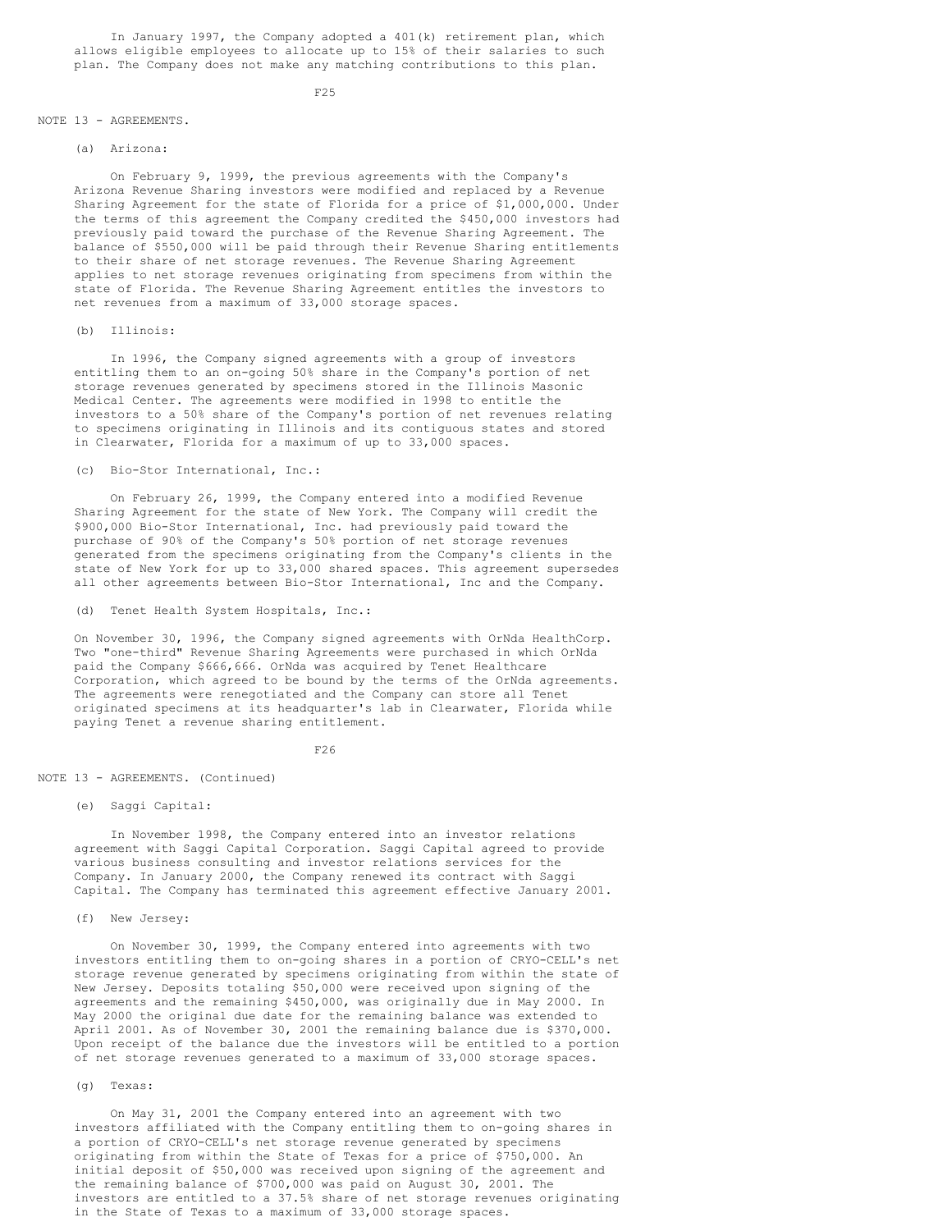In January 1997, the Company adopted a 401(k) retirement plan, which allows eligible employees to allocate up to 15% of their salaries to such plan. The Company does not make any matching contributions to this plan.

## F25

# NOTE 13 - AGREEMENTS.

## (a) Arizona:

On February 9, 1999, the previous agreements with the Company's Arizona Revenue Sharing investors were modified and replaced by a Revenue Sharing Agreement for the state of Florida for a price of \$1,000,000. Under the terms of this agreement the Company credited the \$450,000 investors had previously paid toward the purchase of the Revenue Sharing Agreement. The balance of \$550,000 will be paid through their Revenue Sharing entitlements to their share of net storage revenues. The Revenue Sharing Agreement applies to net storage revenues originating from specimens from within the state of Florida. The Revenue Sharing Agreement entitles the investors to net revenues from a maximum of 33,000 storage spaces.

## (b) Illinois:

In 1996, the Company signed agreements with a group of investors entitling them to an on-going 50% share in the Company's portion of net storage revenues generated by specimens stored in the Illinois Masonic Medical Center. The agreements were modified in 1998 to entitle the investors to a 50% share of the Company's portion of net revenues relating to specimens originating in Illinois and its contiguous states and stored in Clearwater, Florida for a maximum of up to 33,000 spaces.

#### (c) Bio-Stor International, Inc.:

On February 26, 1999, the Company entered into a modified Revenue Sharing Agreement for the state of New York. The Company will credit the \$900,000 Bio-Stor International, Inc. had previously paid toward the purchase of 90% of the Company's 50% portion of net storage revenues generated from the specimens originating from the Company's clients in the state of New York for up to 33,000 shared spaces. This agreement supersedes all other agreements between Bio-Stor International, Inc and the Company.

## (d) Tenet Health System Hospitals, Inc.:

On November 30, 1996, the Company signed agreements with OrNda HealthCorp. Two "one-third" Revenue Sharing Agreements were purchased in which OrNda paid the Company \$666,666. OrNda was acquired by Tenet Healthcare Corporation, which agreed to be bound by the terms of the OrNda agreements. The agreements were renegotiated and the Company can store all Tenet originated specimens at its headquarter's lab in Clearwater, Florida while paying Tenet a revenue sharing entitlement.

F26

## NOTE 13 - AGREEMENTS. (Continued)

#### (e) Saggi Capital:

In November 1998, the Company entered into an investor relations agreement with Saggi Capital Corporation. Saggi Capital agreed to provide various business consulting and investor relations services for the Company. In January 2000, the Company renewed its contract with Saggi Capital. The Company has terminated this agreement effective January 2001.

#### (f) New Jersey:

On November 30, 1999, the Company entered into agreements with two investors entitling them to on-going shares in a portion of CRYO-CELL's net storage revenue generated by specimens originating from within the state of New Jersey. Deposits totaling \$50,000 were received upon signing of the agreements and the remaining \$450,000, was originally due in May 2000. In May 2000 the original due date for the remaining balance was extended to April 2001. As of November 30, 2001 the remaining balance due is \$370,000. Upon receipt of the balance due the investors will be entitled to a portion of net storage revenues generated to a maximum of 33,000 storage spaces.

### (g) Texas:

On May 31, 2001 the Company entered into an agreement with two investors affiliated with the Company entitling them to on-going shares in a portion of CRYO-CELL's net storage revenue generated by specimens originating from within the State of Texas for a price of \$750,000. An initial deposit of \$50,000 was received upon signing of the agreement and the remaining balance of \$700,000 was paid on August 30, 2001. The investors are entitled to a 37.5% share of net storage revenues originating in the State of Texas to a maximum of 33,000 storage spaces.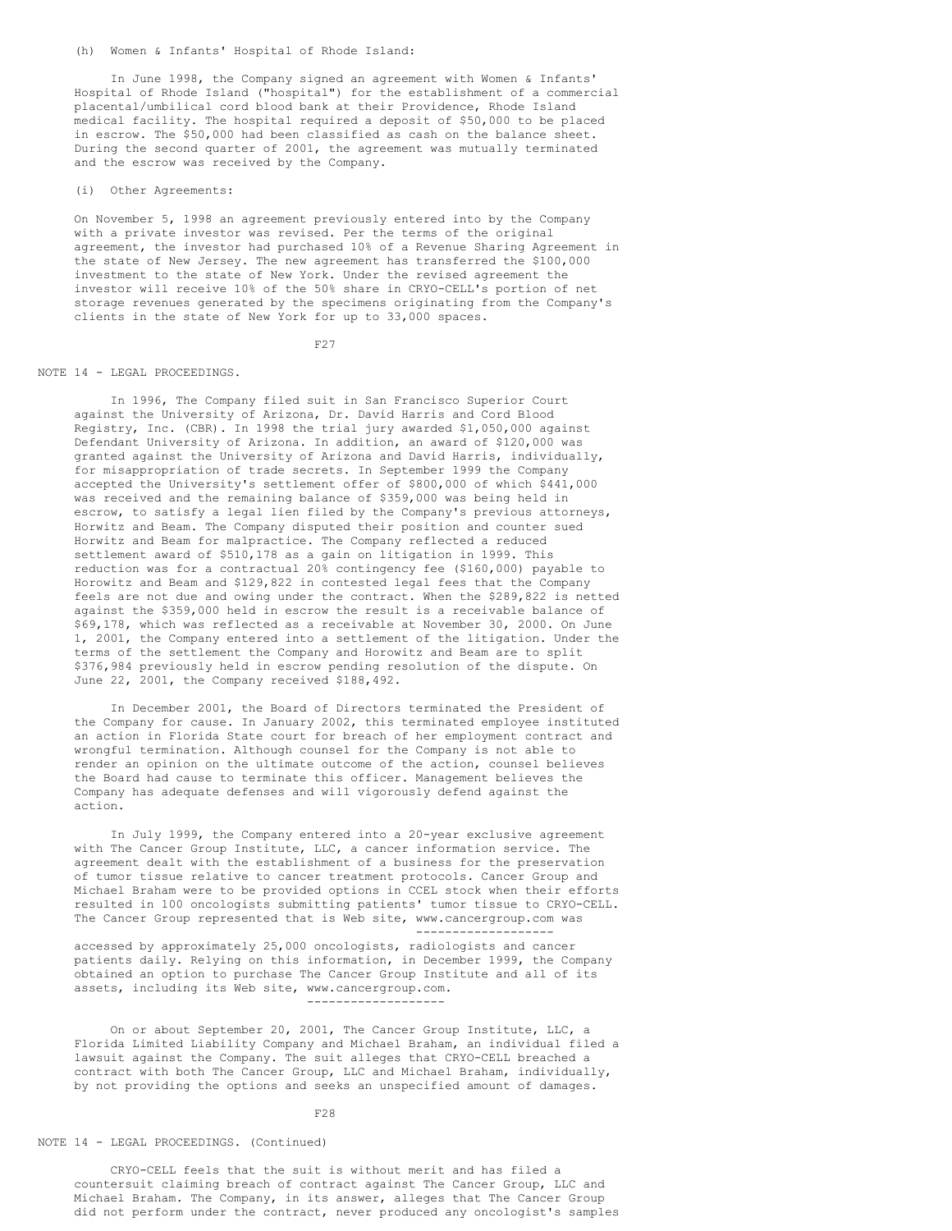(h) Women & Infants' Hospital of Rhode Island:

In June 1998, the Company signed an agreement with Women & Infants' Hospital of Rhode Island ("hospital") for the establishment of a commercial placental/umbilical cord blood bank at their Providence, Rhode Island medical facility. The hospital required a deposit of \$50,000 to be placed in escrow. The \$50,000 had been classified as cash on the balance sheet. During the second quarter of 2001, the agreement was mutually terminated and the escrow was received by the Company.

#### (i) Other Agreements:

On November 5, 1998 an agreement previously entered into by the Company with a private investor was revised. Per the terms of the original agreement, the investor had purchased 10% of a Revenue Sharing Agreement in the state of New Jersey. The new agreement has transferred the \$100,000 investment to the state of New York. Under the revised agreement the investor will receive 10% of the 50% share in CRYO-CELL's portion of net storage revenues generated by the specimens originating from the Company's clients in the state of New York for up to 33,000 spaces.

F27

#### NOTE 14 - LEGAL PROCEEDINGS.

In 1996, The Company filed suit in San Francisco Superior Court against the University of Arizona, Dr. David Harris and Cord Blood Registry, Inc. (CBR). In 1998 the trial jury awarded \$1,050,000 against Defendant University of Arizona. In addition, an award of \$120,000 was granted against the University of Arizona and David Harris, individually, for misappropriation of trade secrets. In September 1999 the Company accepted the University's settlement offer of \$800,000 of which \$441,000 was received and the remaining balance of \$359,000 was being held in escrow, to satisfy a legal lien filed by the Company's previous attorneys, Horwitz and Beam. The Company disputed their position and counter sued Horwitz and Beam for malpractice. The Company reflected a reduced settlement award of \$510,178 as a gain on litigation in 1999. This reduction was for a contractual 20% contingency fee (\$160,000) payable to Horowitz and Beam and \$129,822 in contested legal fees that the Company feels are not due and owing under the contract. When the \$289,822 is netted against the \$359,000 held in escrow the result is a receivable balance of \$69,178, which was reflected as a receivable at November 30, 2000. On June 1, 2001, the Company entered into a settlement of the litigation. Under the terms of the settlement the Company and Horowitz and Beam are to split \$376,984 previously held in escrow pending resolution of the dispute. On June 22, 2001, the Company received \$188,492.

In December 2001, the Board of Directors terminated the President of the Company for cause. In January 2002, this terminated employee instituted an action in Florida State court for breach of her employment contract and wrongful termination. Although counsel for the Company is not able to render an opinion on the ultimate outcome of the action, counsel believes the Board had cause to terminate this officer. Management believes the Company has adequate defenses and will vigorously defend against the action.

In July 1999, the Company entered into a 20-year exclusive agreement with The Cancer Group Institute, LLC, a cancer information service. The agreement dealt with the establishment of a business for the preservation of tumor tissue relative to cancer treatment protocols. Cancer Group and Michael Braham were to be provided options in CCEL stock when their efforts resulted in 100 oncologists submitting patients' tumor tissue to CRYO-CELL. The Cancer Group represented that is Web site, www.cancergroup.com was -------------------

accessed by approximately 25,000 oncologists, radiologists and cancer patients daily. Relying on this information, in December 1999, the Company obtained an option to purchase The Cancer Group Institute and all of its assets, including its Web site, www.cancergroup.com. -------------------

On or about September 20, 2001, The Cancer Group Institute, LLC, a Florida Limited Liability Company and Michael Braham, an individual filed a lawsuit against the Company. The suit alleges that CRYO-CELL breached a contract with both The Cancer Group, LLC and Michael Braham, individually, by not providing the options and seeks an unspecified amount of damages.

#### F28

## NOTE 14 - LEGAL PROCEEDINGS. (Continued)

CRYO-CELL feels that the suit is without merit and has filed a countersuit claiming breach of contract against The Cancer Group, LLC and Michael Braham. The Company, in its answer, alleges that The Cancer Group did not perform under the contract, never produced any oncologist's samples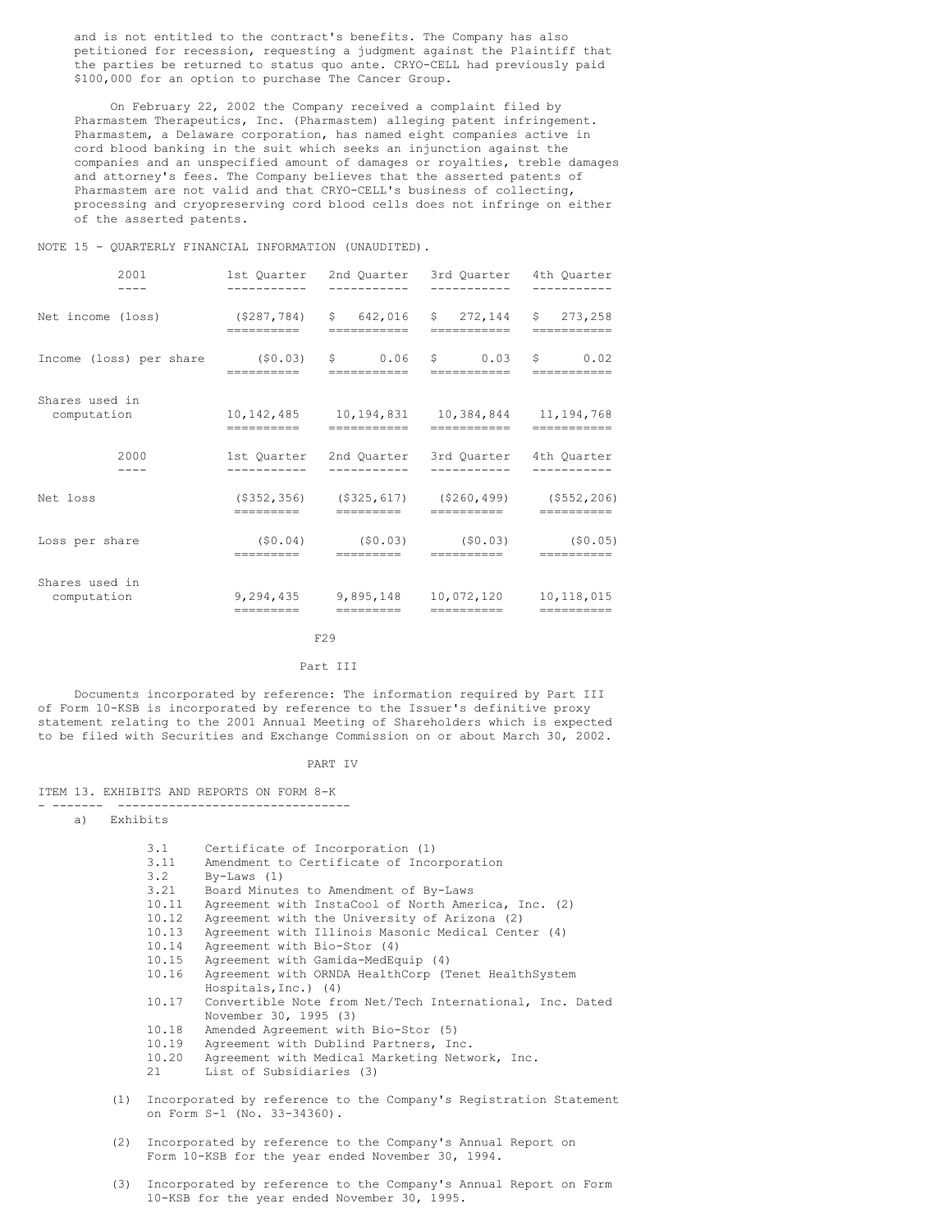and is not entitled to the contract's benefits. The Company has also petitioned for recession, requesting a judgment against the Plaintiff that the parties be returned to status quo ante. CRYO-CELL had previously paid \$100,000 for an option to purchase The Cancer Group.

On February 22, 2002 the Company received a complaint filed by Pharmastem Therapeutics, Inc. (Pharmastem) alleging patent infringement. Pharmastem, a Delaware corporation, has named eight companies active in cord blood banking in the suit which seeks an injunction against the companies and an unspecified amount of damages or royalties, treble damages and attorney's fees. The Company believes that the asserted patents of Pharmastem are not valid and that CRYO-CELL's business of collecting, processing and cryopreserving cord blood cells does not infringe on either of the asserted patents.

NOTE 15 - QUARTERLY FINANCIAL INFORMATION (UNAUDITED).

|                               | 2001                    | 1st Quarter 2nd Quarter<br>----------- | -----------                | 3rd Quarter 4th Quarter<br>-----------                                   | ---------                  |
|-------------------------------|-------------------------|----------------------------------------|----------------------------|--------------------------------------------------------------------------|----------------------------|
| Net income (loss)             |                         | (\$287,784)<br>----------              | \$642,016<br>===========   | $$272,144$ $$273,258$<br>-----------                                     |                            |
|                               | Income (loss) per share | (50.03)<br>===========                 | $S \t 0.06$<br>=========== | $S \t 0.03$<br>eeeeeeeeee -                                              | $S \t 0.02$<br>=========== |
| Shares used in<br>computation |                         | ==========                             | ===========                | 10, 142, 485   10, 194, 831   10, 384, 844   11, 194, 768<br>=========== | ===========                |
|                               | 2000                    | 1st Ouarter 2nd Ouarter<br>----------- | -----------                | 3rd Quarter 4th Quarter<br>-----------                                   | -----------                |
| Net loss                      |                         | =========                              | =========                  | $(5352, 356)$ $(5325, 617)$ $(5260, 499)$ $(5552, 206)$<br>==========    | ==========                 |
| Loss per share                |                         | (S0.04)<br>=========                   | (50.03)<br>=========       | (50.03)<br>==========                                                    | (50.05)<br>==========      |
| Shares used in<br>computation |                         | 9,294,435<br>========                  | 9,895,148<br>========      | 10,072,120<br>==========                                                 | 10,118,015<br>=========    |

F29

#### Part III

Documents incorporated by reference: The information required by Part III of Form 10-KSB is incorporated by reference to the Issuer's definitive proxy statement relating to the 2001 Annual Meeting of Shareholders which is expected to be filed with Securities and Exchange Commission on or about March 30, 2002.

PART IV

ITEM 13. EXHIBITS AND REPORTS ON FORM 8-K

- ------- --------------------------------

- a) Exhibits
	- 3.1 Certificate of Incorporation (1)<br>3.11 Amendment to Certificate of Inco Amendment to Certificate of Incorporation 3.2 By-Laws (1) 3.21 Board Minutes to Amendment of By-Laws<br>10.11 Agreement with InstaCool of North Ame Agreement with InstaCool of North America, Inc. (2) 10.12 Agreement with the University of Arizona (2) Agreement with Illinois Masonic Medical Center (4) 10.14 Agreement with Bio-Stor (4) Agreement with Gamida-MedEquip (4) 10.16 Agreement with ORNDA HealthCorp (Tenet HealthSystem Hospitals,Inc.) (4) 10.17 Convertible Note from Net/Tech International, Inc. Dated November 30, 1995 (3) 10.18 Amended Agreement with Bio-Stor (5) 10.19 Agreement with Dublind Partners, Inc.<br>10.20 Agreement with Medical Marketing Netw Agreement with Medical Marketing Network, Inc. 21 List of Subsidiaries (3)
	- (1) Incorporated by reference to the Company's Registration Statement on Form S-1 (No. 33-34360).
	- (2) Incorporated by reference to the Company's Annual Report on Form 10-KSB for the year ended November 30, 1994.
	- (3) Incorporated by reference to the Company's Annual Report on Form 10-KSB for the year ended November 30, 1995.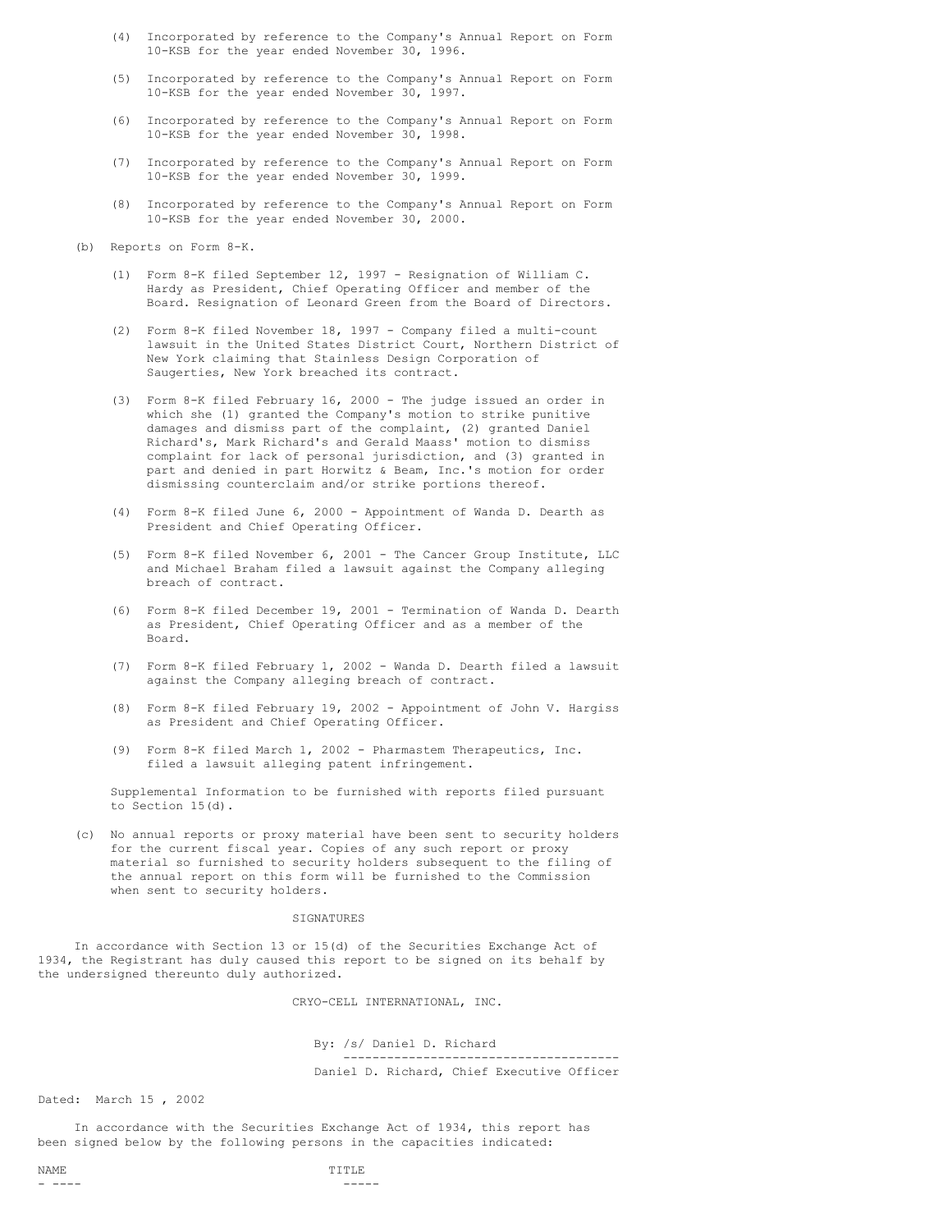- (4) Incorporated by reference to the Company's Annual Report on Form 10-KSB for the year ended November 30, 1996.
- (5) Incorporated by reference to the Company's Annual Report on Form 10-KSB for the year ended November 30, 1997.
- (6) Incorporated by reference to the Company's Annual Report on Form 10-KSB for the year ended November 30, 1998.
- (7) Incorporated by reference to the Company's Annual Report on Form 10-KSB for the year ended November 30, 1999.
- (8) Incorporated by reference to the Company's Annual Report on Form 10-KSB for the year ended November 30, 2000.
- (b) Reports on Form 8-K.
	- (1) Form 8-K filed September 12, 1997 Resignation of William C. Hardy as President, Chief Operating Officer and member of the Board. Resignation of Leonard Green from the Board of Directors.
	- (2) Form 8-K filed November 18, 1997 Company filed a multi-count lawsuit in the United States District Court, Northern District of New York claiming that Stainless Design Corporation of Saugerties, New York breached its contract.
	- (3) Form 8-K filed February 16, 2000 The judge issued an order in which she (1) granted the Company's motion to strike punitive damages and dismiss part of the complaint, (2) granted Daniel Richard's, Mark Richard's and Gerald Maass' motion to dismiss complaint for lack of personal jurisdiction, and (3) granted in part and denied in part Horwitz & Beam, Inc.'s motion for order dismissing counterclaim and/or strike portions thereof.
	- (4) Form 8-K filed June 6, 2000 Appointment of Wanda D. Dearth as President and Chief Operating Officer.
	- (5) Form 8-K filed November 6, 2001 The Cancer Group Institute, LLC and Michael Braham filed a lawsuit against the Company alleging breach of contract.
	- (6) Form 8-K filed December 19, 2001 Termination of Wanda D. Dearth as President, Chief Operating Officer and as a member of the Board.
	- (7) Form 8-K filed February 1, 2002 Wanda D. Dearth filed a lawsuit against the Company alleging breach of contract.
	- (8) Form 8-K filed February 19, 2002 Appointment of John V. Hargiss as President and Chief Operating Officer.
	- (9) Form 8-K filed March 1, 2002 Pharmastem Therapeutics, Inc. filed a lawsuit alleging patent infringement.

Supplemental Information to be furnished with reports filed pursuant to Section 15(d).

(c) No annual reports or proxy material have been sent to security holders for the current fiscal year. Copies of any such report or proxy material so furnished to security holders subsequent to the filing of the annual report on this form will be furnished to the Commission when sent to security holders.

#### SIGNATURES

In accordance with Section 13 or 15(d) of the Securities Exchange Act of 1934, the Registrant has duly caused this report to be signed on its behalf by the undersigned thereunto duly authorized.

CRYO-CELL INTERNATIONAL, INC.

By: /s/ Daniel D. Richard

-------------------------------------- Daniel D. Richard, Chief Executive Officer

Dated: March 15 , 2002

In accordance with the Securities Exchange Act of 1934, this report has been signed below by the following persons in the capacities indicated: